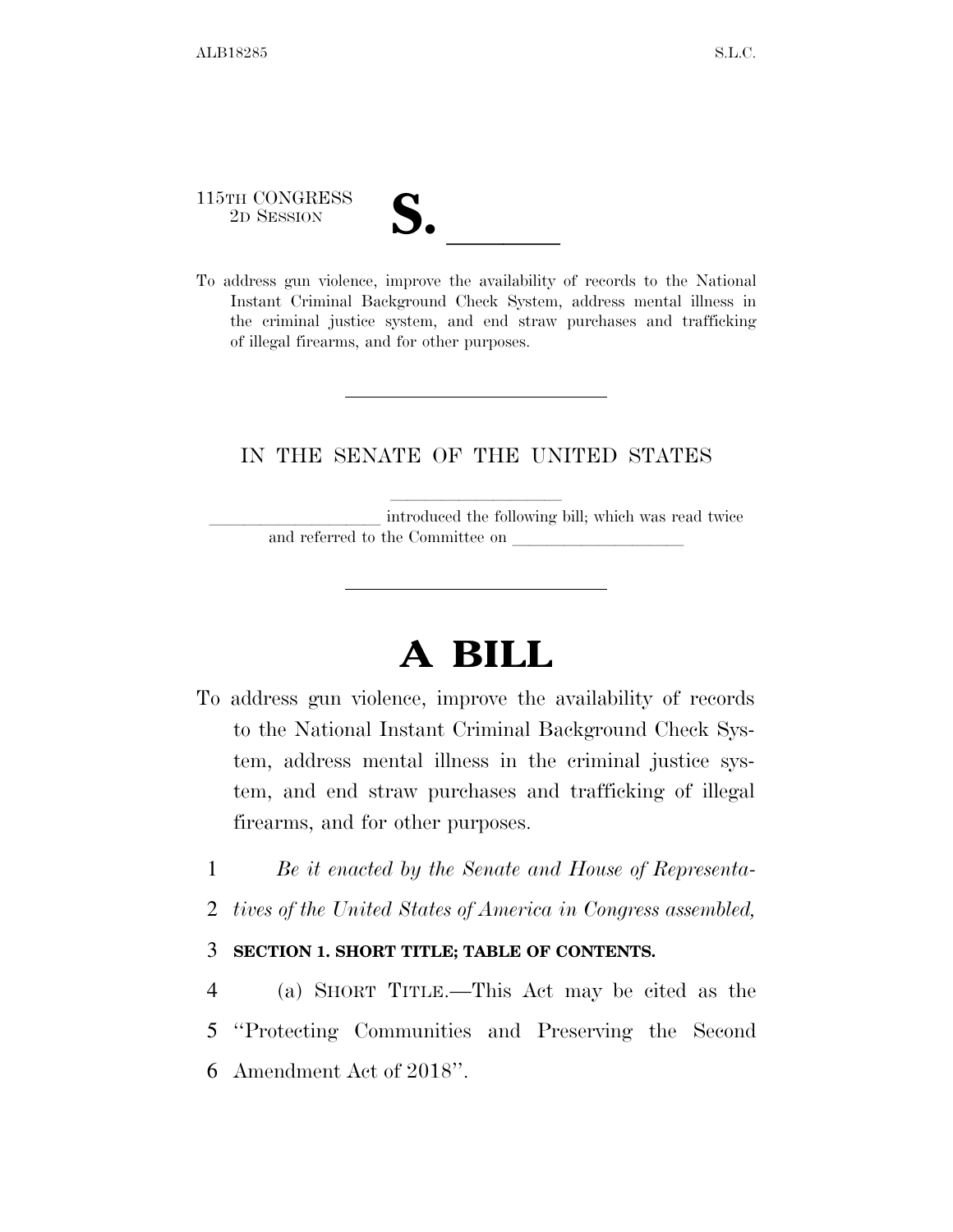115TH CONGRESS

| $\blacksquare$<br>$\overline{\mathsf{v}}$ |  |
|-------------------------------------------|--|
|                                           |  |

115TH CONGRESS<br>
2D SESSION<br>
To address gun violence, improve the availability of records to the National Instant Criminal Background Check System, address mental illness in the criminal justice system, and end straw purchases and trafficking of illegal firearms, and for other purposes.

### IN THE SENATE OF THE UNITED STATES

introduced the following bill; which was read twice and referred to the Committee on

# **A BILL**

- To address gun violence, improve the availability of records to the National Instant Criminal Background Check System, address mental illness in the criminal justice system, and end straw purchases and trafficking of illegal firearms, and for other purposes.
	- 1 *Be it enacted by the Senate and House of Representa-*
	- 2 *tives of the United States of America in Congress assembled,*

#### 3 **SECTION 1. SHORT TITLE; TABLE OF CONTENTS.**

4 (a) SHORT TITLE.—This Act may be cited as the 5 ''Protecting Communities and Preserving the Second 6 Amendment Act of 2018''.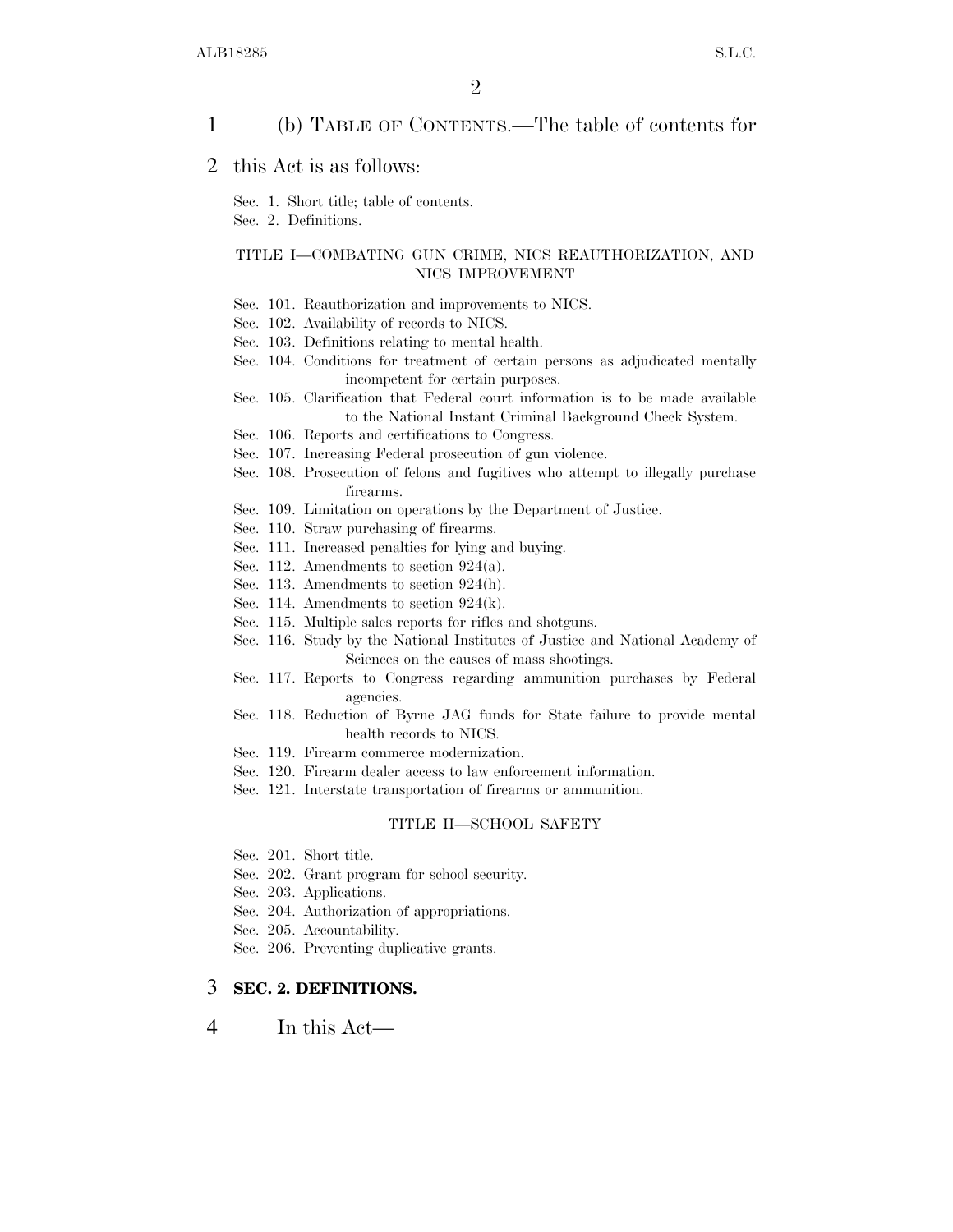1 (b) TABLE OF CONTENTS.—The table of contents for

2 this Act is as follows:

Sec. 1. Short title; table of contents.

Sec. 2. Definitions.

#### TITLE I—COMBATING GUN CRIME, NICS REAUTHORIZATION, AND NICS IMPROVEMENT

- Sec. 101. Reauthorization and improvements to NICS.
- Sec. 102. Availability of records to NICS.
- Sec. 103. Definitions relating to mental health.
- Sec. 104. Conditions for treatment of certain persons as adjudicated mentally incompetent for certain purposes.
- Sec. 105. Clarification that Federal court information is to be made available to the National Instant Criminal Background Check System.
- Sec. 106. Reports and certifications to Congress.
- Sec. 107. Increasing Federal prosecution of gun violence.
- Sec. 108. Prosecution of felons and fugitives who attempt to illegally purchase firearms.
- Sec. 109. Limitation on operations by the Department of Justice.
- Sec. 110. Straw purchasing of firearms.
- Sec. 111. Increased penalties for lying and buying.
- Sec. 112. Amendments to section 924(a).
- Sec. 113. Amendments to section 924(h).
- Sec. 114. Amendments to section 924(k).
- Sec. 115. Multiple sales reports for rifles and shotguns.
- Sec. 116. Study by the National Institutes of Justice and National Academy of Sciences on the causes of mass shootings.
- Sec. 117. Reports to Congress regarding ammunition purchases by Federal agencies.
- Sec. 118. Reduction of Byrne JAG funds for State failure to provide mental health records to NICS.
- Sec. 119. Firearm commerce modernization.
- Sec. 120. Firearm dealer access to law enforcement information.
- Sec. 121. Interstate transportation of firearms or ammunition.

#### TITLE II—SCHOOL SAFETY

- Sec. 201. Short title.
- Sec. 202. Grant program for school security.
- Sec. 203. Applications.
- Sec. 204. Authorization of appropriations.
- Sec. 205. Accountability.
- Sec. 206. Preventing duplicative grants.

#### 3 **SEC. 2. DEFINITIONS.**

4 In this Act—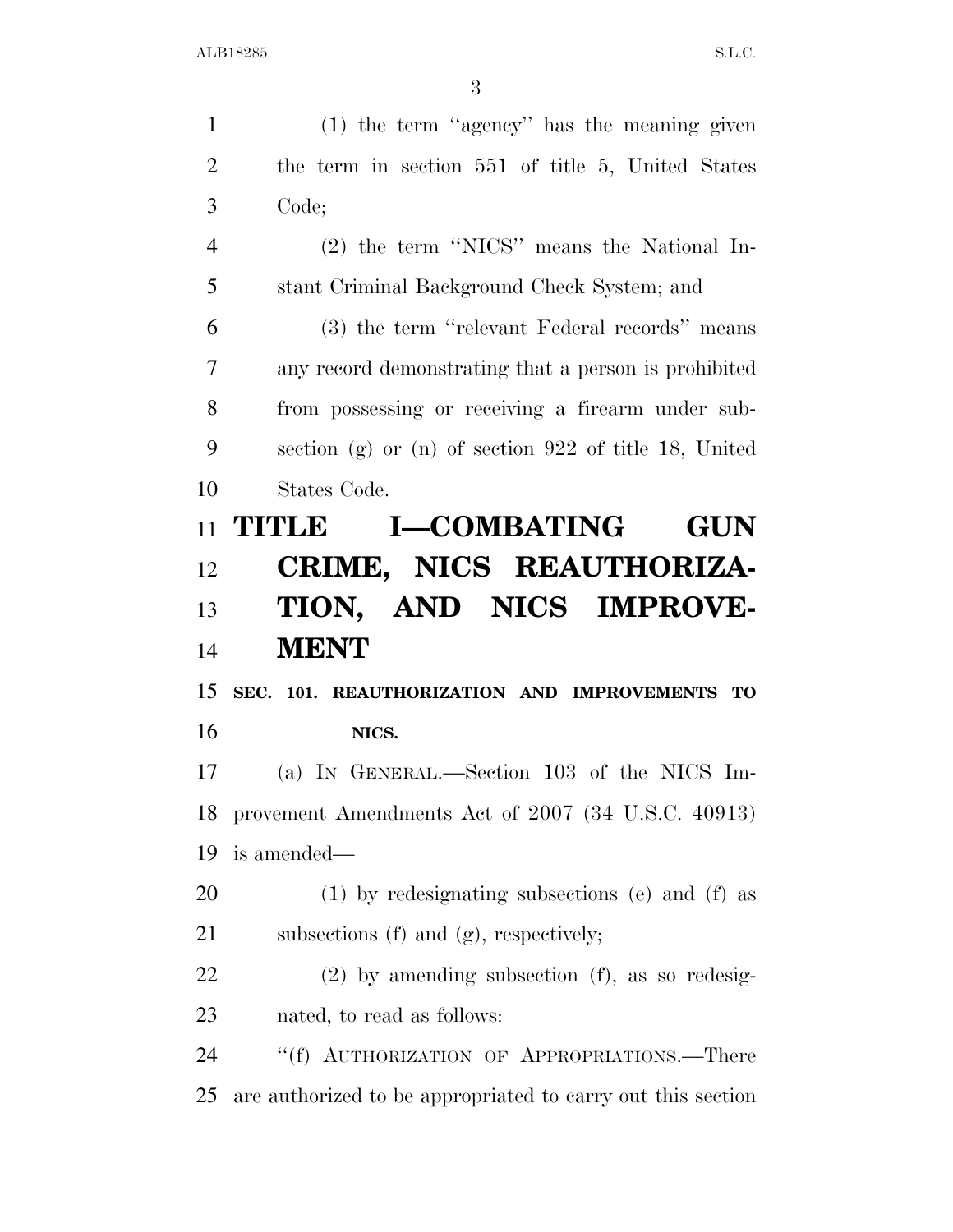| (1) the term "agency" has the meaning given             |
|---------------------------------------------------------|
| the term in section 551 of title 5, United States       |
| Code;                                                   |
| (2) the term "NICS" means the National In-              |
| stant Criminal Background Check System; and             |
| (3) the term "relevant Federal records" means           |
| any record demonstrating that a person is prohibited    |
| from possessing or receiving a firearm under sub-       |
| section (g) or (n) of section $922$ of title 18, United |
| States Code.                                            |
| <b>I-COMBATING</b><br>TITLE<br><b>GUN</b>               |
| CRIME, NICS REAUTHORIZA-                                |
| TION, AND NICS IMPROVE-                                 |
| <b>MENT</b>                                             |
| SEC. 101. REAUTHORIZATION AND IMPROVEMENTS TO           |
| NICS.                                                   |
| (a) IN GENERAL.—Section 103 of the NICS Im-             |
| provement Amendments Act of 2007 (34 U.S.C. 40913)      |
| is amended—                                             |
|                                                         |
| (1) by redesignating subsections (e) and (f) as         |
| subsections (f) and (g), respectively;                  |
| $(2)$ by amending subsection $(f)$ , as so redesig-     |
| nated, to read as follows:                              |
| "(f) AUTHORIZATION OF APPROPRIATIONS.—There             |
|                                                         |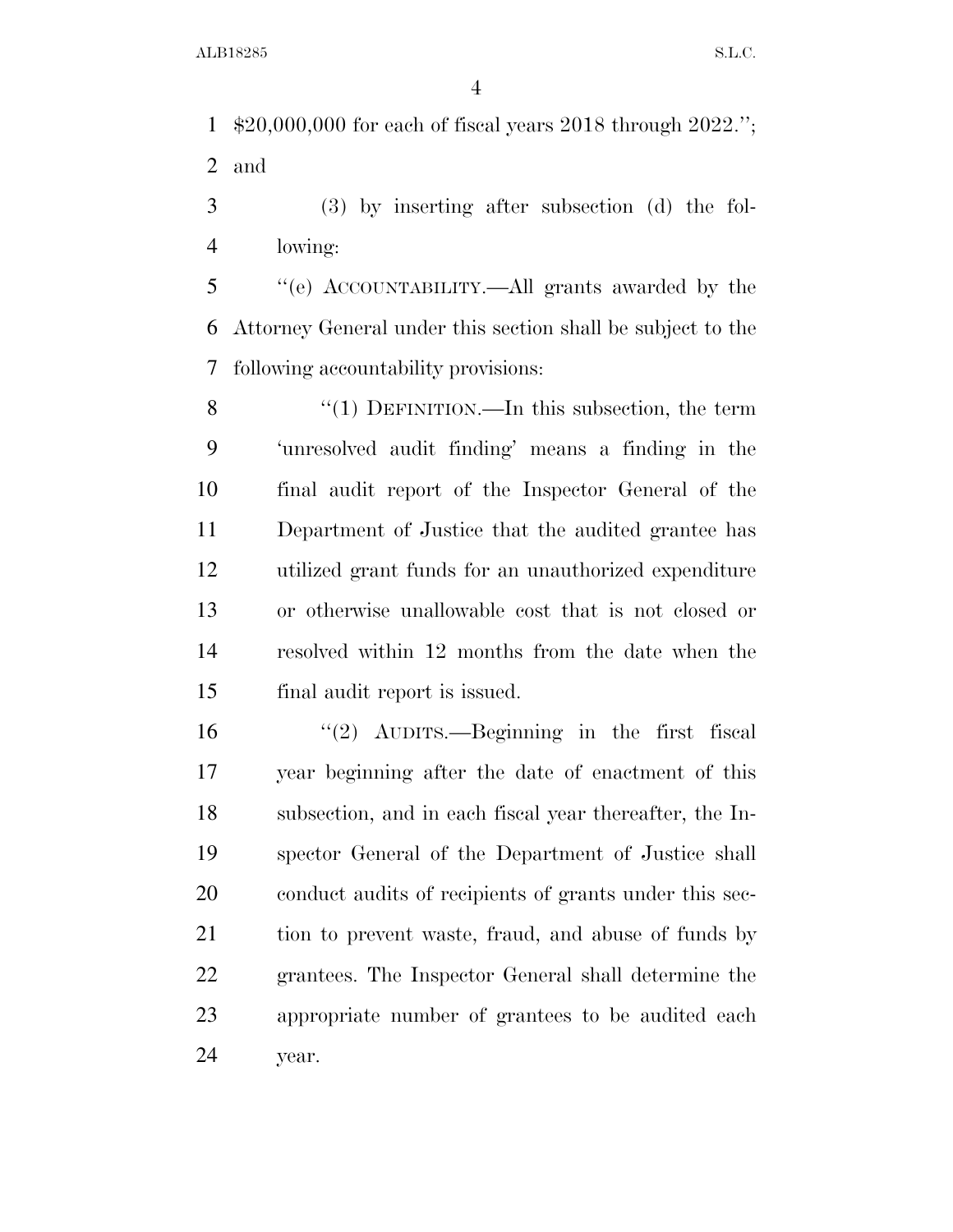\$20,000,000 for each of fiscal years 2018 through 2022.''; and

 (3) by inserting after subsection (d) the fol-lowing:

 ''(e) ACCOUNTABILITY.—All grants awarded by the Attorney General under this section shall be subject to the following accountability provisions:

8 "(1) DEFINITION.—In this subsection, the term 'unresolved audit finding' means a finding in the final audit report of the Inspector General of the Department of Justice that the audited grantee has utilized grant funds for an unauthorized expenditure or otherwise unallowable cost that is not closed or resolved within 12 months from the date when the final audit report is issued.

 ''(2) AUDITS.—Beginning in the first fiscal year beginning after the date of enactment of this subsection, and in each fiscal year thereafter, the In- spector General of the Department of Justice shall conduct audits of recipients of grants under this sec- tion to prevent waste, fraud, and abuse of funds by grantees. The Inspector General shall determine the appropriate number of grantees to be audited each year.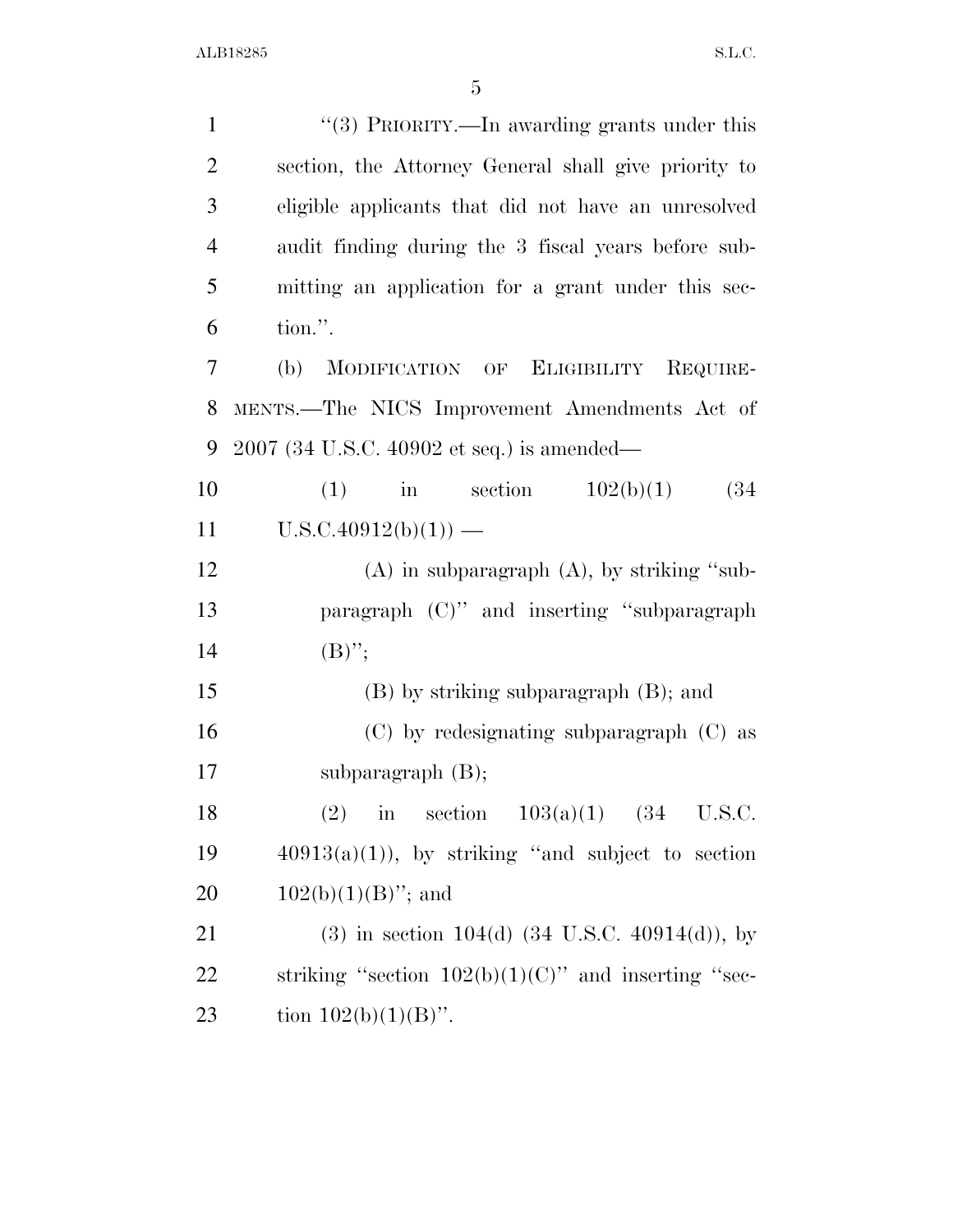| $\mathbf{1}$   | "(3) PRIORITY.—In awarding grants under this                 |
|----------------|--------------------------------------------------------------|
| $\overline{2}$ | section, the Attorney General shall give priority to         |
| 3              | eligible applicants that did not have an unresolved          |
| $\overline{4}$ | audit finding during the 3 fiscal years before sub-          |
| 5              | mitting an application for a grant under this sec-           |
| 6              | tion.".                                                      |
| 7              | MODIFICATION OF ELIGIBILITY<br>(b)<br>REQUIRE-               |
| 8              | MENTS.-The NICS Improvement Amendments Act of                |
| 9              | 2007 (34 U.S.C. 40902 et seq.) is amended—                   |
| 10             | $(1)$ in section<br>102(b)(1)<br>(34)                        |
| 11             | $U.S.C.40912(b)(1))$ —                                       |
| 12             | $(A)$ in subparagraph $(A)$ , by striking "sub-              |
| 13             | paragraph (C)" and inserting "subparagraph                   |
| 14             | $(B)$ ";                                                     |
| 15             | $(B)$ by striking subparagraph $(B)$ ; and                   |
| 16             | $(C)$ by redesignating subparagraph $(C)$ as                 |
| 17             | subparagraph $(B)$ ;                                         |
| 18             | in section $103(a)(1)$ $(34 \text{ U.S.C.})$<br>(2)          |
| 19             | $40913(a)(1)$ , by striking "and subject to section          |
| 20             | $102(b)(1)(B)$ "; and                                        |
| 21             | $(3)$ in section 104(d) $(34 \text{ U.S.C. } 40914(d))$ , by |
| 22             | striking "section $102(b)(1)(C)$ " and inserting "sec-       |
| 23             | tion $102(b)(1)(B)$ ".                                       |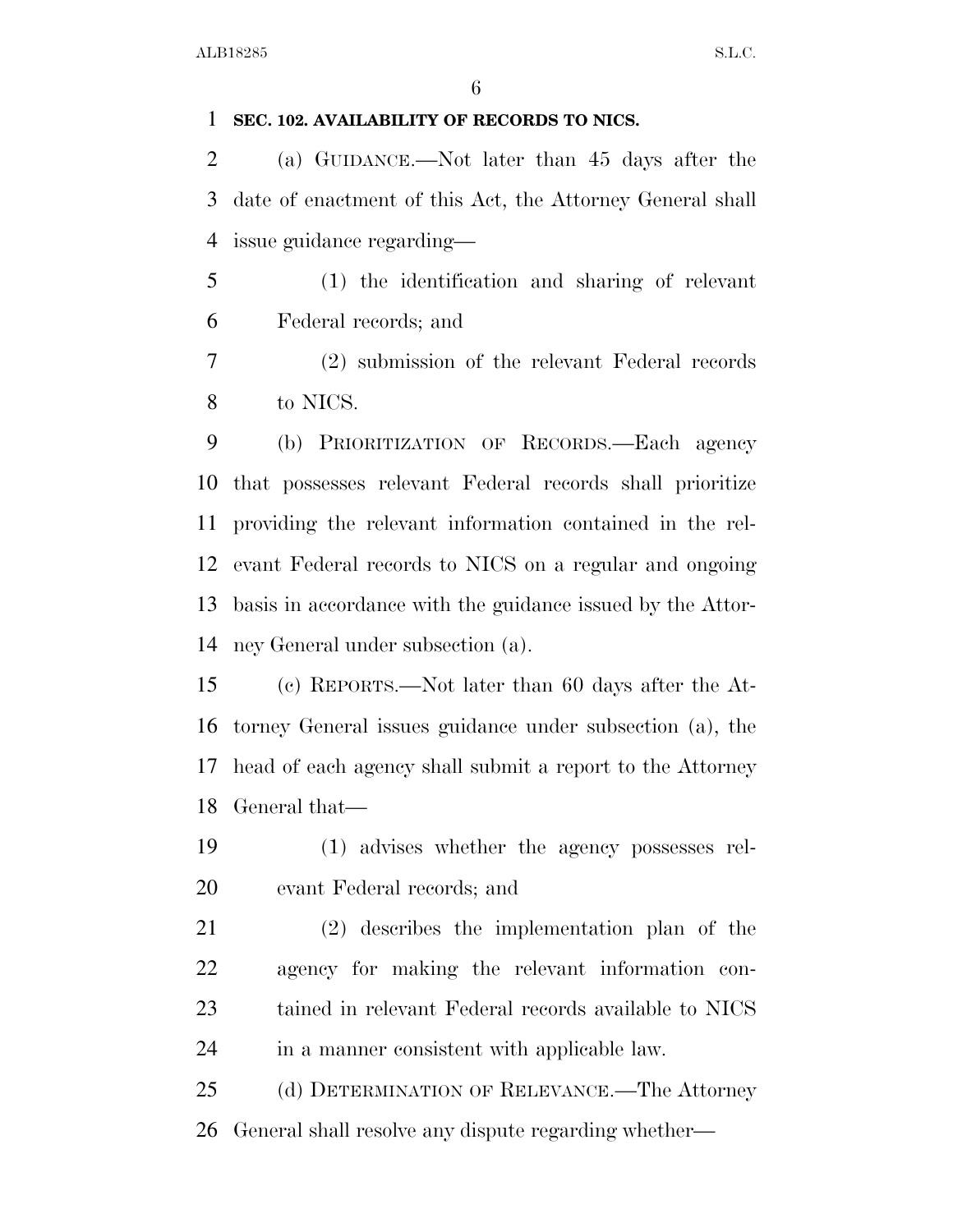### **SEC. 102. AVAILABILITY OF RECORDS TO NICS.**

 (a) GUIDANCE.—Not later than 45 days after the date of enactment of this Act, the Attorney General shall issue guidance regarding—

 (1) the identification and sharing of relevant Federal records; and

 (2) submission of the relevant Federal records to NICS.

 (b) PRIORITIZATION OF RECORDS.—Each agency that possesses relevant Federal records shall prioritize providing the relevant information contained in the rel- evant Federal records to NICS on a regular and ongoing basis in accordance with the guidance issued by the Attor-ney General under subsection (a).

 (c) REPORTS.—Not later than 60 days after the At- torney General issues guidance under subsection (a), the head of each agency shall submit a report to the Attorney General that—

 (1) advises whether the agency possesses rel-evant Federal records; and

 (2) describes the implementation plan of the agency for making the relevant information con- tained in relevant Federal records available to NICS in a manner consistent with applicable law.

 (d) DETERMINATION OF RELEVANCE.—The Attorney General shall resolve any dispute regarding whether—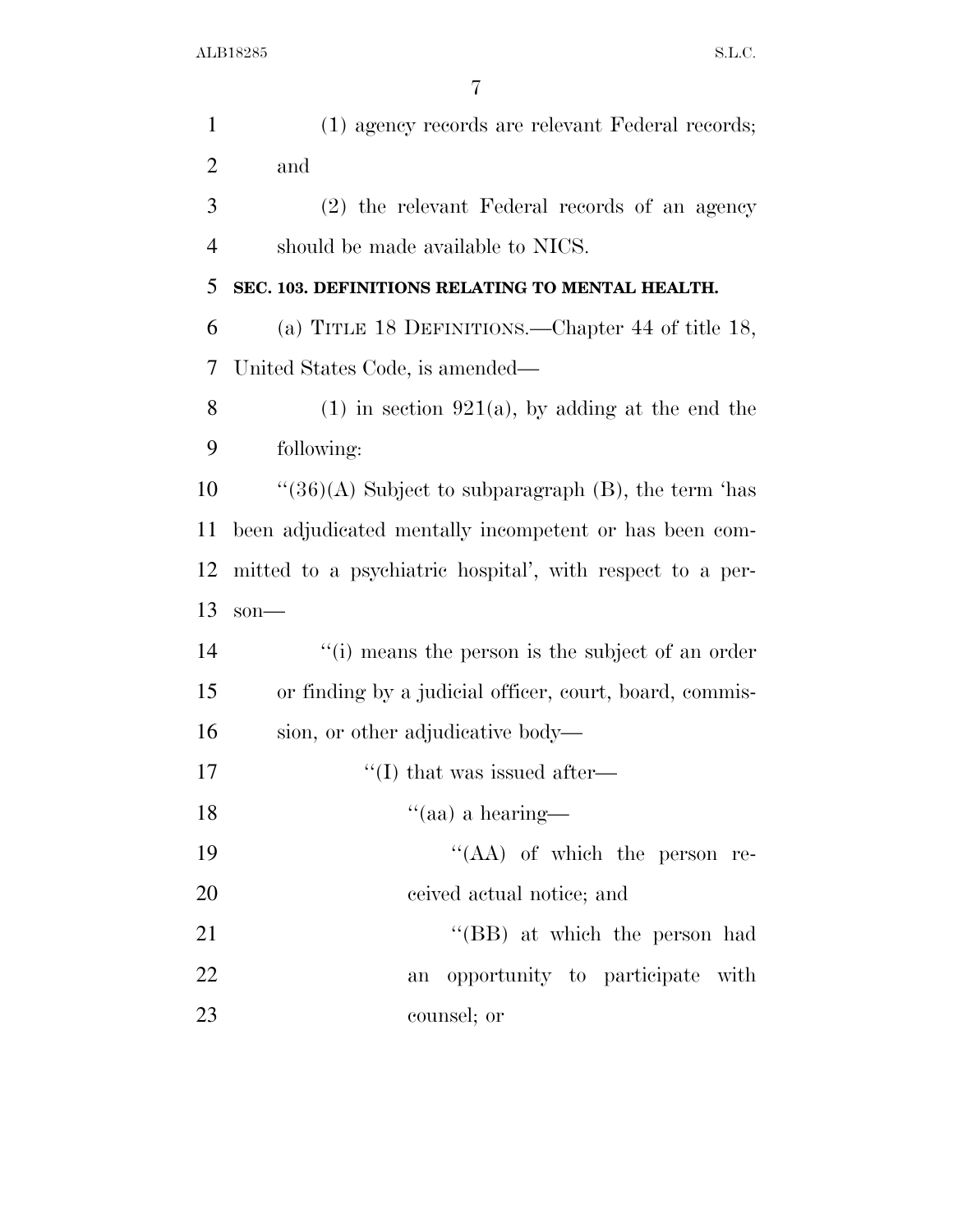| $\mathbf{1}$   | (1) agency records are relevant Federal records;          |
|----------------|-----------------------------------------------------------|
| $\overline{2}$ | and                                                       |
| 3              | (2) the relevant Federal records of an agency             |
| $\overline{4}$ | should be made available to NICS.                         |
| 5              | SEC. 103. DEFINITIONS RELATING TO MENTAL HEALTH.          |
| 6              | (a) TITLE 18 DEFINITIONS.—Chapter 44 of title 18,         |
| 7              | United States Code, is amended—                           |
| 8              | $(1)$ in section 921(a), by adding at the end the         |
| 9              | following:                                                |
| 10             | $``(36)(A)$ Subject to subparagraph (B), the term 'has    |
| 11             | been adjudicated mentally incompetent or has been com-    |
| 12             | mitted to a psychiatric hospital', with respect to a per- |
| 13             | $son$ —                                                   |
| 14             | "(i) means the person is the subject of an order          |
| 15             | or finding by a judicial officer, court, board, commis-   |
| 16             | sion, or other adjudicative body—                         |
| 17             | $\lq$ (I) that was issued after—                          |
| 18             | "(aa) a hearing—                                          |
| 19             | "(AA) of which the person re-                             |
| 20             | ceived actual notice; and                                 |
| 21             | "(BB) at which the person had                             |
| 22             | opportunity to participate with<br>an                     |
| 23             | counsel; or                                               |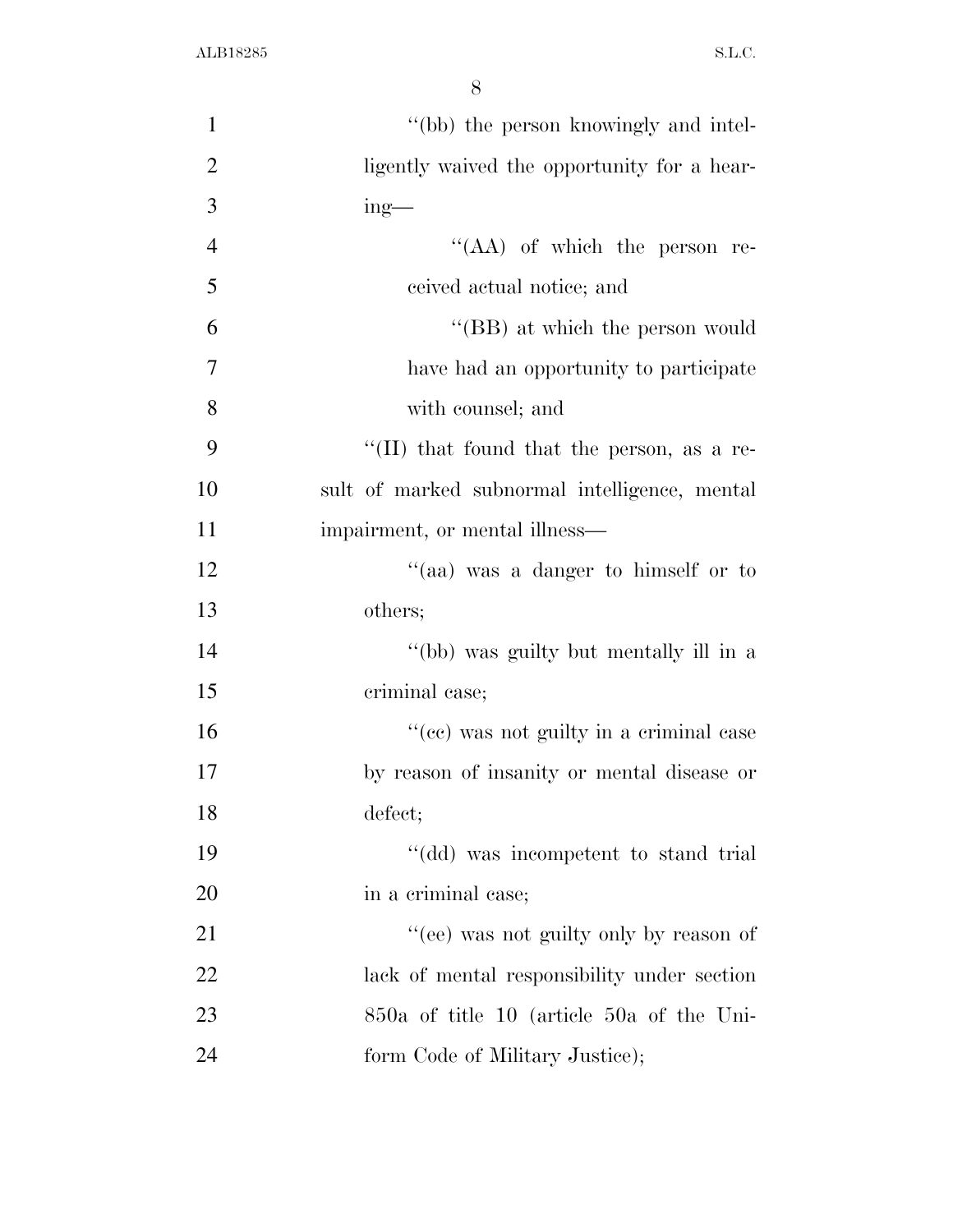| $\mathbf{1}$   | "(bb) the person knowingly and intel-         |
|----------------|-----------------------------------------------|
| $\overline{2}$ | ligently waived the opportunity for a hear-   |
| 3              | $ing$ —                                       |
| $\overline{4}$ | "(AA) of which the person re-                 |
| 5              | ceived actual notice; and                     |
| 6              | "(BB) at which the person would               |
| $\overline{7}$ | have had an opportunity to participate        |
| 8              | with counsel; and                             |
| 9              | "(II) that found that the person, as a re-    |
| 10             | sult of marked subnormal intelligence, mental |
| 11             | impairment, or mental illness—                |
| 12             | "(aa) was a danger to himself or to           |
| 13             | others;                                       |
| 14             | "(bb) was guilty but mentally ill in a        |
| 15             | criminal case;                                |
| 16             | "(cc) was not guilty in a criminal case       |
| 17             | by reason of insanity or mental disease or    |
| 18             | defect;                                       |
| 19             | "(dd) was incompetent to stand trial          |
| 20             | in a criminal case;                           |
| 21             | "(ee) was not guilty only by reason of        |
| 22             | lack of mental responsibility under section   |
| 23             | $850a$ of title 10 (article 50a of the Uni-   |
| 24             | form Code of Military Justice);               |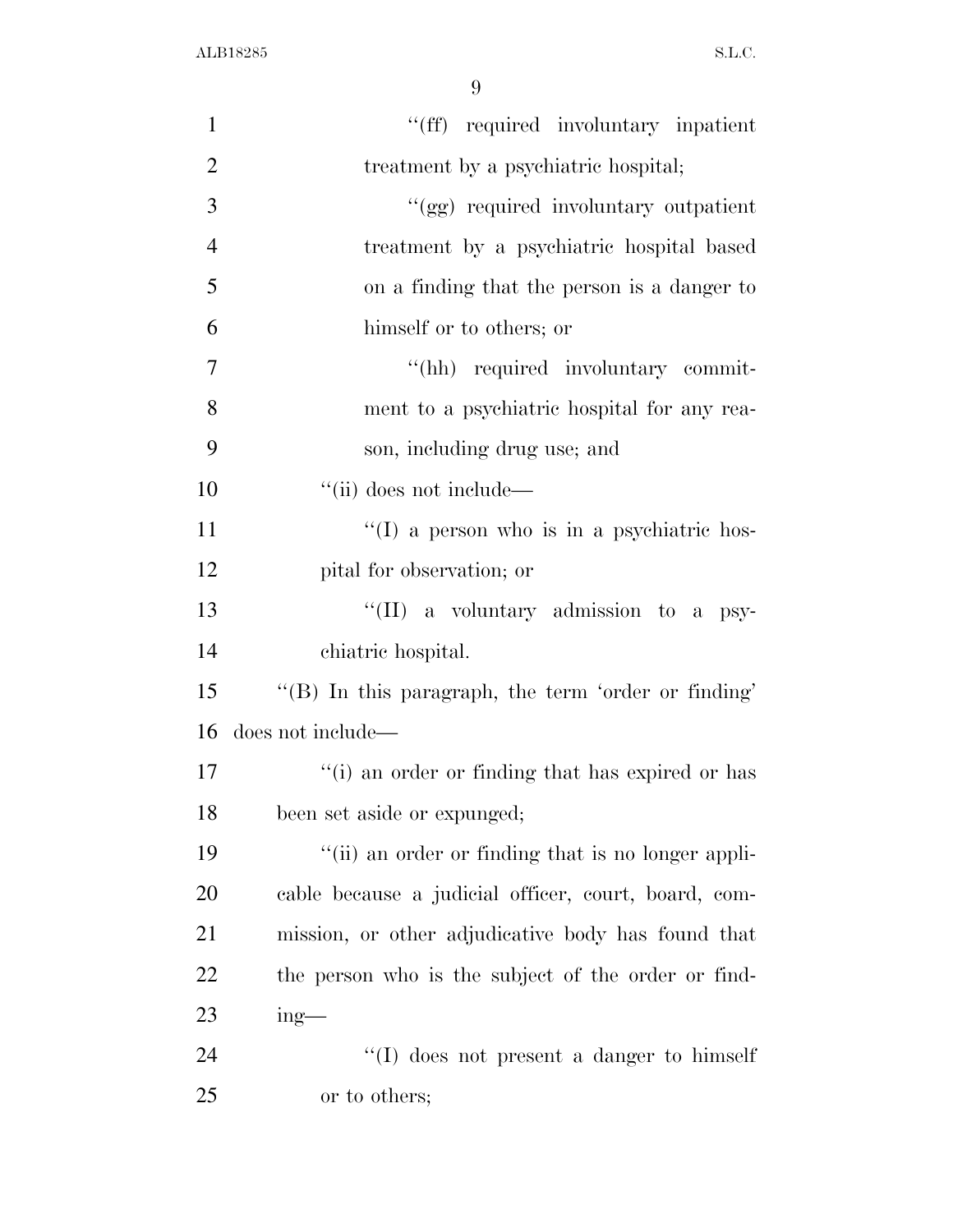| $\mathbf{1}$   | "(ff) required involuntary inpatient                 |
|----------------|------------------------------------------------------|
| $\overline{2}$ | treatment by a psychiatric hospital;                 |
| 3              | "(gg) required involuntary outpatient                |
| $\overline{4}$ | treatment by a psychiatric hospital based            |
| 5              | on a finding that the person is a danger to          |
| 6              | himself or to others; or                             |
| $\overline{7}$ | "(hh) required involuntary commit-                   |
| 8              | ment to a psychiatric hospital for any rea-          |
| 9              | son, including drug use; and                         |
| 10             | "(ii) does not include—                              |
| 11             | "(I) a person who is in a psychiatric hos-           |
| 12             | pital for observation; or                            |
| 13             | "(II) a voluntary admission to a psy-                |
| 14             | chiatric hospital.                                   |
| 15             | "(B) In this paragraph, the term 'order or finding'  |
| 16             | does not include—                                    |
| 17             | "(i) an order or finding that has expired or has     |
| 18             | been set aside or expunged;                          |
| 19             | "(ii) an order or finding that is no longer appli-   |
| 20             | cable because a judicial officer, court, board, com- |
| 21             | mission, or other adjudicative body has found that   |
| 22             | the person who is the subject of the order or find-  |
| 23             | $ing$ —                                              |
| 24             | $\lq\lq$ does not present a danger to himself        |
| 25             | or to others;                                        |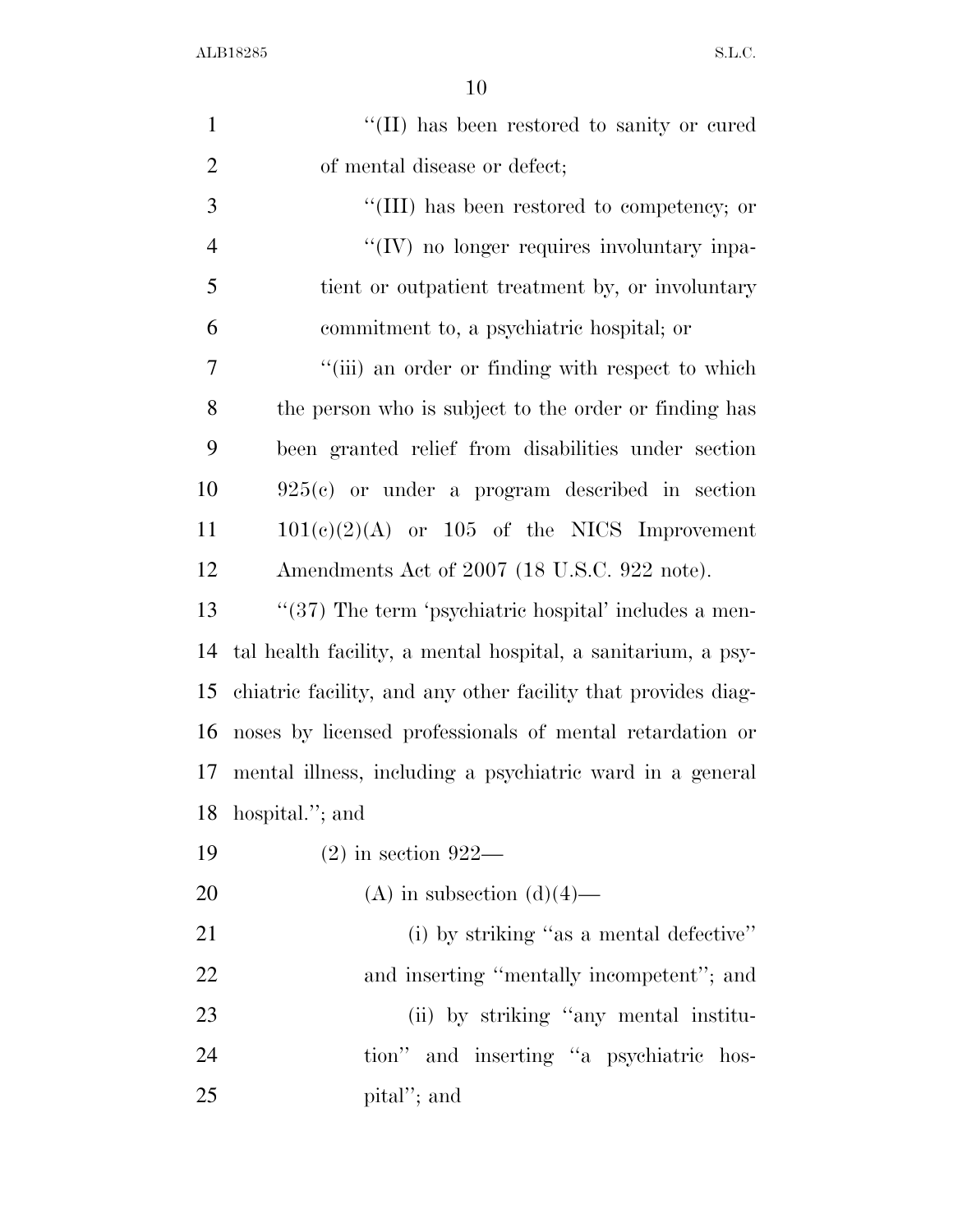| $\mathbf{1}$   | "(II) has been restored to sanity or cured                    |
|----------------|---------------------------------------------------------------|
| $\overline{2}$ | of mental disease or defect;                                  |
| 3              | "(III) has been restored to competency; or                    |
| $\overline{4}$ | "(IV) no longer requires involuntary inpa-                    |
| 5              | tient or outpatient treatment by, or involuntary              |
| 6              | commitment to, a psychiatric hospital; or                     |
| $\overline{7}$ | "(iii) an order or finding with respect to which              |
| 8              | the person who is subject to the order or finding has         |
| 9              | been granted relief from disabilities under section           |
| 10             | $925(c)$ or under a program described in section              |
| 11             | $101(c)(2)(A)$ or $105$ of the NICS Improvement               |
| 12             | Amendments Act of 2007 (18 U.S.C. 922 note).                  |
| 13             | $\lq(37)$ The term 'psychiatric hospital' includes a men-     |
| 14             | tal health facility, a mental hospital, a sanitarium, a psy-  |
| 15             | chiatric facility, and any other facility that provides diag- |
| 16             | noses by licensed professionals of mental retardation or      |
| 17             | mental illness, including a psychiatric ward in a general     |
| 18             | hospital."; and                                               |
| 19             | $(2)$ in section 922—                                         |
| 20             | (A) in subsection $(d)(4)$ —                                  |
| 21             | (i) by striking "as a mental defective"                       |
| 22             | and inserting "mentally incompetent"; and                     |
| 23             | (ii) by striking "any mental institu-                         |
| 24             | tion" and inserting "a psychiatric hos-                       |
| 25             | pital"; and                                                   |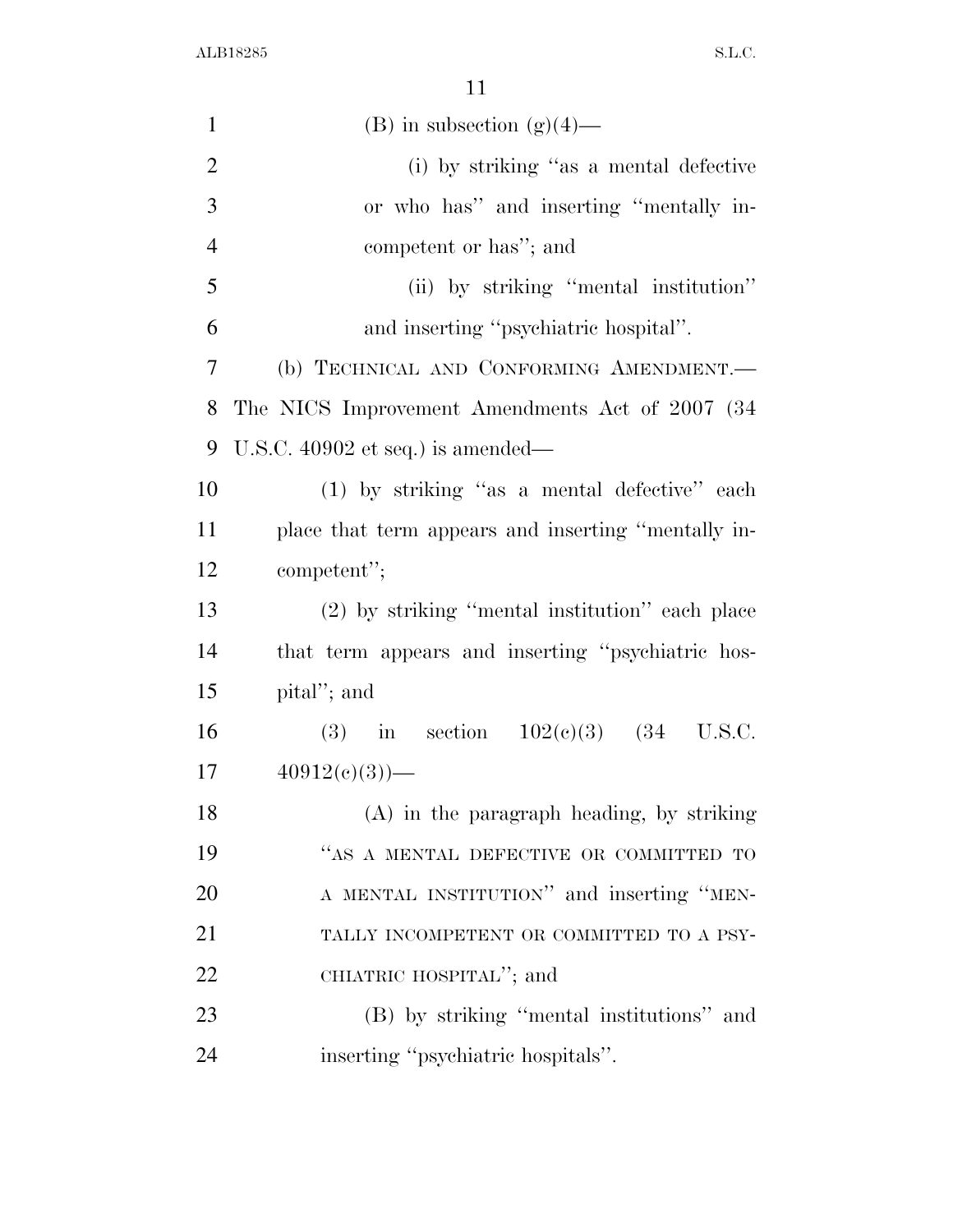| $\mathbf{1}$   | (B) in subsection $(g)(4)$ —                        |
|----------------|-----------------------------------------------------|
| $\overline{2}$ | (i) by striking "as a mental defective              |
| 3              | or who has" and inserting "mentally in-             |
| $\overline{4}$ | competent or has"; and                              |
| 5              | (ii) by striking "mental institution"               |
| 6              | and inserting "psychiatric hospital".               |
| $\tau$         | (b) TECHNICAL AND CONFORMING AMENDMENT.             |
| 8              | The NICS Improvement Amendments Act of 2007 (34)    |
| 9              | U.S.C. $40902$ et seq.) is amended—                 |
| 10             | (1) by striking "as a mental defective" each        |
| 11             | place that term appears and inserting "mentally in- |
| 12             | competent";                                         |
| 13             | (2) by striking "mental institution" each place     |
| 14             | that term appears and inserting "psychiatric hos-   |
| 15             | pital"; and                                         |
| 16             | (3) in section $102(e)(3)$ (34 U.S.C.               |
| 17             | $40912(e)(3)$ —                                     |
| 18             | (A) in the paragraph heading, by striking           |
| 19             | "AS A MENTAL DEFECTIVE OR COMMITTED TO              |
| 20             | A MENTAL INSTITUTION" and inserting "MEN-           |
| 21             | TALLY INCOMPETENT OR COMMITTED TO A PSY-            |
| 22             | CHIATRIC HOSPITAL"; and                             |
| 23             | (B) by striking "mental institutions" and           |
| 24             | inserting "psychiatric hospitals".                  |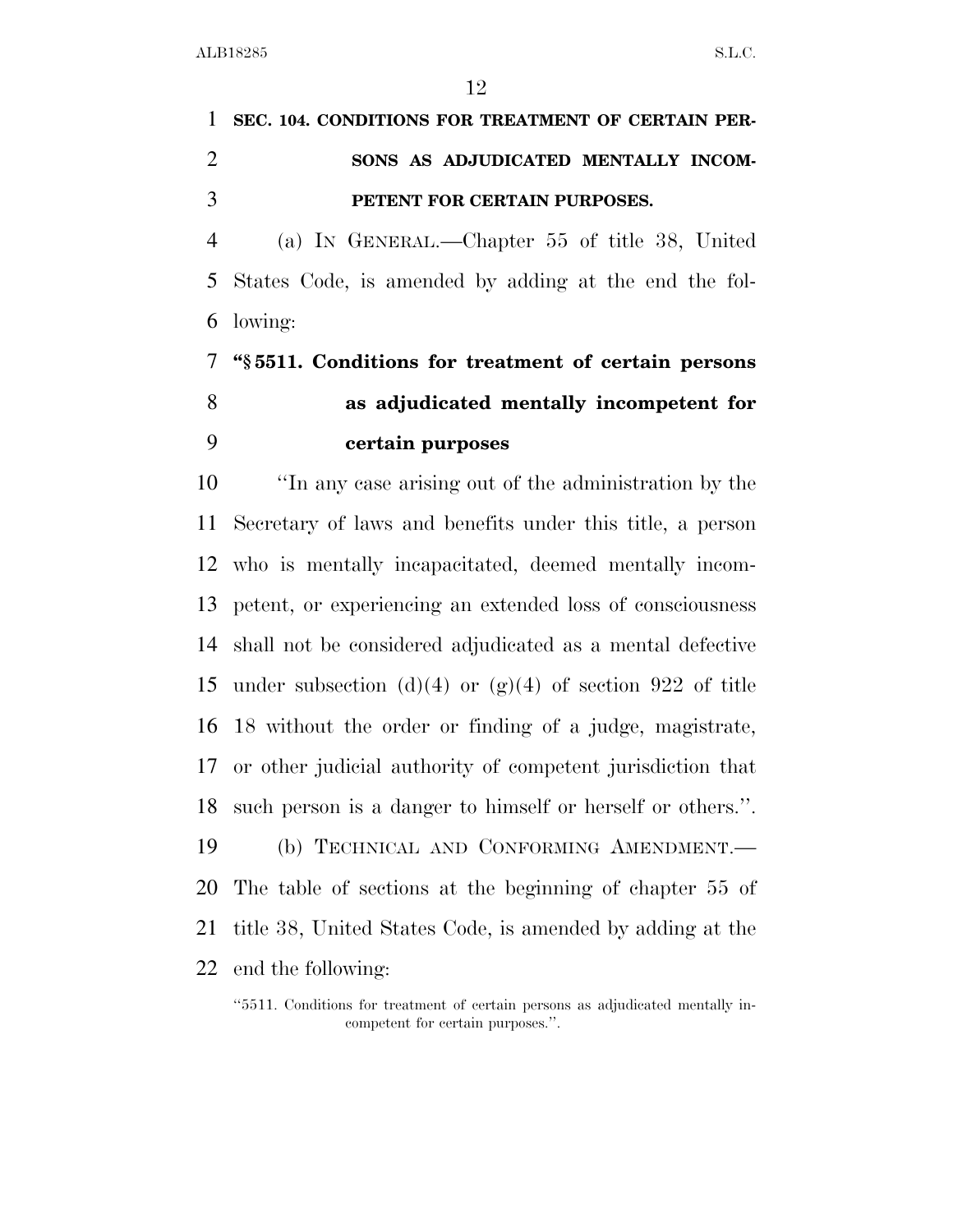# **SEC. 104. CONDITIONS FOR TREATMENT OF CERTAIN PER- SONS AS ADJUDICATED MENTALLY INCOM-PETENT FOR CERTAIN PURPOSES.**

 (a) IN GENERAL.—Chapter 55 of title 38, United States Code, is amended by adding at the end the fol-lowing:

# **''§ 5511. Conditions for treatment of certain persons as adjudicated mentally incompetent for certain purposes**

 ''In any case arising out of the administration by the Secretary of laws and benefits under this title, a person who is mentally incapacitated, deemed mentally incom- petent, or experiencing an extended loss of consciousness shall not be considered adjudicated as a mental defective 15 under subsection (d)(4) or  $(g)(4)$  of section 922 of title 18 without the order or finding of a judge, magistrate, or other judicial authority of competent jurisdiction that such person is a danger to himself or herself or others.''. (b) TECHNICAL AND CONFORMING AMENDMENT.— The table of sections at the beginning of chapter 55 of title 38, United States Code, is amended by adding at the end the following:

<sup>&#</sup>x27;'5511. Conditions for treatment of certain persons as adjudicated mentally incompetent for certain purposes.''.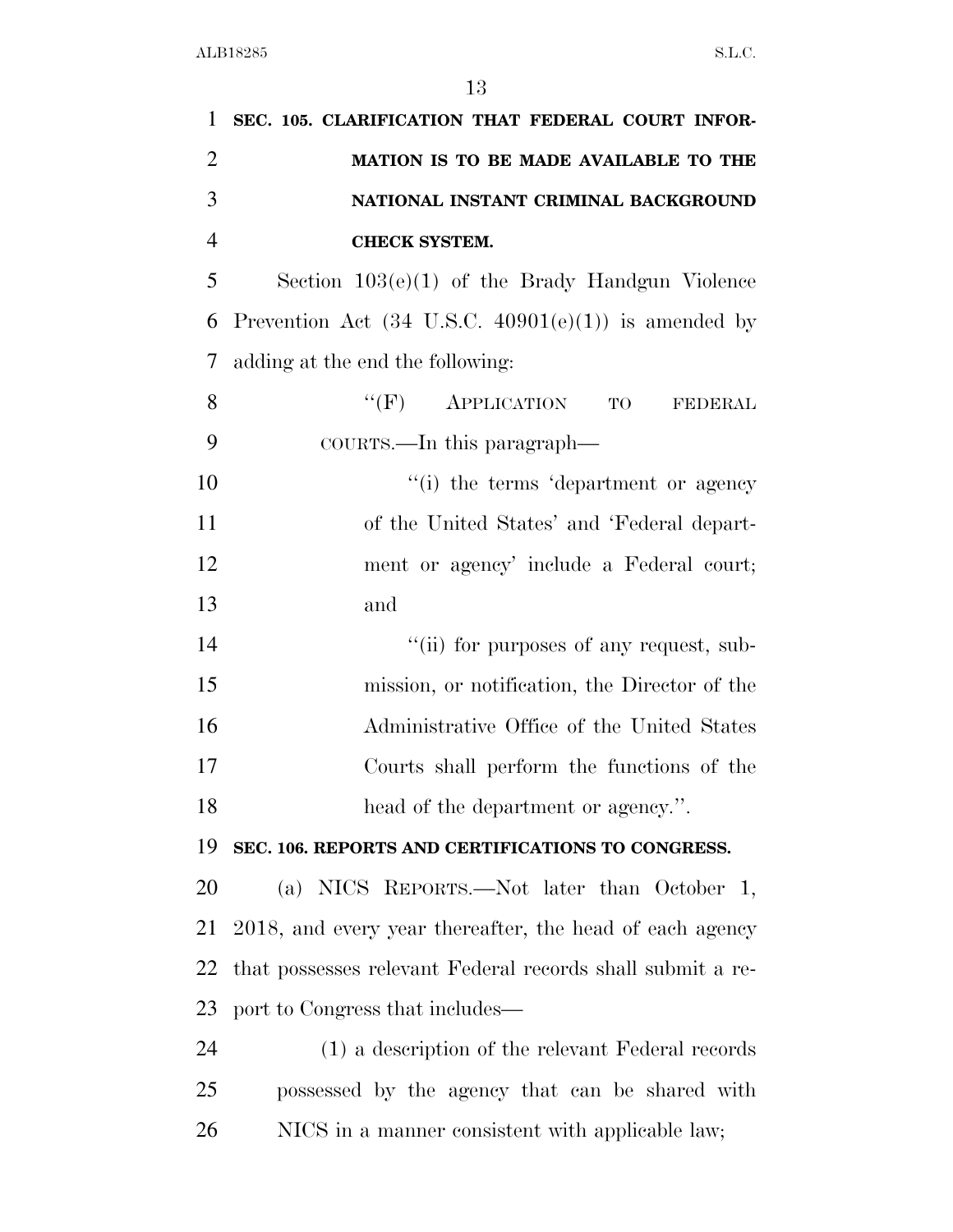| 1              | SEC. 105. CLARIFICATION THAT FEDERAL COURT INFOR-               |
|----------------|-----------------------------------------------------------------|
| $\overline{2}$ | MATION IS TO BE MADE AVAILABLE TO THE                           |
| 3              | NATIONAL INSTANT CRIMINAL BACKGROUND                            |
| $\overline{4}$ | <b>CHECK SYSTEM.</b>                                            |
| 5              | Section $103(e)(1)$ of the Brady Handgun Violence               |
| 6              | Prevention Act $(34 \text{ U.S.C. } 40901(e)(1))$ is amended by |
| 7              | adding at the end the following:                                |
| 8              | $``(F)$ APPLICATION<br>TO<br><b>FEDERAL</b>                     |
| 9              | COURTS.—In this paragraph—                                      |
| 10             | "(i) the terms 'department or agency"                           |
| 11             | of the United States' and 'Federal depart-                      |
| 12             | ment or agency' include a Federal court;                        |
| 13             | and                                                             |
| 14             | "(ii) for purposes of any request, sub-                         |
| 15             | mission, or notification, the Director of the                   |
| 16             | Administrative Office of the United States                      |
| 17             | Courts shall perform the functions of the                       |
| 18             | head of the department or agency.".                             |
| 19             | SEC. 106. REPORTS AND CERTIFICATIONS TO CONGRESS.               |
| 20             | (a) NICS REPORTS.—Not later than October 1,                     |
| 21             | 2018, and every year thereafter, the head of each agency        |
| 22             | that possesses relevant Federal records shall submit a re-      |
| 23             | port to Congress that includes—                                 |
| 24             | (1) a description of the relevant Federal records               |
| 25             | possessed by the agency that can be shared with                 |
| 26             | NICS in a manner consistent with applicable law;                |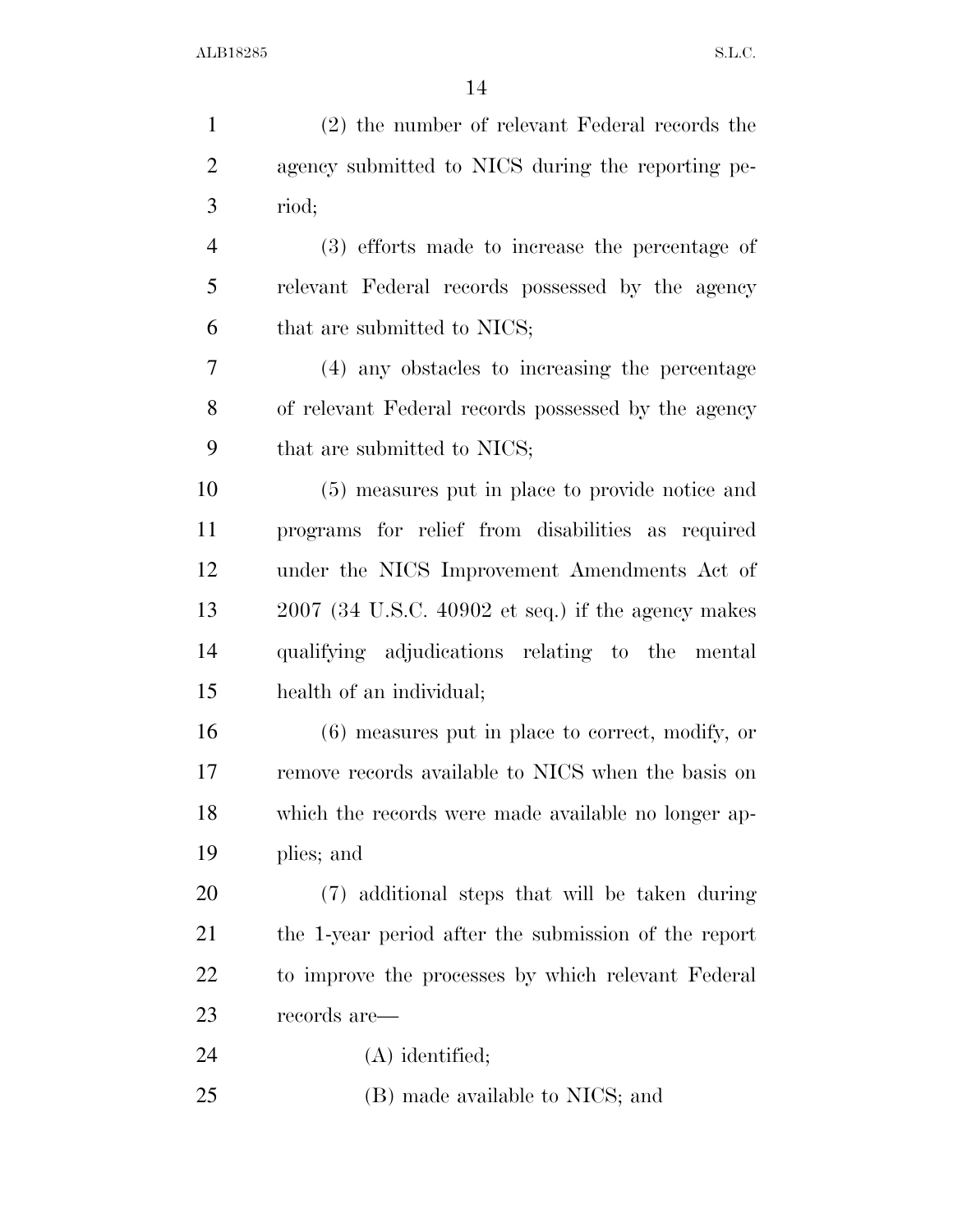| $\mathbf{1}$   | (2) the number of relevant Federal records the       |
|----------------|------------------------------------------------------|
| $\overline{2}$ | agency submitted to NICS during the reporting pe-    |
| 3              | riod;                                                |
| $\overline{4}$ | (3) efforts made to increase the percentage of       |
| 5              | relevant Federal records possessed by the agency     |
| 6              | that are submitted to NICS;                          |
| $\tau$         | (4) any obstacles to increasing the percentage       |
| 8              | of relevant Federal records possessed by the agency  |
| 9              | that are submitted to NICS;                          |
| 10             | (5) measures put in place to provide notice and      |
| 11             | programs for relief from disabilities as required    |
| 12             | under the NICS Improvement Amendments Act of         |
| 13             | $2007$ (34 U.S.C. 40902 et seq.) if the agency makes |
| 14             | qualifying adjudications relating to the mental      |
| 15             | health of an individual;                             |
| 16             | $(6)$ measures put in place to correct, modify, or   |
| 17             | remove records available to NICS when the basis on   |
| 18             | which the records were made available no longer ap-  |
| 19             | plies; and                                           |
| 20             | (7) additional steps that will be taken during       |
| 21             | the 1-year period after the submission of the report |
| 22             | to improve the processes by which relevant Federal   |
| 23             | records are—                                         |
| 24             | $(A)$ identified;                                    |
| 25             | (B) made available to NICS; and                      |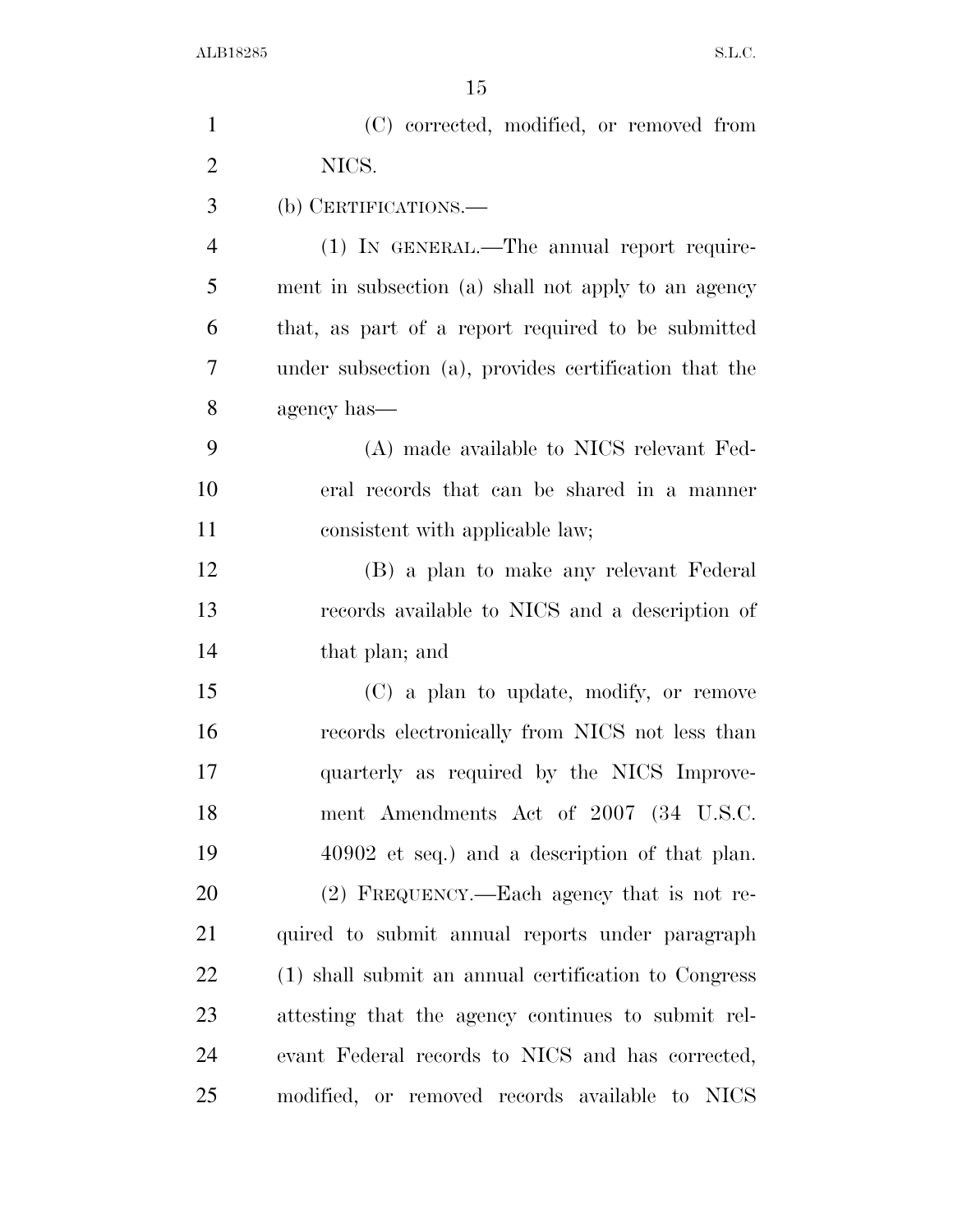| $\mathbf{1}$   | (C) corrected, modified, or removed from              |
|----------------|-------------------------------------------------------|
| $\overline{2}$ | NICS.                                                 |
| 3              | (b) CERTIFICATIONS.—                                  |
| $\overline{4}$ | (1) IN GENERAL.—The annual report require-            |
| 5              | ment in subsection (a) shall not apply to an agency   |
| 6              | that, as part of a report required to be submitted    |
| 7              | under subsection (a), provides certification that the |
| 8              | agency has—                                           |
| 9              | (A) made available to NICS relevant Fed-              |
| 10             | eral records that can be shared in a manner           |
| 11             | consistent with applicable law;                       |
| 12             | (B) a plan to make any relevant Federal               |
| 13             | records available to NICS and a description of        |
| 14             | that plan; and                                        |
| 15             | (C) a plan to update, modify, or remove               |
| 16             | records electronically from NICS not less than        |
| 17             | quarterly as required by the NICS Improve-            |
| 18             | ment Amendments Act of 2007 (34 U.S.C.                |
| 19             | 40902 et seq.) and a description of that plan.        |
| 20             | (2) FREQUENCY.—Each agency that is not re-            |
| 21             | quired to submit annual reports under paragraph       |
| 22             | (1) shall submit an annual certification to Congress  |
| 23             | attesting that the agency continues to submit rel-    |
| 24             | evant Federal records to NICS and has corrected,      |
| 25             | modified, or removed records available to NICS        |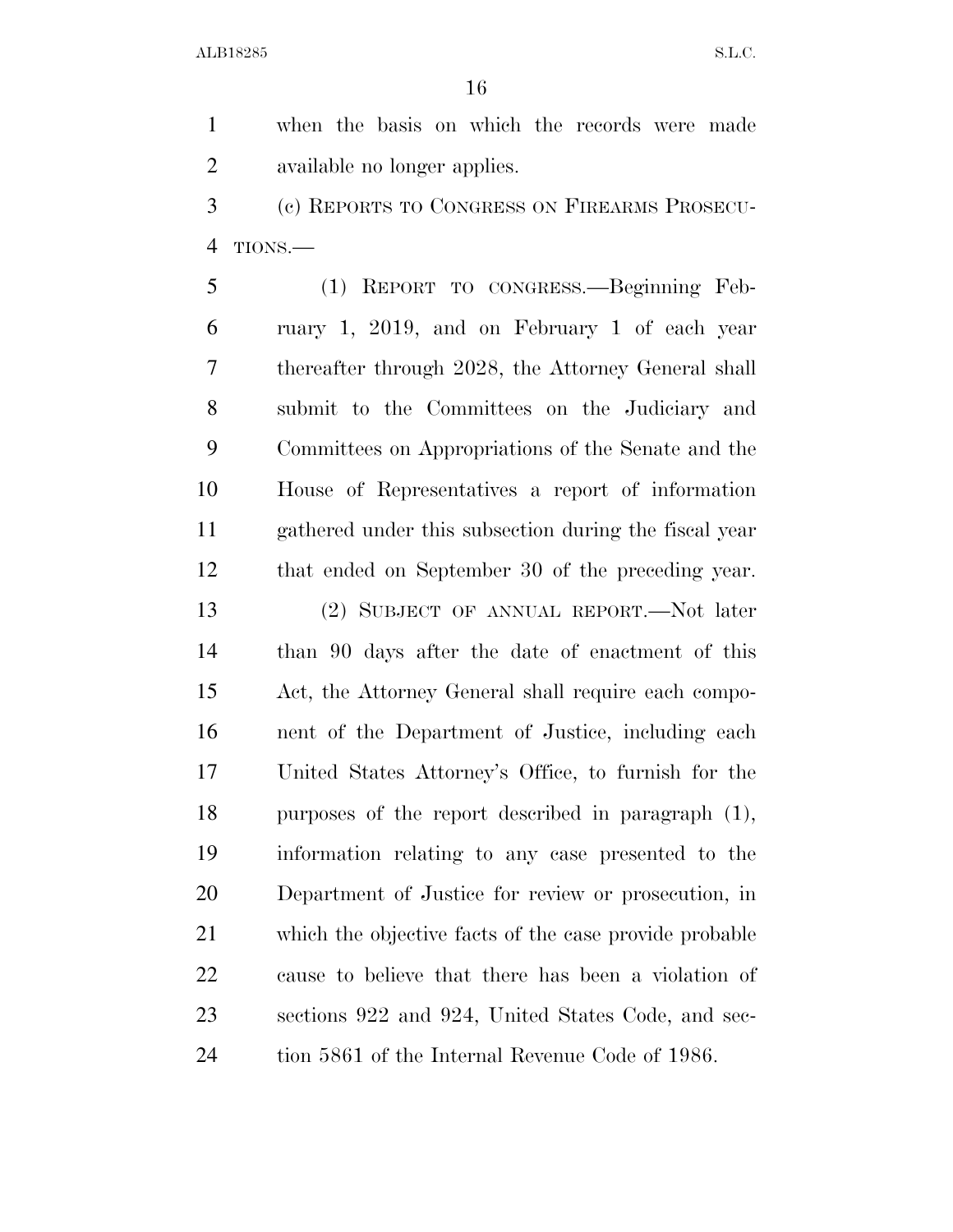when the basis on which the records were made available no longer applies.

 (c) REPORTS TO CONGRESS ON FIREARMS PROSECU-TIONS.—

 (1) REPORT TO CONGRESS.—Beginning Feb- ruary 1, 2019, and on February 1 of each year thereafter through 2028, the Attorney General shall submit to the Committees on the Judiciary and Committees on Appropriations of the Senate and the House of Representatives a report of information gathered under this subsection during the fiscal year that ended on September 30 of the preceding year.

 (2) SUBJECT OF ANNUAL REPORT.—Not later than 90 days after the date of enactment of this Act, the Attorney General shall require each compo- nent of the Department of Justice, including each United States Attorney's Office, to furnish for the purposes of the report described in paragraph (1), information relating to any case presented to the Department of Justice for review or prosecution, in which the objective facts of the case provide probable cause to believe that there has been a violation of sections 922 and 924, United States Code, and sec-tion 5861 of the Internal Revenue Code of 1986.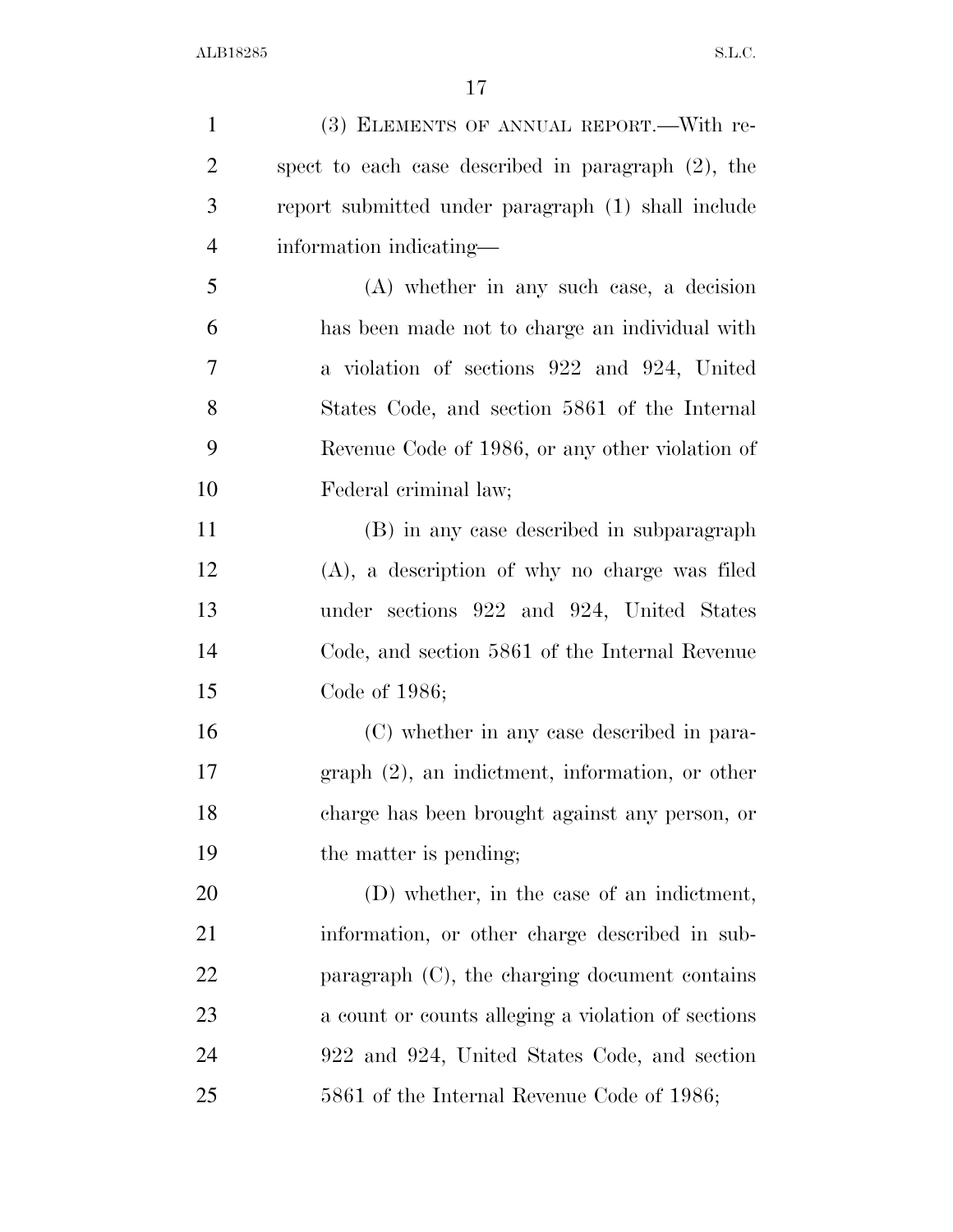| $\mathbf{1}$   | (3) ELEMENTS OF ANNUAL REPORT.—With re-               |
|----------------|-------------------------------------------------------|
| $\overline{c}$ | spect to each case described in paragraph $(2)$ , the |
| 3              | report submitted under paragraph (1) shall include    |
| $\overline{4}$ | information indicating—                               |
| 5              | (A) whether in any such case, a decision              |
| 6              | has been made not to charge an individual with        |
| $\tau$         | a violation of sections 922 and 924, United           |
| 8              | States Code, and section 5861 of the Internal         |
| 9              | Revenue Code of 1986, or any other violation of       |
| 10             | Federal criminal law;                                 |
| 11             | (B) in any case described in subparagraph             |
| 12             | (A), a description of why no charge was filed         |
| 13             | under sections 922 and 924, United States             |
| 14             | Code, and section 5861 of the Internal Revenue        |
| 15             | Code of 1986;                                         |
| 16             | (C) whether in any case described in para-            |
| 17             | $graph (2)$ , an indictment, information, or other    |
| 18             | charge has been brought against any person, or        |
| 19             | the matter is pending;                                |
| 20             | (D) whether, in the case of an indictment,            |
| 21             | information, or other charge described in sub-        |
| 22             | paragraph $(C)$ , the charging document contains      |
| 23             | a count or counts alleging a violation of sections    |
| 24             | 922 and 924, United States Code, and section          |
| 25             | 5861 of the Internal Revenue Code of 1986;            |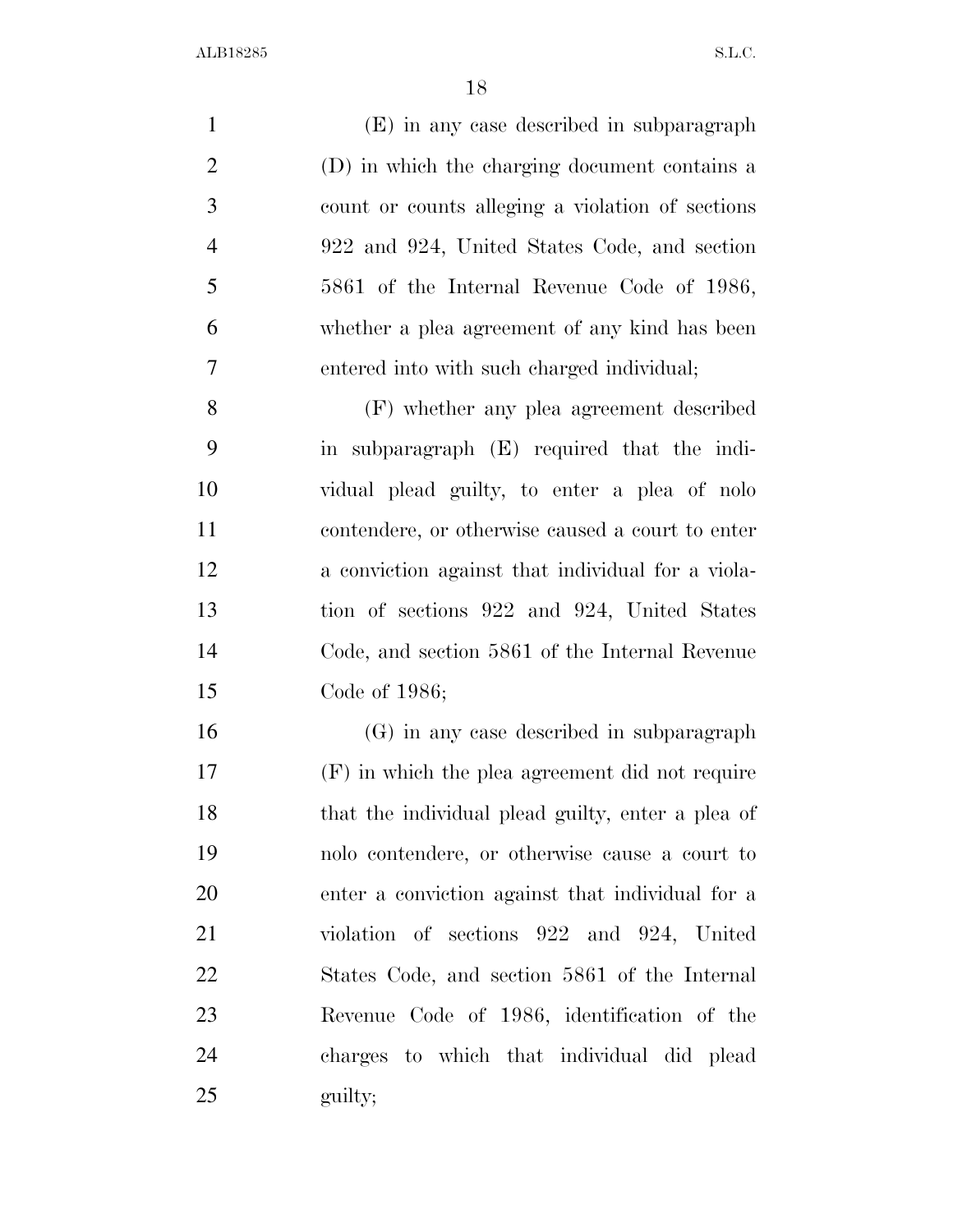(E) in any case described in subparagraph (D) in which the charging document contains a count or counts alleging a violation of sections 922 and 924, United States Code, and section 5861 of the Internal Revenue Code of 1986, whether a plea agreement of any kind has been entered into with such charged individual; (F) whether any plea agreement described in subparagraph (E) required that the indi- vidual plead guilty, to enter a plea of nolo contendere, or otherwise caused a court to enter a conviction against that individual for a viola- tion of sections 922 and 924, United States Code, and section 5861 of the Internal Revenue Code of 1986; (G) in any case described in subparagraph (F) in which the plea agreement did not require that the individual plead guilty, enter a plea of nolo contendere, or otherwise cause a court to enter a conviction against that individual for a

 violation of sections 922 and 924, United States Code, and section 5861 of the Internal Revenue Code of 1986, identification of the charges to which that individual did plead 25 guilty;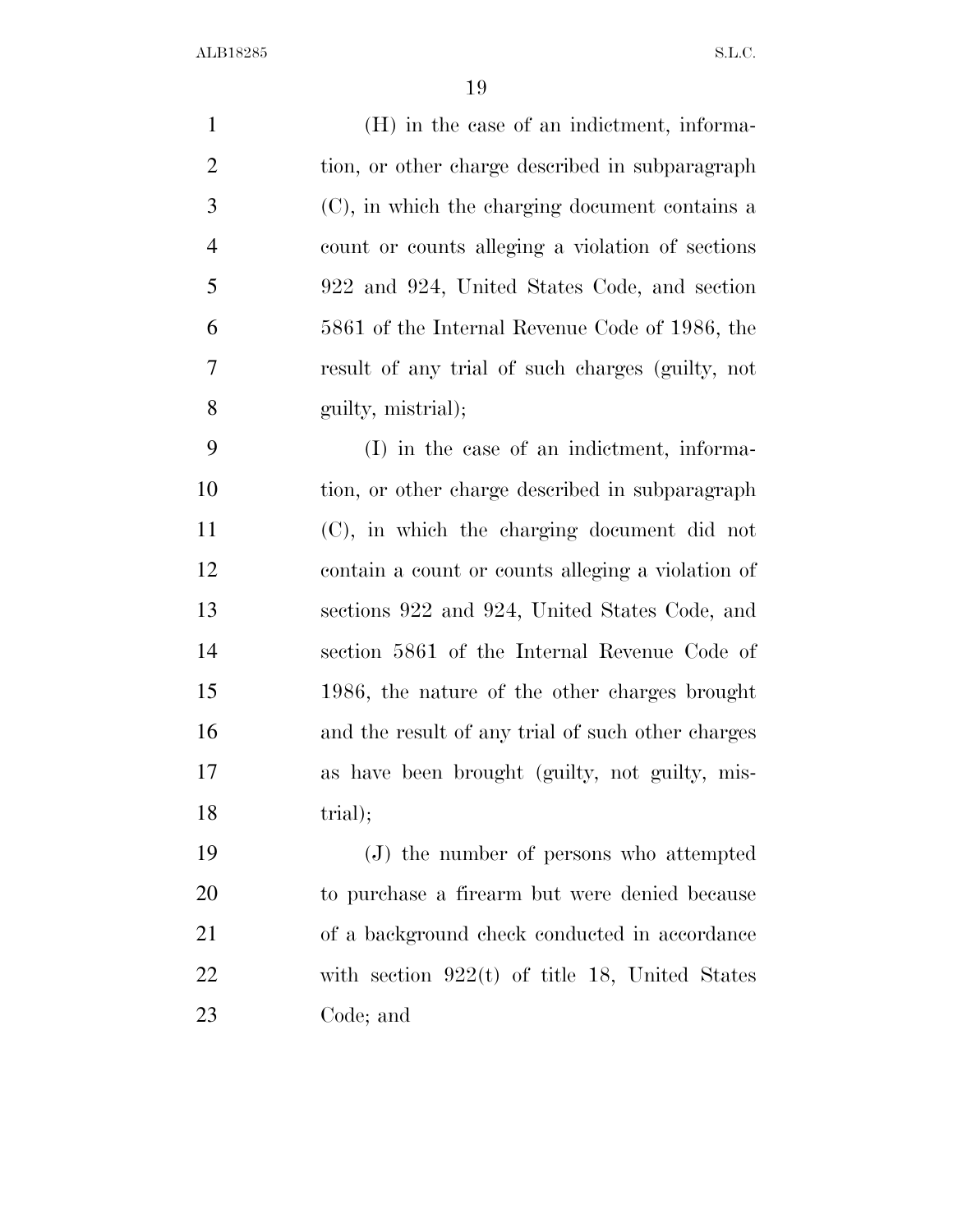(H) in the case of an indictment, informa- tion, or other charge described in subparagraph (C), in which the charging document contains a count or counts alleging a violation of sections 922 and 924, United States Code, and section 5861 of the Internal Revenue Code of 1986, the result of any trial of such charges (guilty, not guilty, mistrial); (I) in the case of an indictment, informa-tion, or other charge described in subparagraph

 (C), in which the charging document did not contain a count or counts alleging a violation of sections 922 and 924, United States Code, and section 5861 of the Internal Revenue Code of 1986, the nature of the other charges brought and the result of any trial of such other charges as have been brought (guilty, not guilty, mis-18 trial);

 (J) the number of persons who attempted to purchase a firearm but were denied because of a background check conducted in accordance with section 922(t) of title 18, United States Code; and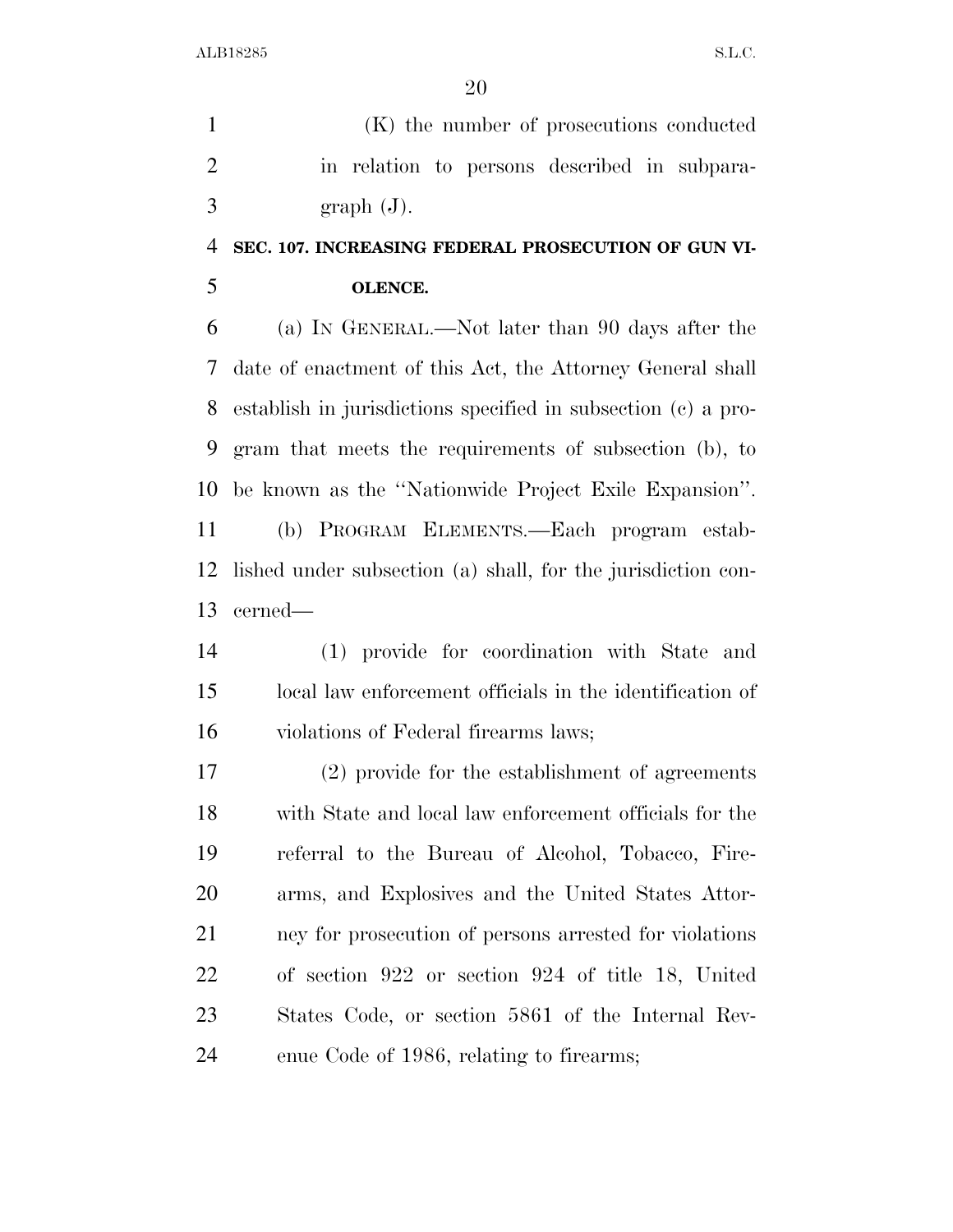(K) the number of prosecutions conducted in relation to persons described in subpara- $3 \quad \text{graph } (J).$ 

### **SEC. 107. INCREASING FEDERAL PROSECUTION OF GUN VI-OLENCE.**

 (a) IN GENERAL.—Not later than 90 days after the date of enactment of this Act, the Attorney General shall establish in jurisdictions specified in subsection (c) a pro- gram that meets the requirements of subsection (b), to be known as the ''Nationwide Project Exile Expansion''. (b) PROGRAM ELEMENTS.—Each program estab- lished under subsection (a) shall, for the jurisdiction con-cerned—

 (1) provide for coordination with State and local law enforcement officials in the identification of violations of Federal firearms laws;

 (2) provide for the establishment of agreements with State and local law enforcement officials for the referral to the Bureau of Alcohol, Tobacco, Fire- arms, and Explosives and the United States Attor- ney for prosecution of persons arrested for violations of section 922 or section 924 of title 18, United States Code, or section 5861 of the Internal Rev-enue Code of 1986, relating to firearms;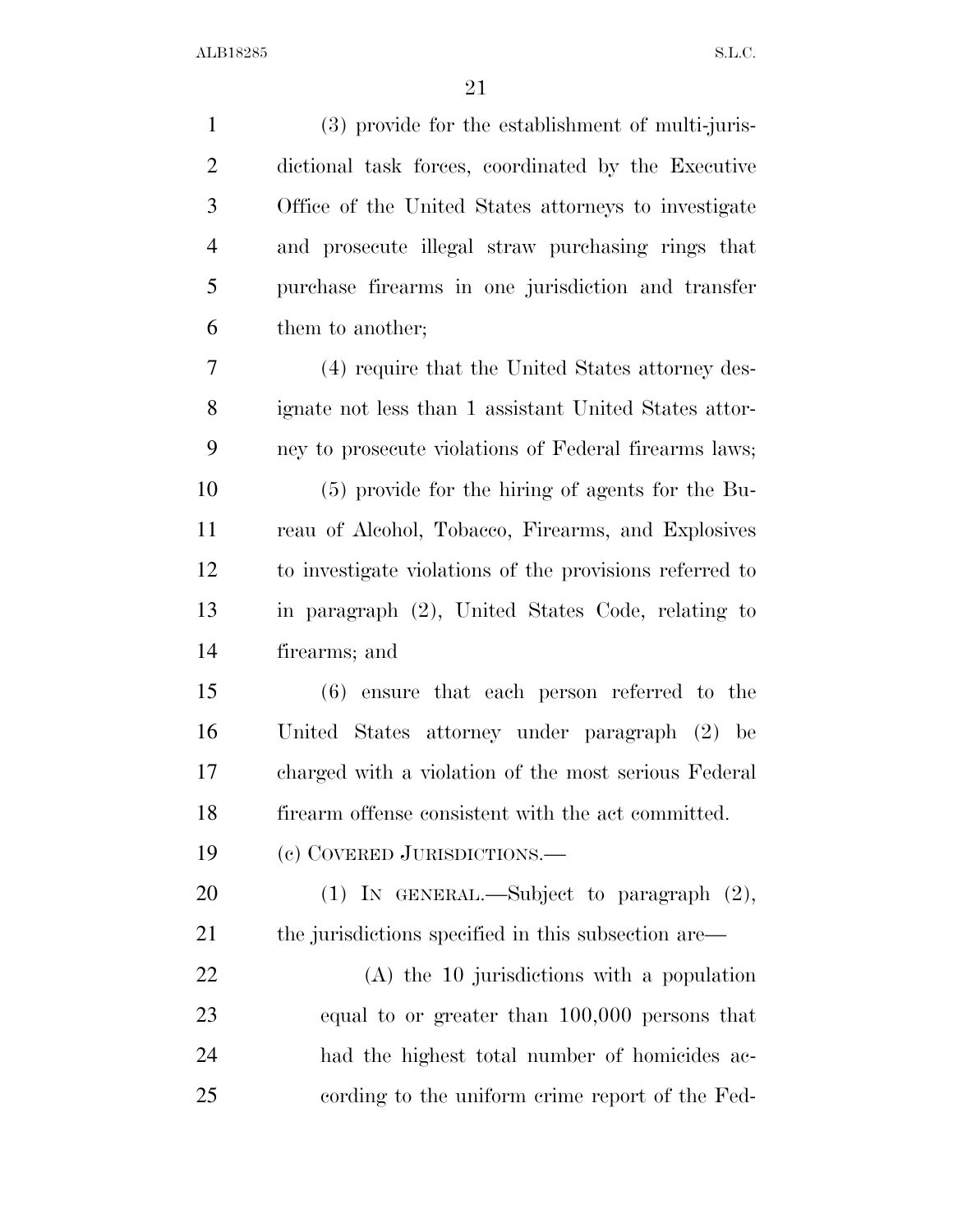| $\mathbf{1}$   | (3) provide for the establishment of multi-juris-       |
|----------------|---------------------------------------------------------|
| $\overline{2}$ | dictional task forces, coordinated by the Executive     |
| 3              | Office of the United States attorneys to investigate    |
| $\overline{4}$ | and prosecute illegal straw purchasing rings that       |
| 5              | purchase firearms in one jurisdiction and transfer      |
| 6              | them to another;                                        |
| 7              | (4) require that the United States attorney des-        |
| 8              | ignate not less than 1 assistant United States attor-   |
| 9              | ney to prosecute violations of Federal firearms laws;   |
| 10             | (5) provide for the hiring of agents for the Bu-        |
| 11             | reau of Alcohol, Tobacco, Firearms, and Explosives      |
| 12             | to investigate violations of the provisions referred to |
| 13             | in paragraph (2), United States Code, relating to       |
| 14             | firearms; and                                           |
| 15             | $(6)$ ensure that each person referred to the           |
| 16             | United States attorney under paragraph (2) be           |
| 17             | charged with a violation of the most serious Federal    |
| 18             | firearm offense consistent with the act committed.      |
| 19             | (c) COVERED JURISDICTIONS.                              |
| 20             | (1) IN GENERAL.—Subject to paragraph $(2)$ ,            |
| 21             | the jurisdictions specified in this subsection are—     |
| 22             | $(A)$ the 10 jurisdictions with a population            |
| 23             | equal to or greater than $100,000$ persons that         |
| 24             | had the highest total number of homicides ac-           |
| 25             | cording to the uniform crime report of the Fed-         |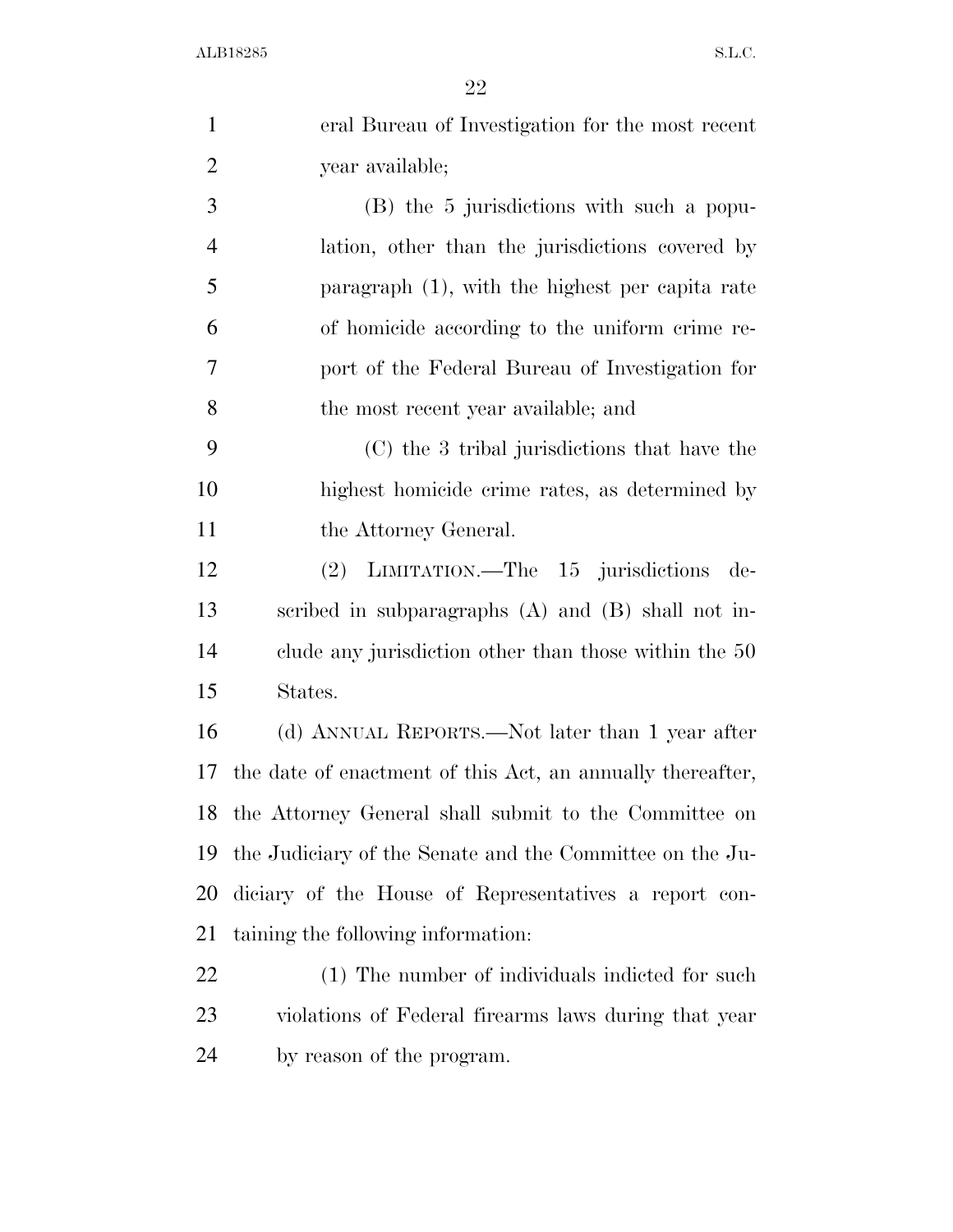| $\mathbf{1}$   | eral Bureau of Investigation for the most recent           |
|----------------|------------------------------------------------------------|
| $\overline{2}$ | year available;                                            |
| 3              | (B) the 5 jurisdictions with such a popu-                  |
| $\overline{4}$ | lation, other than the jurisdictions covered by            |
| 5              | paragraph $(1)$ , with the highest per capita rate         |
| 6              | of homicide according to the uniform crime re-             |
| 7              | port of the Federal Bureau of Investigation for            |
| 8              | the most recent year available; and                        |
| 9              | (C) the 3 tribal jurisdictions that have the               |
| 10             | highest homicide crime rates, as determined by             |
| 11             | the Attorney General.                                      |
| 12             | (2) LIMITATION.—The 15 jurisdictions de-                   |
| 13             | scribed in subparagraphs $(A)$ and $(B)$ shall not in-     |
| 14             | clude any jurisdiction other than those within the 50      |
| 15             | States.                                                    |
| 16             | (d) ANNUAL REPORTS.—Not later than 1 year after            |
| 17             | the date of enactment of this Act, an annually thereafter, |
|                | 18 the Attorney General shall submit to the Committee on   |
| 19             | the Judiciary of the Senate and the Committee on the Ju-   |
| 20             | diciary of the House of Representatives a report con-      |
| 21             | taining the following information:                         |
| 22             | (1) The number of individuals indicted for such            |
| 23             | violations of Federal firearms laws during that year       |
| 24             | by reason of the program.                                  |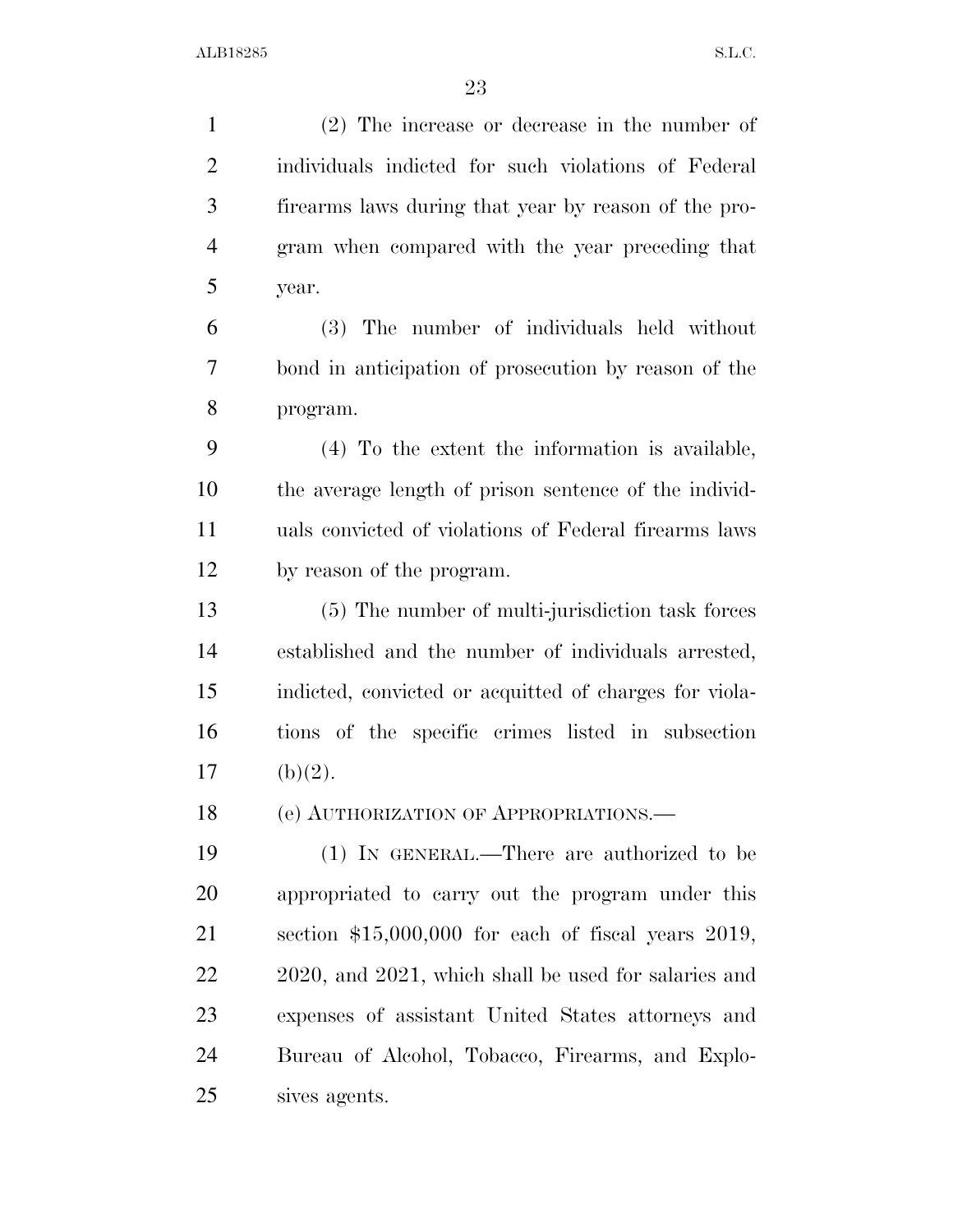(2) The increase or decrease in the number of individuals indicted for such violations of Federal firearms laws during that year by reason of the pro- gram when compared with the year preceding that year. (3) The number of individuals held without bond in anticipation of prosecution by reason of the program. (4) To the extent the information is available, the average length of prison sentence of the individ- uals convicted of violations of Federal firearms laws by reason of the program. (5) The number of multi-jurisdiction task forces established and the number of individuals arrested, indicted, convicted or acquitted of charges for viola- tions of the specific crimes listed in subsection 17 (b)(2). 18 (e) AUTHORIZATION OF APPROPRIATIONS. (1) IN GENERAL.—There are authorized to be appropriated to carry out the program under this section \$15,000,000 for each of fiscal years 2019, 2020, and 2021, which shall be used for salaries and expenses of assistant United States attorneys and Bureau of Alcohol, Tobacco, Firearms, and Explo-sives agents.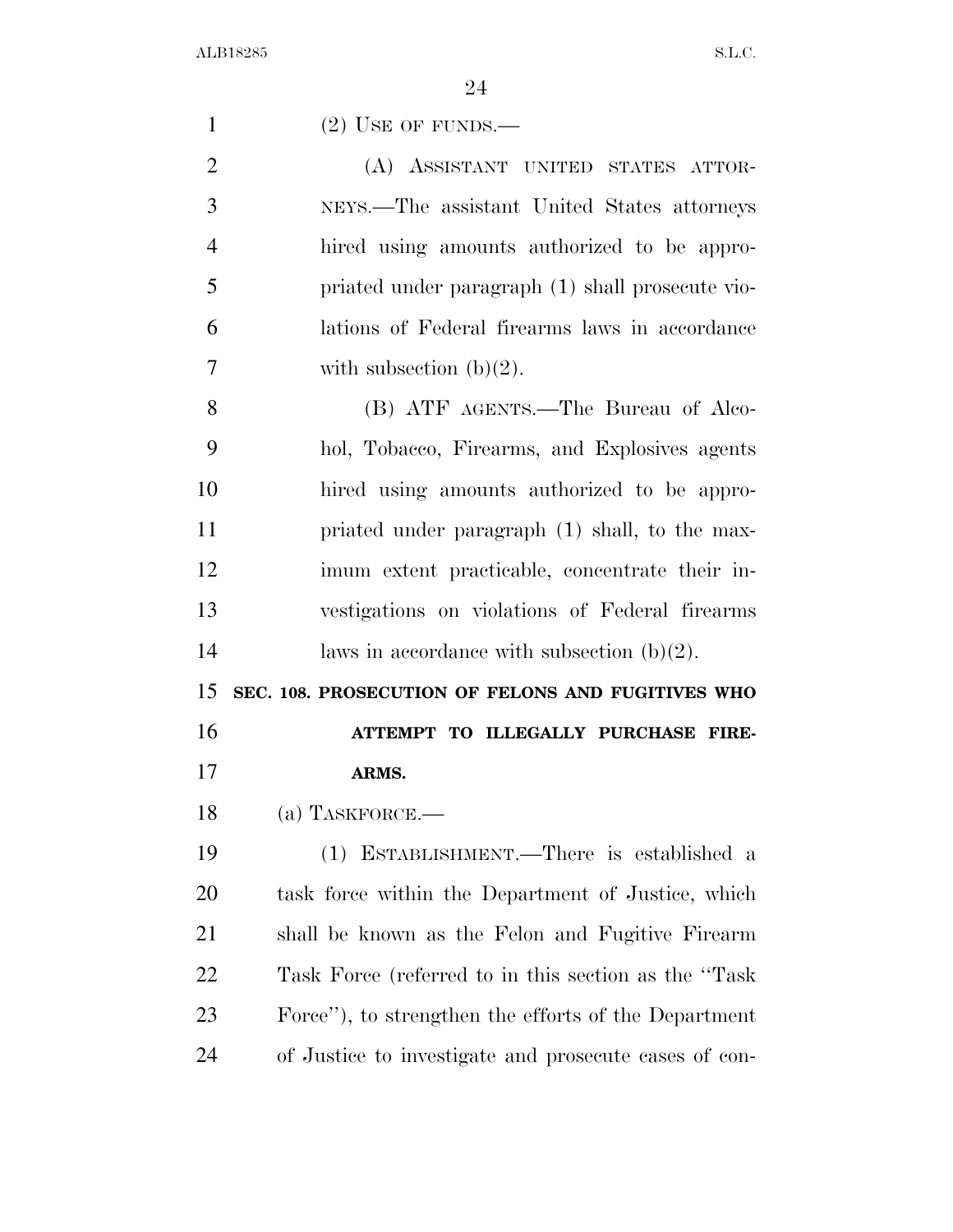| $\mathbf{1}$   | $(2)$ USE OF FUNDS.—                                  |
|----------------|-------------------------------------------------------|
| $\overline{2}$ | (A) ASSISTANT UNITED STATES ATTOR-                    |
| 3              | NEYS.—The assistant United States attorneys           |
| $\overline{4}$ | hired using amounts authorized to be appro-           |
| 5              | priated under paragraph (1) shall prosecute vio-      |
| 6              | lations of Federal firearms laws in accordance        |
| 7              | with subsection $(b)(2)$ .                            |
| 8              | (B) ATF AGENTS.—The Bureau of Alco-                   |
| 9              | hol, Tobacco, Firearms, and Explosives agents         |
| 10             | hired using amounts authorized to be appro-           |
| 11             | priated under paragraph (1) shall, to the max-        |
| 12             | imum extent practicable, concentrate their in-        |
| 13             | vestigations on violations of Federal firearms        |
| 14             | laws in accordance with subsection $(b)(2)$ .         |
| 15             | SEC. 108. PROSECUTION OF FELONS AND FUGITIVES WHO     |
| 16             | ATTEMPT TO ILLEGALLY PURCHASE FIRE-                   |
| 17             | ARMS.                                                 |
| 18             | (a) TASKFORCE.                                        |
| 19             | (1) ESTABLISHMENT.—There is established a             |
| 20             | task force within the Department of Justice, which    |
| 21             | shall be known as the Felon and Fugitive Firearm      |
| 22             | Task Force (referred to in this section as the "Task" |
|                |                                                       |
| 23             | Force"), to strengthen the efforts of the Department  |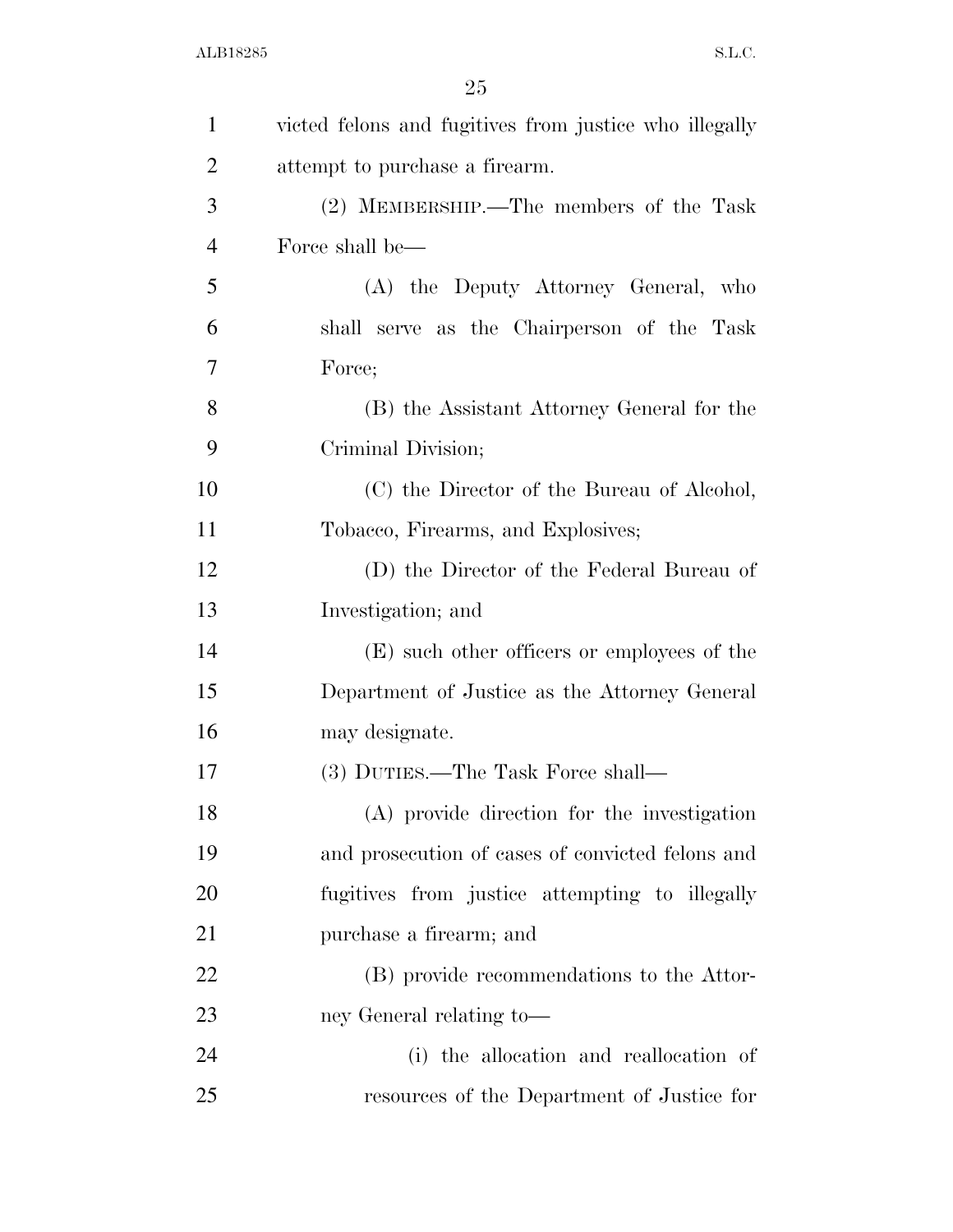| $\mathbf{1}$   | victed felons and fugitives from justice who illegally |
|----------------|--------------------------------------------------------|
| $\overline{2}$ | attempt to purchase a firearm.                         |
| 3              | (2) MEMBERSHIP.—The members of the Task                |
| $\overline{4}$ | Force shall be—                                        |
| 5              | (A) the Deputy Attorney General, who                   |
| 6              | shall serve as the Chairperson of the Task             |
| 7              | Force;                                                 |
| 8              | (B) the Assistant Attorney General for the             |
| 9              | Criminal Division;                                     |
| 10             | (C) the Director of the Bureau of Alcohol,             |
| 11             | Tobacco, Firearms, and Explosives;                     |
| 12             | (D) the Director of the Federal Bureau of              |
| 13             | Investigation; and                                     |
| 14             | (E) such other officers or employees of the            |
| 15             | Department of Justice as the Attorney General          |
| 16             | may designate.                                         |
| 17             | (3) DUTIES.—The Task Force shall—                      |
| 18             | (A) provide direction for the investigation            |
| 19             | and prosecution of cases of convicted felons and       |
| 20             | fugitives from justice attempting to illegally         |
| 21             | purchase a firearm; and                                |
| 22             | (B) provide recommendations to the Attor-              |
| 23             | ney General relating to-                               |
| 24             | (i) the allocation and reallocation of                 |
| 25             | resources of the Department of Justice for             |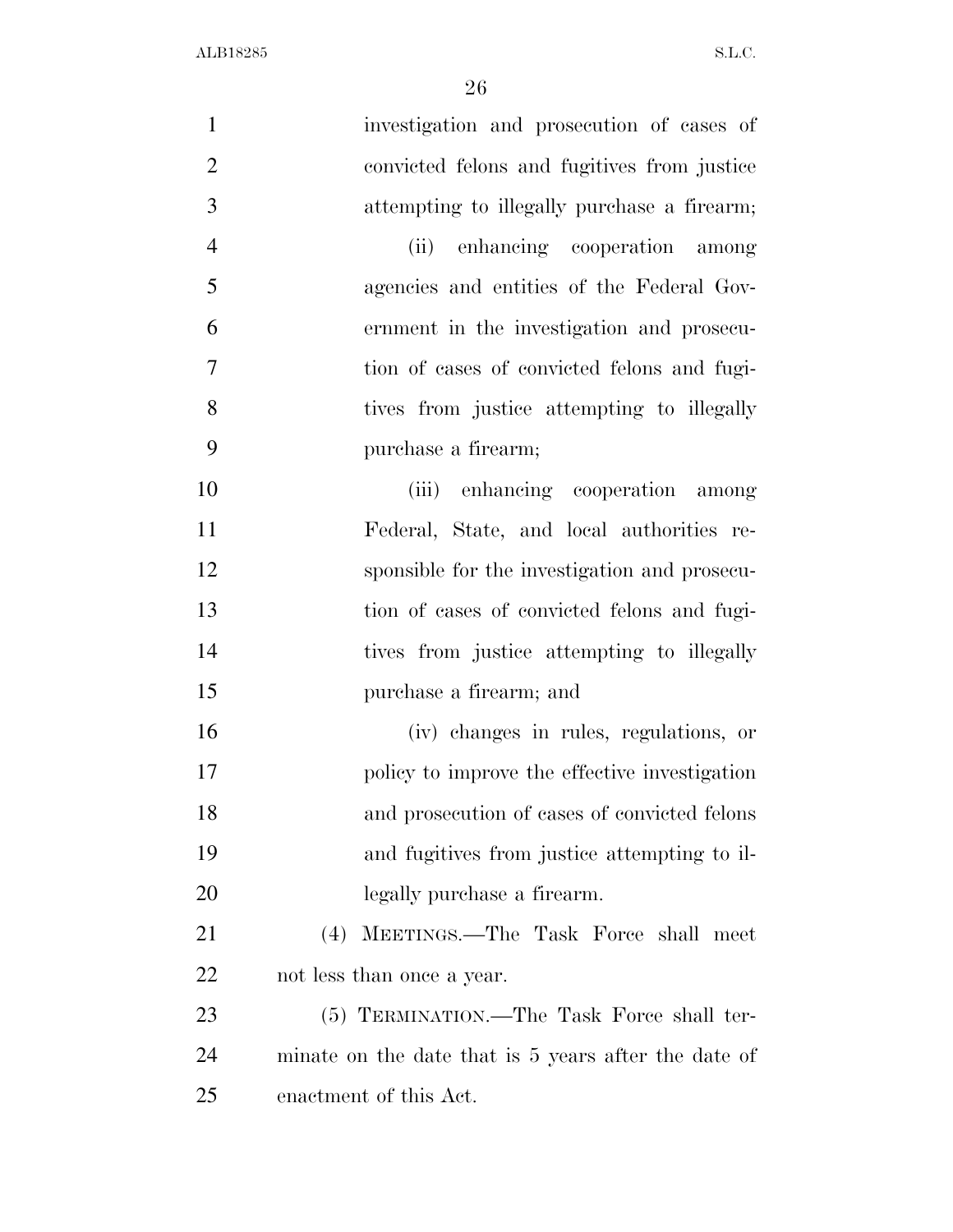| $\mathbf{1}$   | investigation and prosecution of cases of            |
|----------------|------------------------------------------------------|
| $\overline{2}$ | convicted felons and fugitives from justice          |
| 3              | attempting to illegally purchase a firearm;          |
| $\overline{4}$ | (ii) enhancing cooperation among                     |
| 5              | agencies and entities of the Federal Gov-            |
| 6              | ernment in the investigation and prosecu-            |
| 7              | tion of cases of convicted felons and fugi-          |
| 8              | tives from justice attempting to illegally           |
| 9              | purchase a firearm;                                  |
| 10             | (iii) enhancing cooperation among                    |
| 11             | Federal, State, and local authorities re-            |
| 12             | sponsible for the investigation and prosecu-         |
| 13             | tion of cases of convicted felons and fugi-          |
| 14             | tives from justice attempting to illegally           |
| 15             | purchase a firearm; and                              |
| 16             | (iv) changes in rules, regulations, or               |
| 17             | policy to improve the effective investigation        |
| 18             | and prosecution of cases of convicted felons         |
| 19             | and fugitives from justice attempting to il-         |
| 20             | legally purchase a firearm.                          |
| 21             | MEETINGS.—The Task Force shall meet<br>(4)           |
| 22             | not less than once a year.                           |
| 23             | (5) TERMINATION.—The Task Force shall ter-           |
| 24             | minate on the date that is 5 years after the date of |
| 25             | enactment of this Act.                               |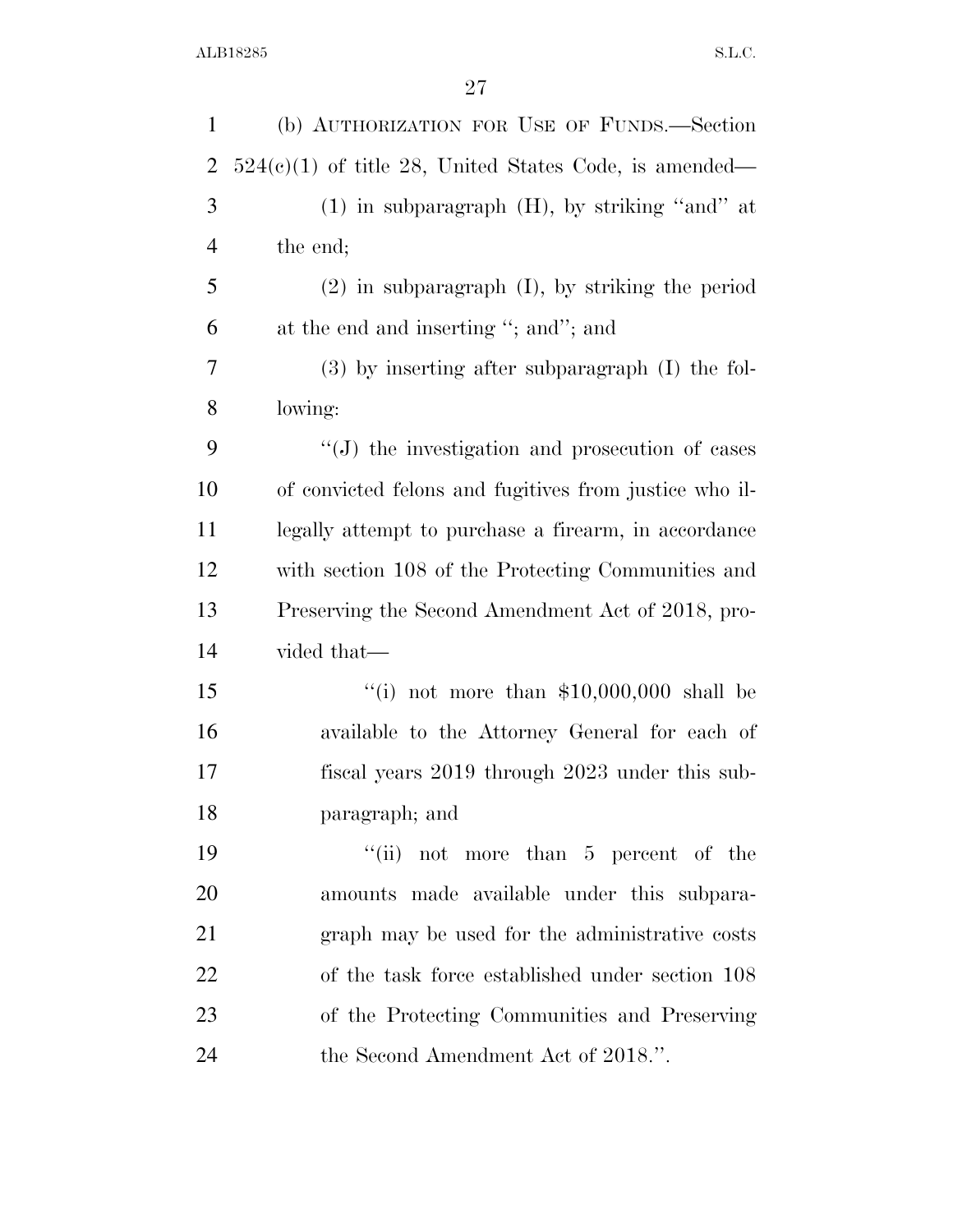| $\mathbf{1}$   | (b) AUTHORIZATION FOR USE OF FUNDS.-Section              |
|----------------|----------------------------------------------------------|
| $\overline{2}$ | $524(c)(1)$ of title 28, United States Code, is amended— |
| 3              | $(1)$ in subparagraph $(H)$ , by striking "and" at       |
| 4              | the end;                                                 |
| 5              | $(2)$ in subparagraph $(I)$ , by striking the period     |
| 6              | at the end and inserting "; and"; and                    |
| 7              | $(3)$ by inserting after subparagraph $(I)$ the fol-     |
| $8\,$          | lowing:                                                  |
| 9              | $\lq\lq$ the investigation and prosecution of cases      |
| 10             | of convicted felons and fugitives from justice who il-   |
| 11             | legally attempt to purchase a firearm, in accordance     |
| 12             | with section 108 of the Protecting Communities and       |
| 13             | Preserving the Second Amendment Act of 2018, pro-        |
| 14             | vided that—                                              |
| 15             | "(i) not more than $$10,000,000$ shall be                |
| 16             | available to the Attorney General for each of            |
| 17             | fiscal years 2019 through 2023 under this sub-           |
| 18             | paragraph; and                                           |
| 19             | "(ii) not more than $5$ percent of the                   |
| <b>20</b>      | amounts made available under this subpara-               |
| 21             | graph may be used for the administrative costs           |
| 22             | of the task force established under section 108          |
| 23             | of the Protecting Communities and Preserving             |
| 24             | the Second Amendment Act of 2018.".                      |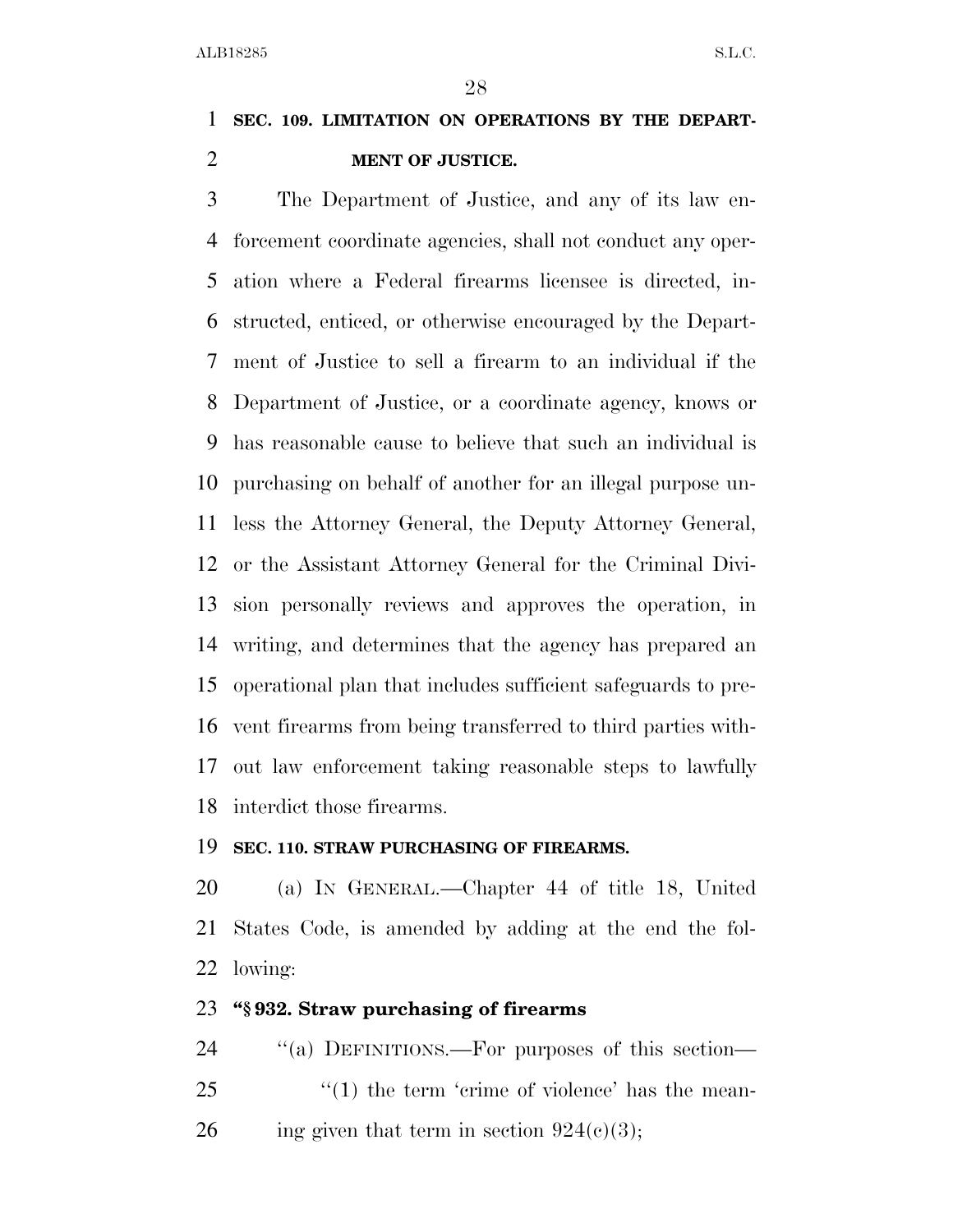### **SEC. 109. LIMITATION ON OPERATIONS BY THE DEPART-MENT OF JUSTICE.**

 The Department of Justice, and any of its law en- forcement coordinate agencies, shall not conduct any oper- ation where a Federal firearms licensee is directed, in- structed, enticed, or otherwise encouraged by the Depart- ment of Justice to sell a firearm to an individual if the Department of Justice, or a coordinate agency, knows or has reasonable cause to believe that such an individual is purchasing on behalf of another for an illegal purpose un- less the Attorney General, the Deputy Attorney General, or the Assistant Attorney General for the Criminal Divi- sion personally reviews and approves the operation, in writing, and determines that the agency has prepared an operational plan that includes sufficient safeguards to pre- vent firearms from being transferred to third parties with- out law enforcement taking reasonable steps to lawfully interdict those firearms.

### **SEC. 110. STRAW PURCHASING OF FIREARMS.**

 (a) IN GENERAL.—Chapter 44 of title 18, United States Code, is amended by adding at the end the fol-lowing:

### **''§ 932. Straw purchasing of firearms**

24 "(a) DEFINITIONS.—For purposes of this section— 25 ''(1) the term 'crime of violence' has the mean-26 ing given that term in section  $924(c)(3)$ ;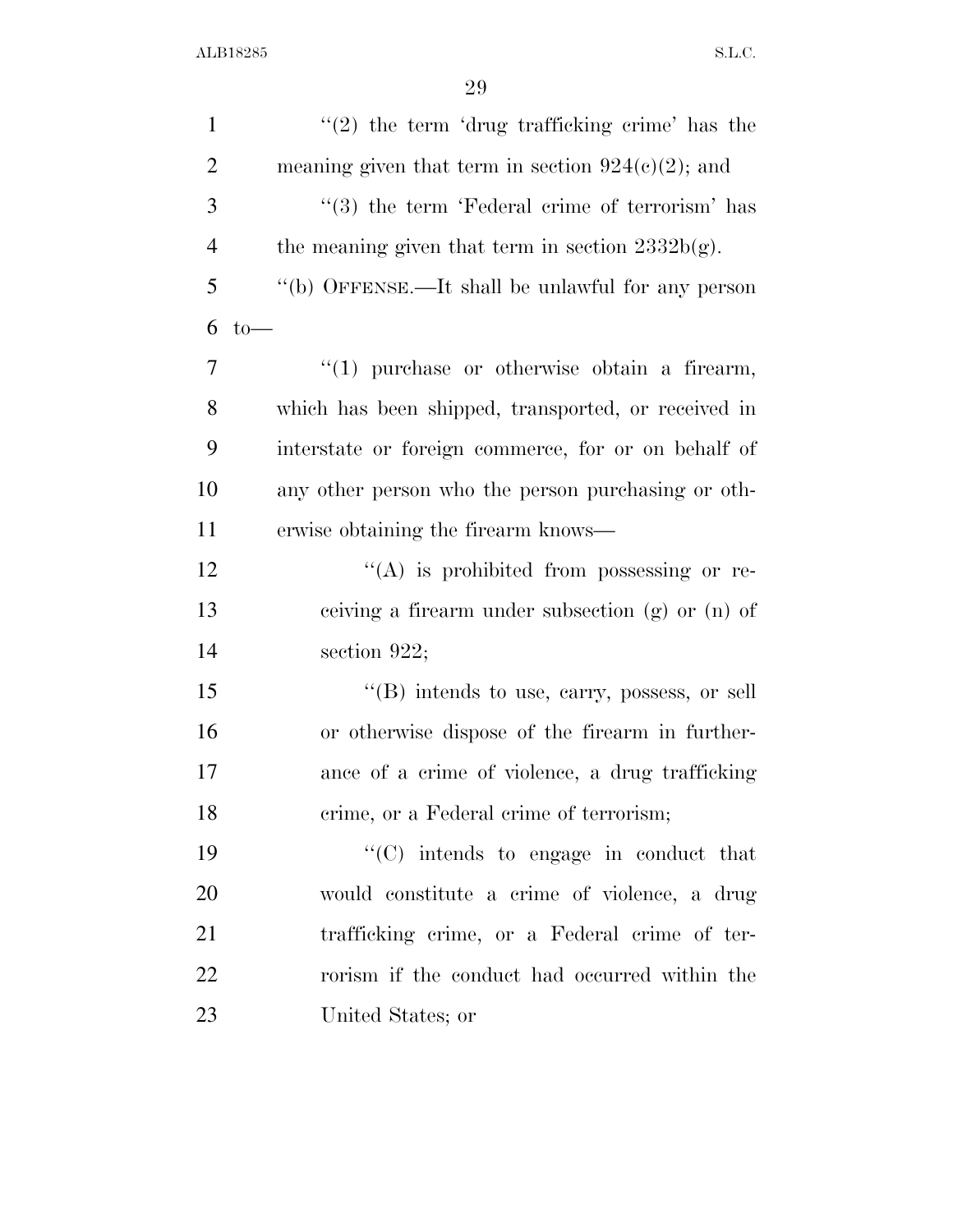| $\mathbf{1}$   | $"(2)$ the term 'drug trafficking crime' has the     |
|----------------|------------------------------------------------------|
| $\overline{2}$ | meaning given that term in section $924(c)(2)$ ; and |
| 3              | $\lq(3)$ the term 'Federal crime of terrorism' has   |
| $\overline{4}$ | the meaning given that term in section $2332b(g)$ .  |
| 5              | "(b) OFFENSE.—It shall be unlawful for any person    |
| 6              | $to-$                                                |
| $\overline{7}$ | $\lq(1)$ purchase or otherwise obtain a firearm,     |
| 8              | which has been shipped, transported, or received in  |
| 9              | interstate or foreign commerce, for or on behalf of  |
| 10             | any other person who the person purchasing or oth-   |
| 11             | erwise obtaining the firearm knows—                  |
| 12             | "(A) is prohibited from possessing or re-            |
| 13             | ceiving a firearm under subsection $(g)$ or $(n)$ of |
| 14             | section $922$ ;                                      |
| 15             | $\cdot$ (B) intends to use, carry, possess, or sell  |
| 16             | or otherwise dispose of the firearm in further-      |
| 17             | ance of a crime of violence, a drug trafficking      |
| 18             | crime, or a Federal crime of terrorism;              |
| 19             | $\cdot$ (C) intends to engage in conduct that        |
| 20             | would constitute a crime of violence, a drug         |
| 21             | trafficking crime, or a Federal crime of ter-        |
| 22             | rorism if the conduct had occurred within the        |
| 23             | United States; or                                    |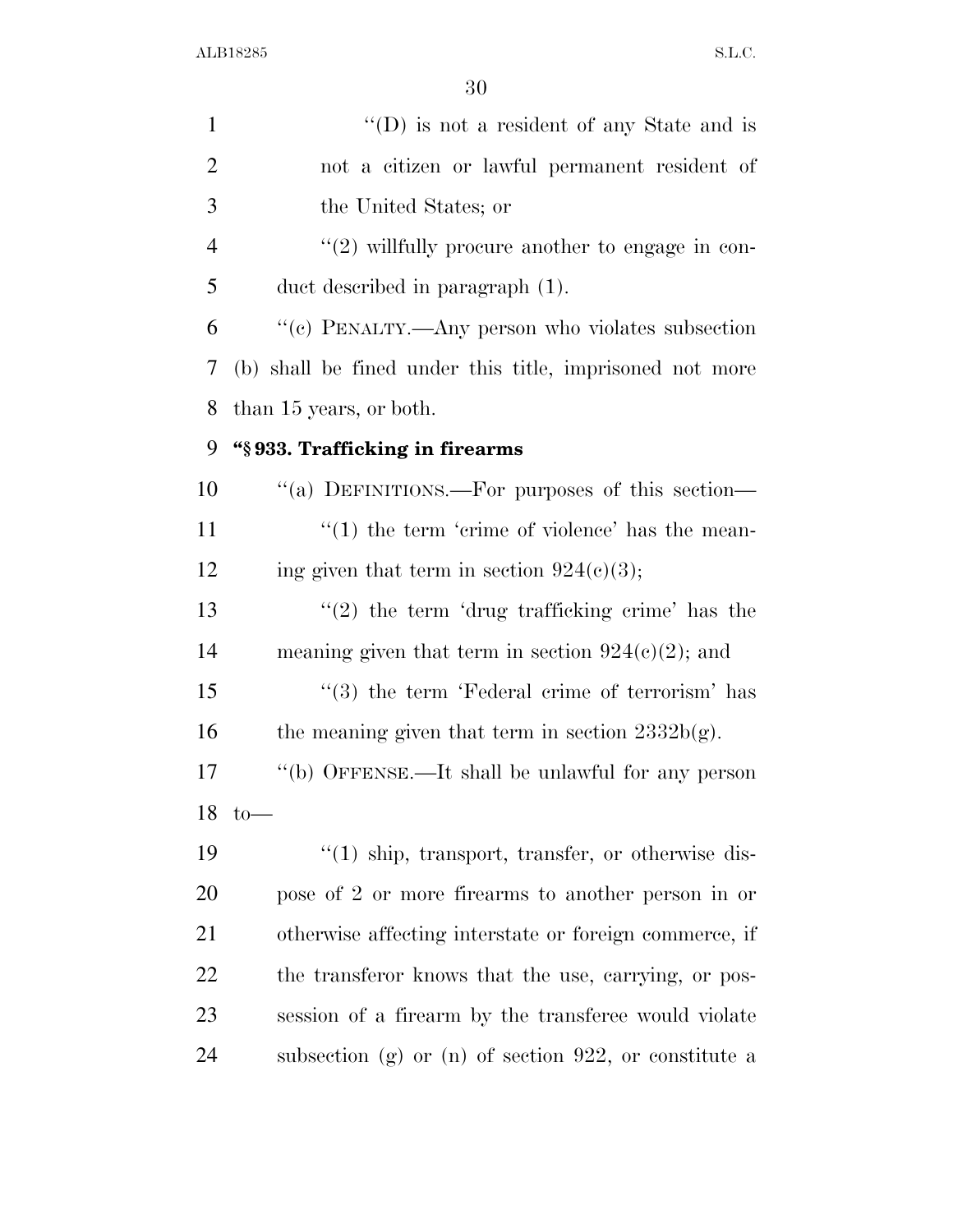| 1              | "(D) is not a resident of any State and is                     |
|----------------|----------------------------------------------------------------|
| $\overline{2}$ | not a citizen or lawful permanent resident of                  |
| 3              | the United States; or                                          |
| $\overline{4}$ | $"(2)$ willfully procure another to engage in con-             |
| 5              | duct described in paragraph (1).                               |
| 6              | "(c) PENALTY.—Any person who violates subsection               |
| 7              | (b) shall be fined under this title, imprisoned not more       |
| 8              | than 15 years, or both.                                        |
| 9              | "§933. Trafficking in firearms                                 |
| 10             | "(a) DEFINITIONS.—For purposes of this section—                |
| 11             | $\lq(1)$ the term 'crime of violence' has the mean-            |
| 12             | ing given that term in section $924(c)(3)$ ;                   |
| 13             | $\lq(2)$ the term 'drug trafficking crime' has the             |
| 14             | meaning given that term in section $924(c)(2)$ ; and           |
| 15             | $\cdot\cdot\cdot(3)$ the term 'Federal crime of terrorism' has |
| 16             | the meaning given that term in section $2332b(g)$ .            |
| 17             | "(b) OFFENSE.—It shall be unlawful for any person              |
|                | $18 \text{ to}$ —                                              |
| 19             | $\lq(1)$ ship, transport, transfer, or otherwise dis-          |
| 20             | pose of 2 or more firearms to another person in or             |
| 21             | otherwise affecting interstate or foreign commerce, if         |
| 22             | the transferor knows that the use, carrying, or pos-           |
| 23             | session of a firearm by the transferee would violate           |
| 24             | subsection (g) or (n) of section 922, or constitute a          |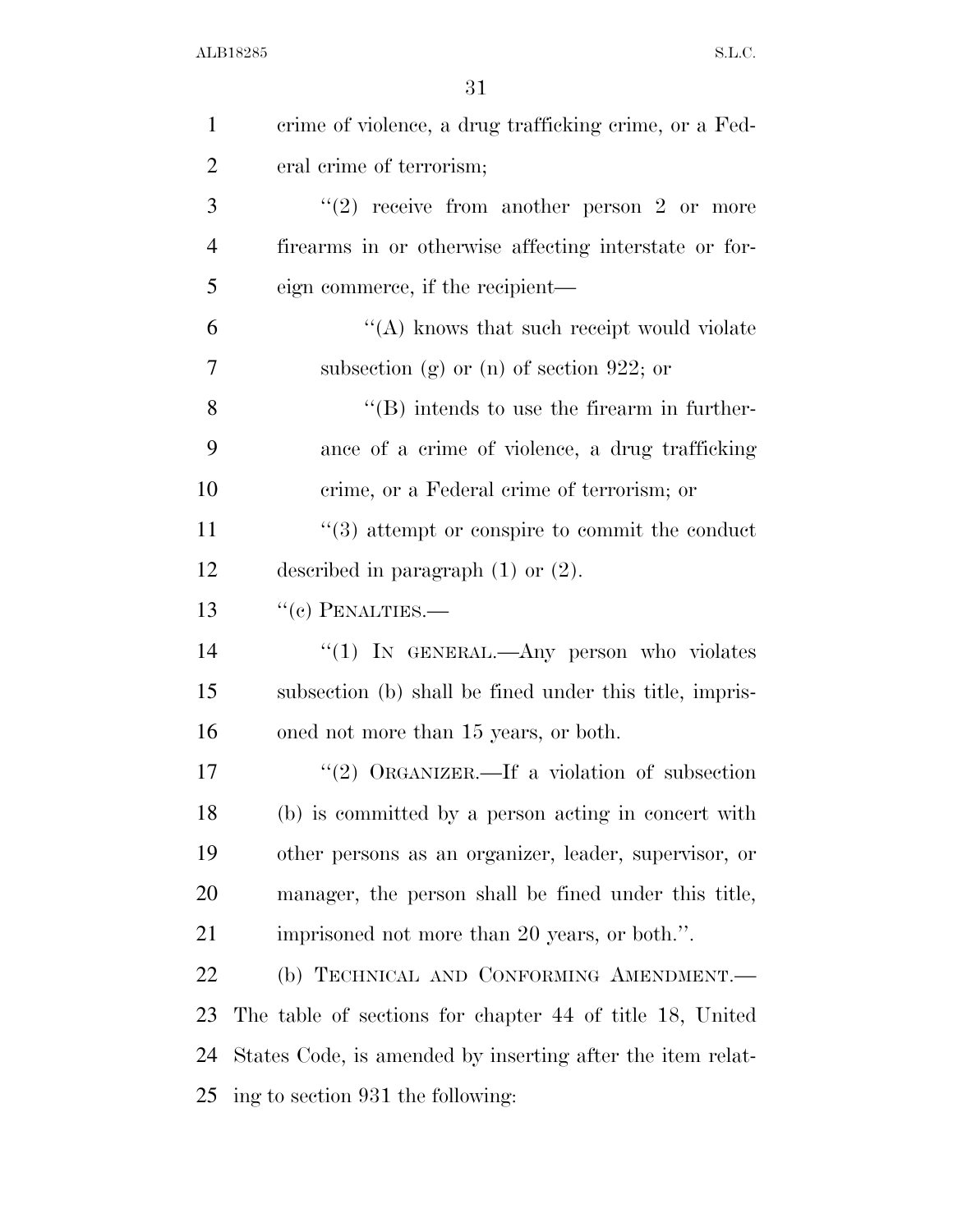| $\mathbf{1}$   | crime of violence, a drug trafficking crime, or a Fed-     |
|----------------|------------------------------------------------------------|
| $\overline{2}$ | eral crime of terrorism;                                   |
| 3              | "(2) receive from another person 2 or more                 |
| $\overline{4}$ | firearms in or otherwise affecting interstate or for-      |
| 5              | eign commerce, if the recipient—                           |
| 6              | "(A) knows that such receipt would violate                 |
| $\overline{7}$ | subsection (g) or (n) of section 922; or                   |
| 8              | $\lq\lq (B)$ intends to use the firearm in further-        |
| 9              | ance of a crime of violence, a drug trafficking            |
| 10             | crime, or a Federal crime of terrorism; or                 |
| 11             | $\cdot\cdot$ (3) attempt or conspire to commit the conduct |
| 12             | described in paragraph $(1)$ or $(2)$ .                    |
| 13             | $``(c)$ PENALTIES.—                                        |
| 14             | "(1) IN GENERAL.—Any person who violates                   |
| 15             | subsection (b) shall be fined under this title, impris-    |
| 16             | oned not more than 15 years, or both.                      |
| 17             | "(2) ORGANIZER.—If a violation of subsection               |
| 18             | (b) is committed by a person acting in concert with        |
| 19             | other persons as an organizer, leader, supervisor, or      |
| 20             | manager, the person shall be fined under this title,       |
| 21             | imprisoned not more than 20 years, or both.".              |
| 22             | (b) TECHNICAL AND CONFORMING AMENDMENT.                    |
| 23             | The table of sections for chapter 44 of title 18, United   |
| 24             | States Code, is amended by inserting after the item relat- |
| 25             | ing to section 931 the following:                          |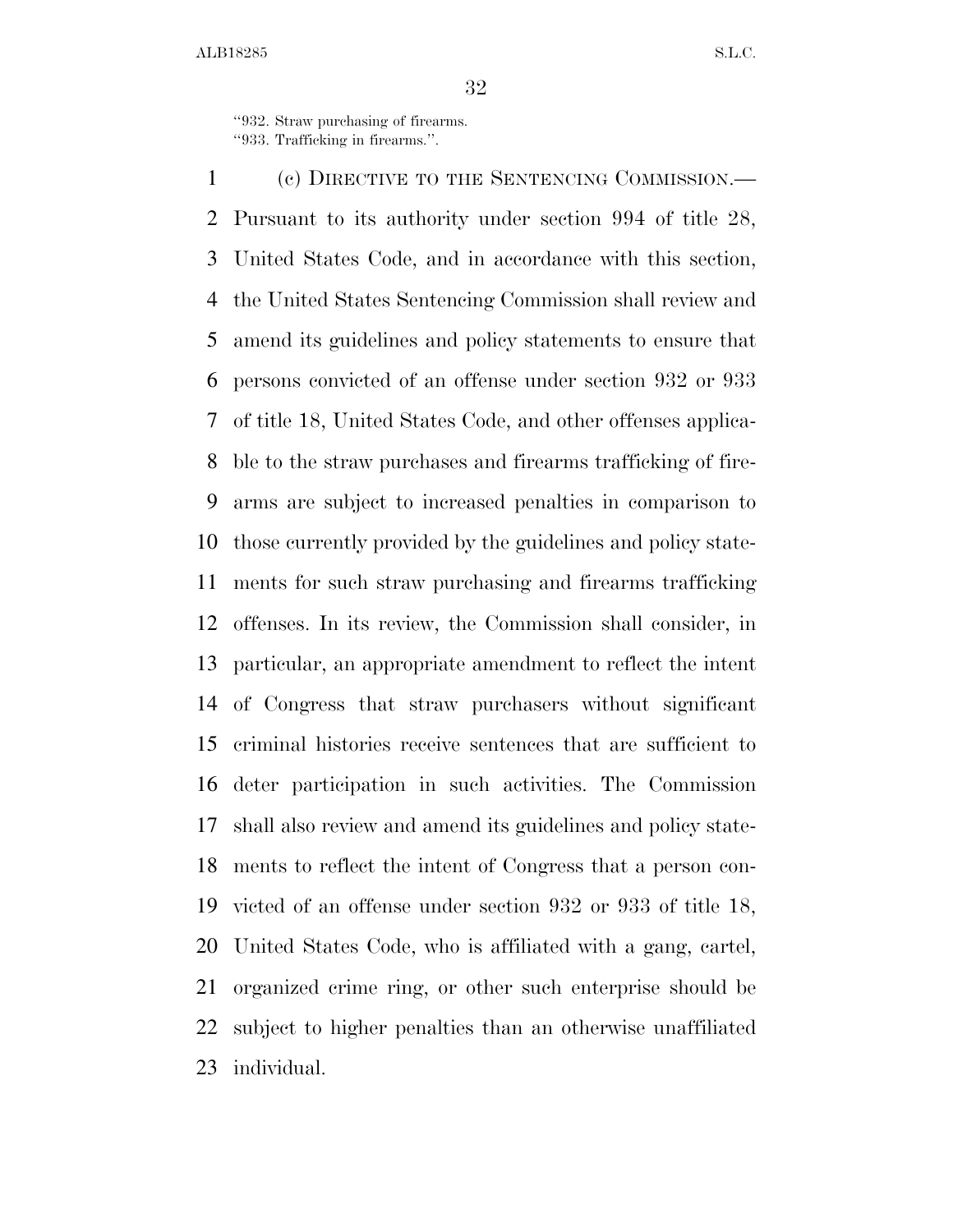''932. Straw purchasing of firearms. ''933. Trafficking in firearms.''.

 (c) DIRECTIVE TO THE SENTENCING COMMISSION.— Pursuant to its authority under section 994 of title 28, United States Code, and in accordance with this section, the United States Sentencing Commission shall review and amend its guidelines and policy statements to ensure that persons convicted of an offense under section 932 or 933 of title 18, United States Code, and other offenses applica- ble to the straw purchases and firearms trafficking of fire- arms are subject to increased penalties in comparison to those currently provided by the guidelines and policy state- ments for such straw purchasing and firearms trafficking offenses. In its review, the Commission shall consider, in particular, an appropriate amendment to reflect the intent of Congress that straw purchasers without significant criminal histories receive sentences that are sufficient to deter participation in such activities. The Commission shall also review and amend its guidelines and policy state- ments to reflect the intent of Congress that a person con- victed of an offense under section 932 or 933 of title 18, United States Code, who is affiliated with a gang, cartel, organized crime ring, or other such enterprise should be subject to higher penalties than an otherwise unaffiliated individual.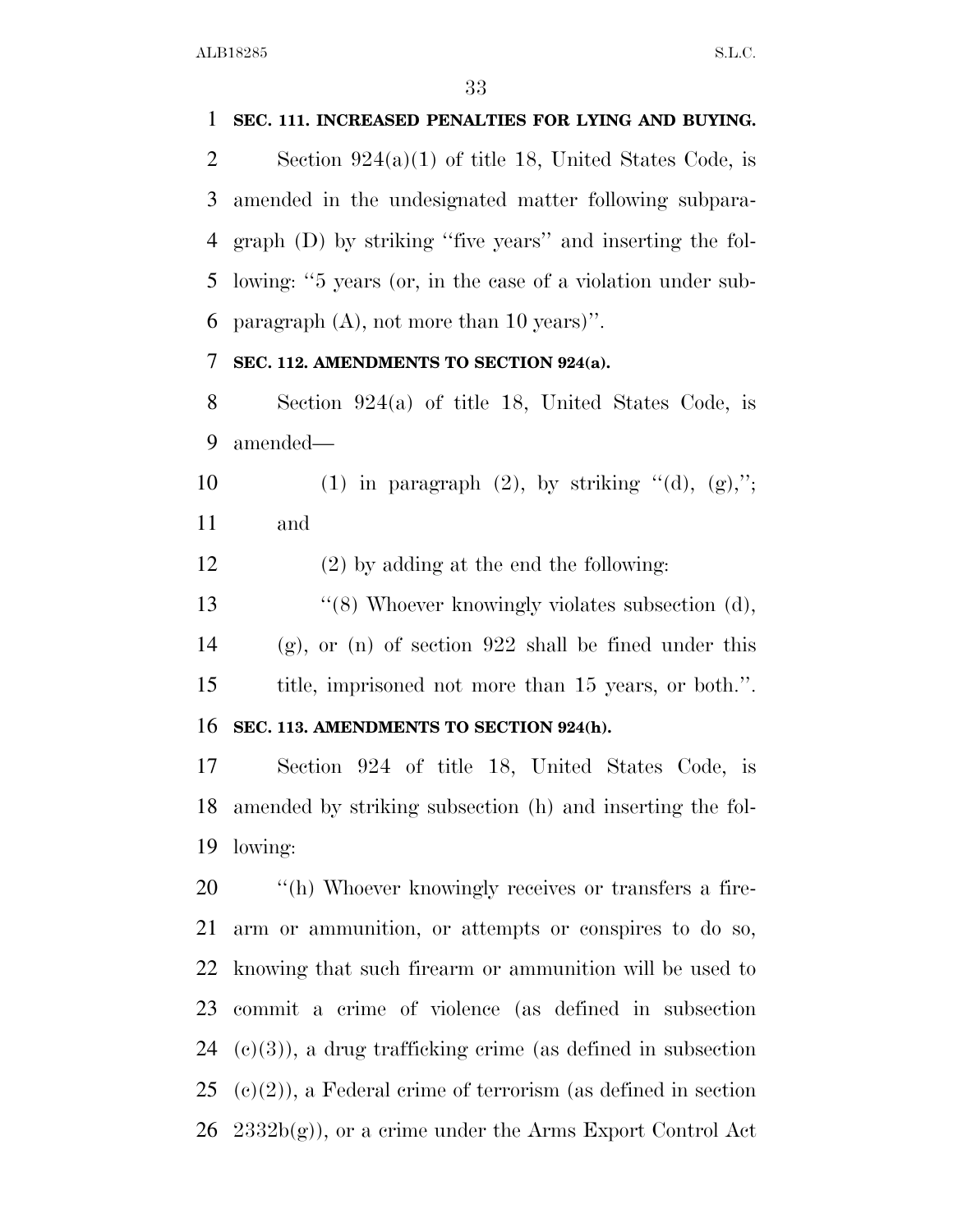#### **SEC. 111. INCREASED PENALTIES FOR LYING AND BUYING.**

 Section 924(a)(1) of title 18, United States Code, is amended in the undesignated matter following subpara- graph (D) by striking ''five years'' and inserting the fol- lowing: ''5 years (or, in the case of a violation under sub-paragraph (A), not more than 10 years)''.

#### **SEC. 112. AMENDMENTS TO SECTION 924(a).**

 Section 924(a) of title 18, United States Code, is amended—

10 (1) in paragraph (2), by striking "(d),  $(g)$ ,"; and

(2) by adding at the end the following:

13 ''(8) Whoever knowingly violates subsection (d), (g), or (n) of section 922 shall be fined under this title, imprisoned not more than 15 years, or both.''.

#### **SEC. 113. AMENDMENTS TO SECTION 924(h).**

 Section 924 of title 18, United States Code, is amended by striking subsection (h) and inserting the fol-lowing:

 $\qquad$  "(h) Whoever knowingly receives or transfers a fire- arm or ammunition, or attempts or conspires to do so, knowing that such firearm or ammunition will be used to commit a crime of violence (as defined in subsection  $(c)(3)$ , a drug trafficking crime (as defined in subsection (c)(2)), a Federal crime of terrorism (as defined in section  $26\quad 2332b(g)$ , or a crime under the Arms Export Control Act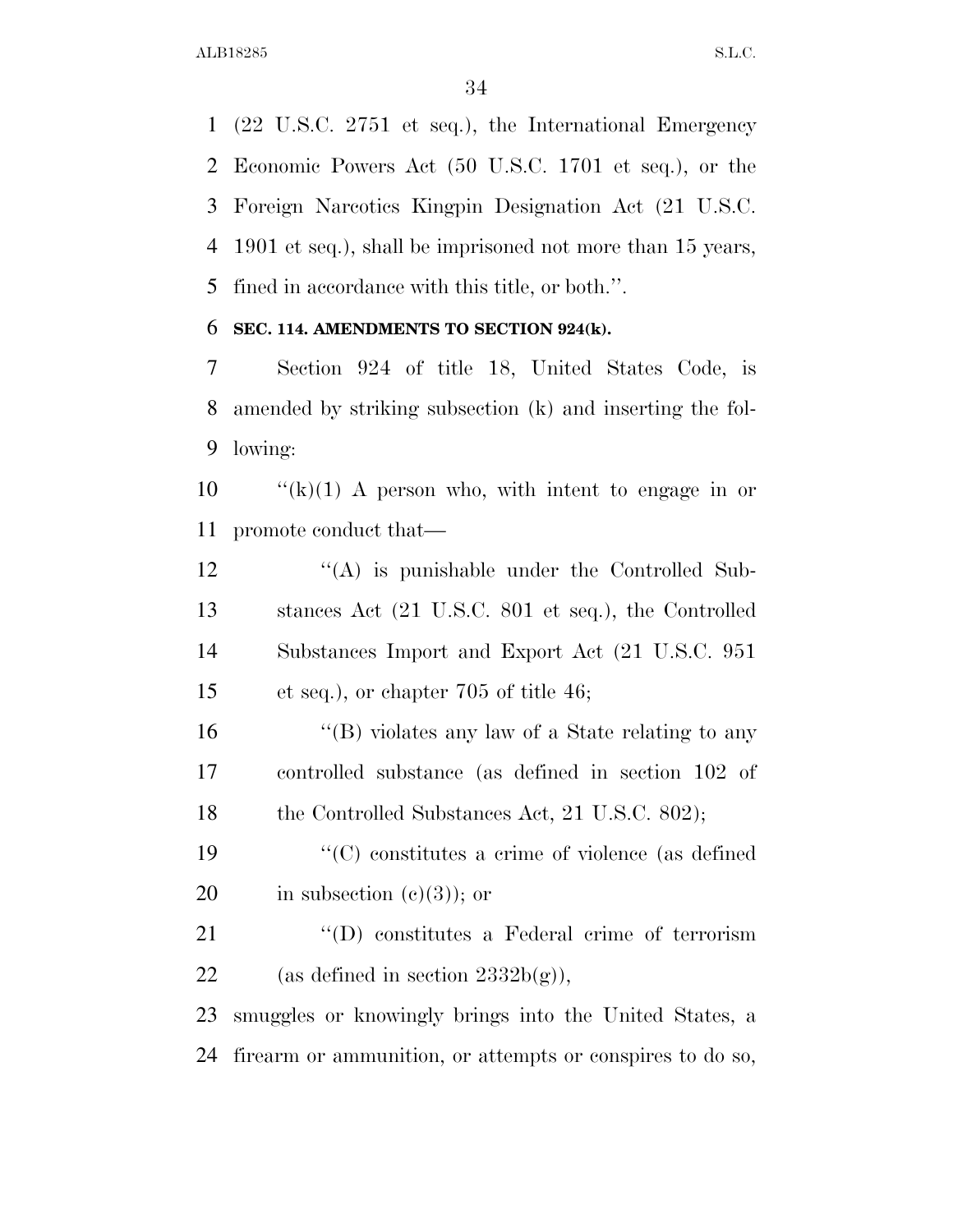(22 U.S.C. 2751 et seq.), the International Emergency Economic Powers Act (50 U.S.C. 1701 et seq.), or the Foreign Narcotics Kingpin Designation Act (21 U.S.C. 1901 et seq.), shall be imprisoned not more than 15 years, fined in accordance with this title, or both.''.

#### **SEC. 114. AMENDMENTS TO SECTION 924(k).**

 Section 924 of title 18, United States Code, is amended by striking subsection (k) and inserting the fol-lowing:

10  $\frac{f'(k)}{1}$  A person who, with intent to engage in or promote conduct that—

12 ''(A) is punishable under the Controlled Sub- stances Act (21 U.S.C. 801 et seq.), the Controlled Substances Import and Export Act (21 U.S.C. 951 et seq.), or chapter 705 of title 46;

 ''(B) violates any law of a State relating to any controlled substance (as defined in section 102 of 18 the Controlled Substances Act, 21 U.S.C. 802);

 ''(C) constitutes a crime of violence (as defined 20 in subsection  $(e)(3)$ ; or

21 ''(D) constitutes a Federal crime of terrorism 22 (as defined in section  $2332b(g)$ ),

 smuggles or knowingly brings into the United States, a firearm or ammunition, or attempts or conspires to do so,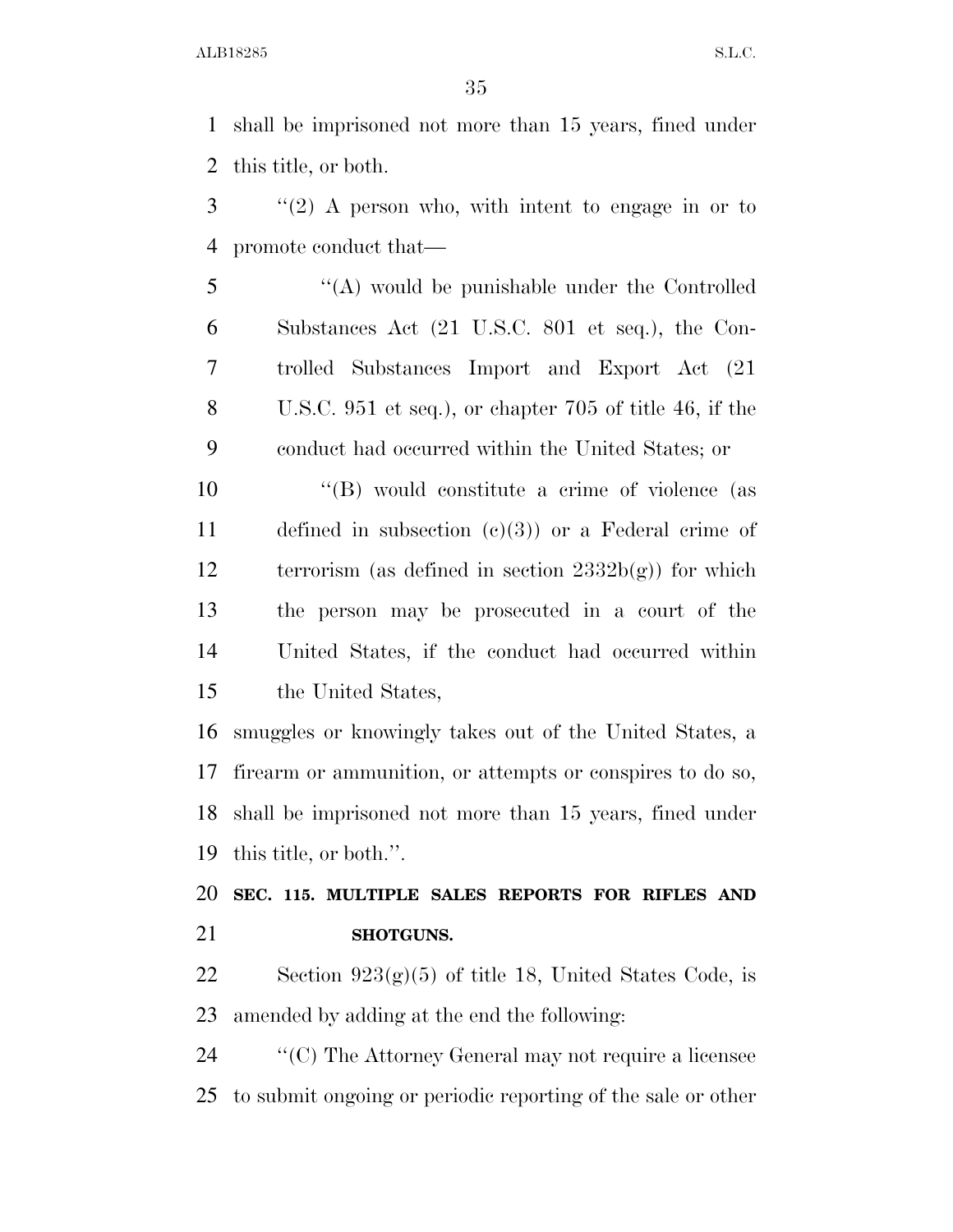shall be imprisoned not more than 15 years, fined under this title, or both.

 ''(2) A person who, with intent to engage in or to promote conduct that—

 ''(A) would be punishable under the Controlled Substances Act (21 U.S.C. 801 et seq.), the Con- trolled Substances Import and Export Act (21 U.S.C. 951 et seq.), or chapter 705 of title 46, if the conduct had occurred within the United States; or

 $\langle G \rangle$  would constitute a crime of violence (as defined in subsection (c)(3)) or a Federal crime of terrorism (as defined in section 2332b(g)) for which the person may be prosecuted in a court of the United States, if the conduct had occurred within the United States,

 smuggles or knowingly takes out of the United States, a firearm or ammunition, or attempts or conspires to do so, shall be imprisoned not more than 15 years, fined under this title, or both.''.

 **SEC. 115. MULTIPLE SALES REPORTS FOR RIFLES AND SHOTGUNS.** 

22 Section  $923(g)(5)$  of title 18, United States Code, is amended by adding at the end the following:

 ''(C) The Attorney General may not require a licensee to submit ongoing or periodic reporting of the sale or other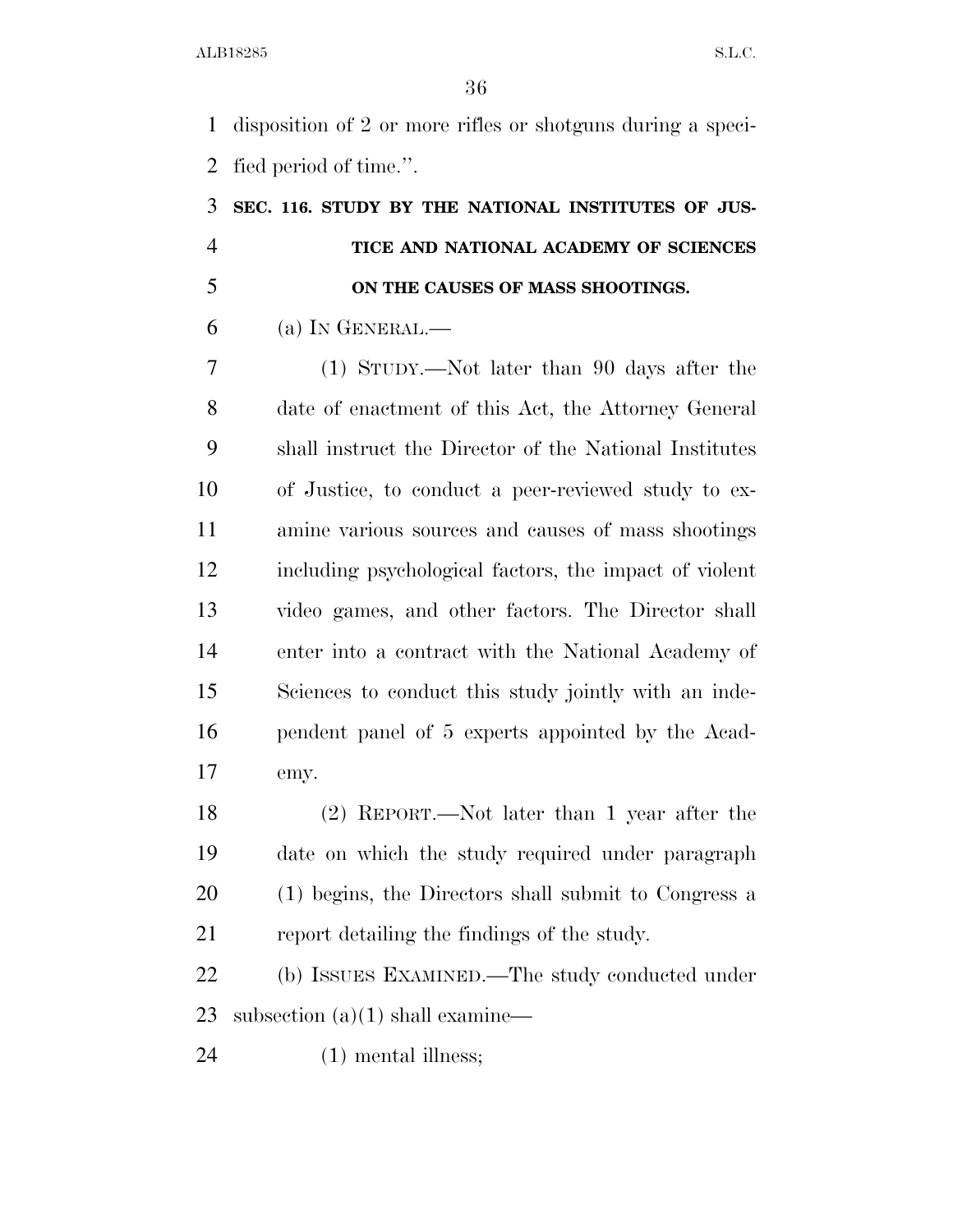disposition of 2 or more rifles or shotguns during a speci-fied period of time.''.

# **SEC. 116. STUDY BY THE NATIONAL INSTITUTES OF JUS- TICE AND NATIONAL ACADEMY OF SCIENCES ON THE CAUSES OF MASS SHOOTINGS.**

(a) In GENERAL.—

 (1) STUDY.—Not later than 90 days after the date of enactment of this Act, the Attorney General shall instruct the Director of the National Institutes of Justice, to conduct a peer-reviewed study to ex- amine various sources and causes of mass shootings including psychological factors, the impact of violent video games, and other factors. The Director shall enter into a contract with the National Academy of Sciences to conduct this study jointly with an inde- pendent panel of 5 experts appointed by the Acad-emy.

 (2) REPORT.—Not later than 1 year after the date on which the study required under paragraph (1) begins, the Directors shall submit to Congress a report detailing the findings of the study.

 (b) ISSUES EXAMINED.—The study conducted under 23 subsection  $(a)(1)$  shall examine—

(1) mental illness;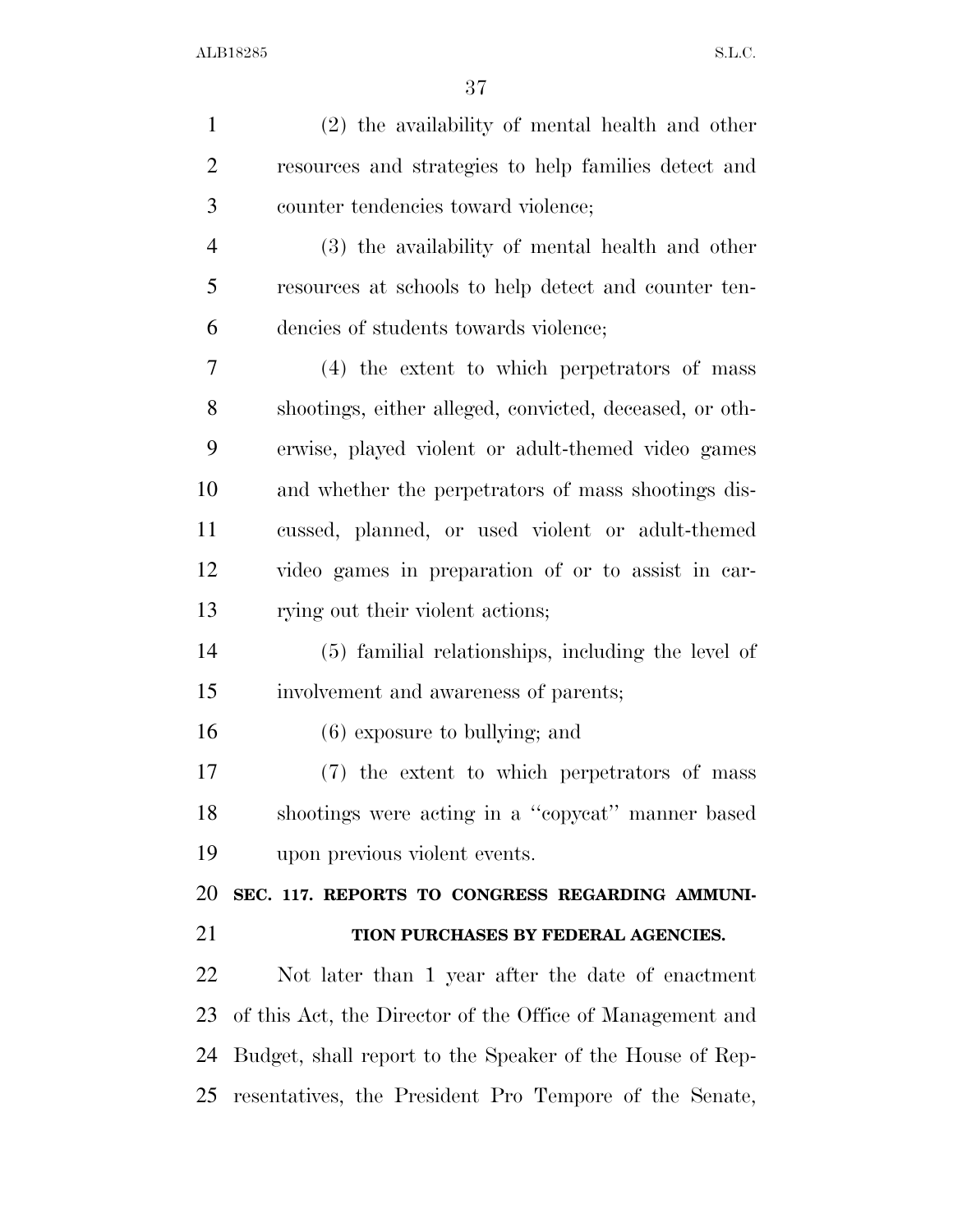| $\mathbf{1}$   | $(2)$ the availability of mental health and other         |
|----------------|-----------------------------------------------------------|
| $\overline{2}$ | resources and strategies to help families detect and      |
| 3              | counter tendencies toward violence;                       |
| $\overline{4}$ | (3) the availability of mental health and other           |
| 5              | resources at schools to help detect and counter ten-      |
| 6              | dencies of students towards violence;                     |
| 7              | (4) the extent to which perpetrators of mass              |
| 8              | shootings, either alleged, convicted, deceased, or oth-   |
| 9              | erwise, played violent or adult-themed video games        |
| 10             | and whether the perpetrators of mass shootings dis-       |
| 11             | cussed, planned, or used violent or adult-themed          |
| 12             | video games in preparation of or to assist in car-        |
| 13             | rying out their violent actions;                          |
| 14             | (5) familial relationships, including the level of        |
| 15             | involvement and awareness of parents;                     |
| 16             | $(6)$ exposure to bullying; and                           |
| 17             | (7) the extent to which perpetrators of mass              |
| 18             | shootings were acting in a "copycat" manner based         |
| 19             | upon previous violent events.                             |
| 20             | SEC. 117. REPORTS TO CONGRESS REGARDING AMMUNI-           |
| 21             | TION PURCHASES BY FEDERAL AGENCIES.                       |
| 22             | Not later than 1 year after the date of enactment         |
| 23             | of this Act, the Director of the Office of Management and |
| 24             | Budget, shall report to the Speaker of the House of Rep-  |
| 25             | resentatives, the President Pro Tempore of the Senate,    |
|                |                                                           |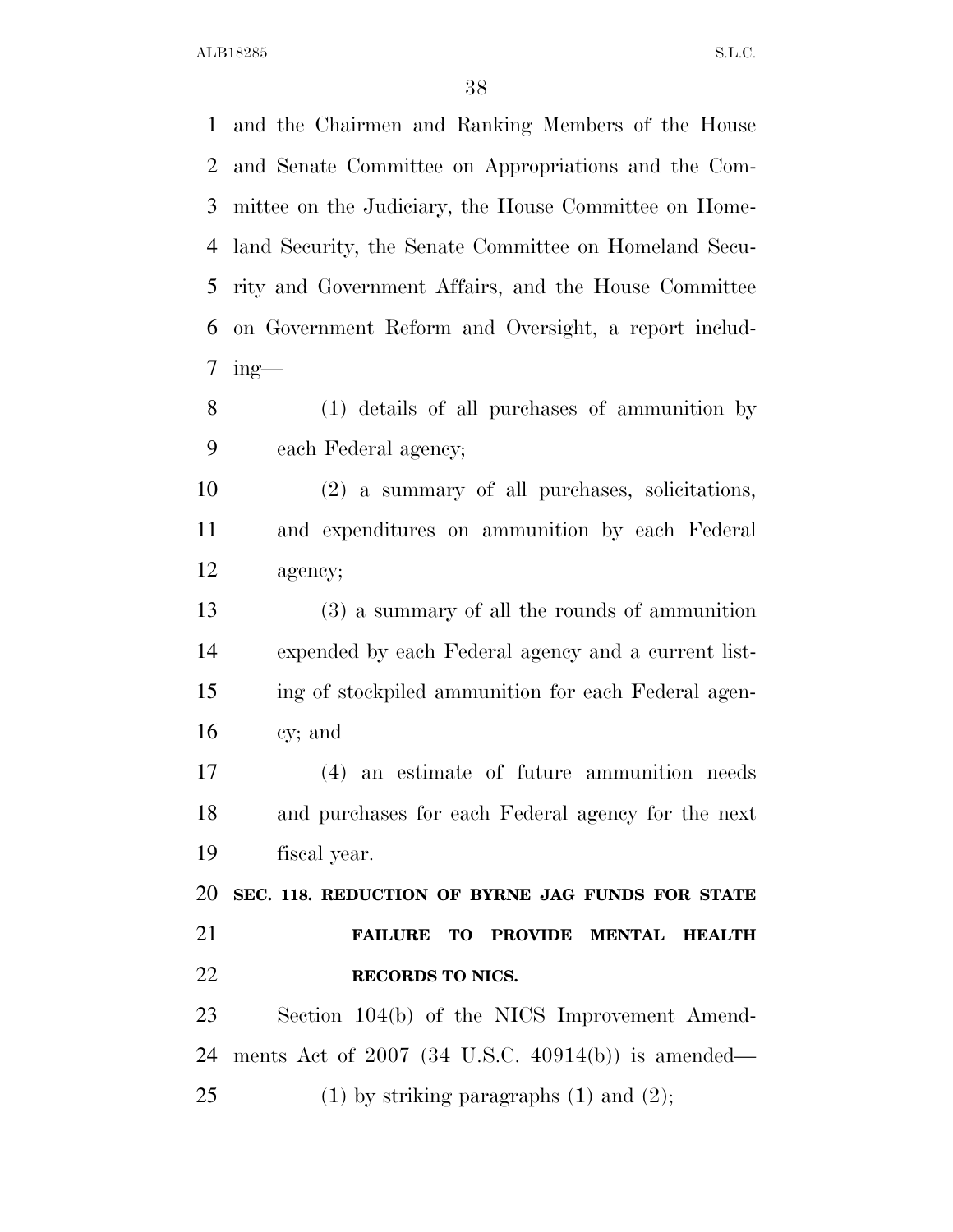and the Chairmen and Ranking Members of the House and Senate Committee on Appropriations and the Com- mittee on the Judiciary, the House Committee on Home- land Security, the Senate Committee on Homeland Secu- rity and Government Affairs, and the House Committee on Government Reform and Oversight, a report includ- ing— (1) details of all purchases of ammunition by each Federal agency; (2) a summary of all purchases, solicitations, and expenditures on ammunition by each Federal agency; (3) a summary of all the rounds of ammunition expended by each Federal agency and a current list- ing of stockpiled ammunition for each Federal agen- cy; and (4) an estimate of future ammunition needs and purchases for each Federal agency for the next fiscal year. **SEC. 118. REDUCTION OF BYRNE JAG FUNDS FOR STATE FAILURE TO PROVIDE MENTAL HEALTH RECORDS TO NICS.**  Section 104(b) of the NICS Improvement Amend-

ments Act of 2007 (34 U.S.C. 40914(b)) is amended—

25 (1) by striking paragraphs  $(1)$  and  $(2)$ ;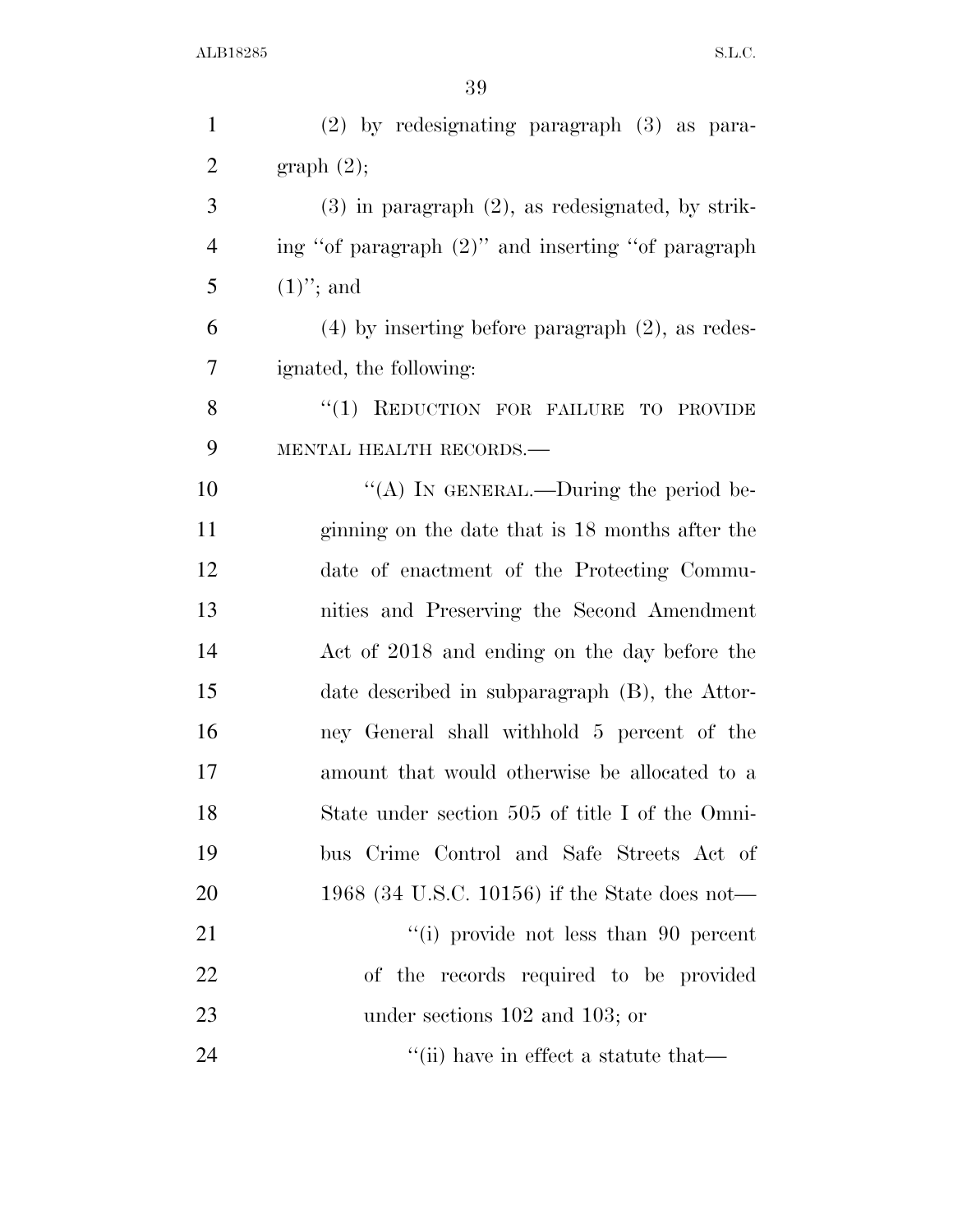| $\mathbf{1}$   | $(2)$ by redesignating paragraph $(3)$ as para-        |
|----------------|--------------------------------------------------------|
| $\overline{2}$ | graph(2);                                              |
| 3              | $(3)$ in paragraph $(2)$ , as redesignated, by strik-  |
| $\overline{4}$ | ing "of paragraph (2)" and inserting "of paragraph     |
| 5              | $(1)$ "; and                                           |
| 6              | $(4)$ by inserting before paragraph $(2)$ , as redes-  |
| 7              | ignated, the following:                                |
| 8              | "(1) REDUCTION FOR FAILURE TO PROVIDE                  |
| 9              | MENTAL HEALTH RECORDS.-                                |
| 10             | "(A) IN GENERAL.—During the period be-                 |
| 11             | ginning on the date that is 18 months after the        |
| 12             | date of enactment of the Protecting Commu-             |
| 13             | nities and Preserving the Second Amendment             |
| 14             | Act of 2018 and ending on the day before the           |
| 15             | date described in subparagraph (B), the Attor-         |
| 16             | ney General shall withhold 5 percent of the            |
| 17             | amount that would otherwise be allocated to a          |
| 18             | State under section 505 of title I of the Omni-        |
| 19             | bus Crime Control and Safe Streets Act of              |
| 20             | 1968 (34 U.S.C. 10156) if the State does not—          |
| 21             | $\lq\lq$ (i) provide not less than 90 percent          |
| 22             | of the records required to be provided                 |
| 23             | under sections 102 and 103; or                         |
| 24             | $\lq$ <sup>"</sup> (ii) have in effect a statute that— |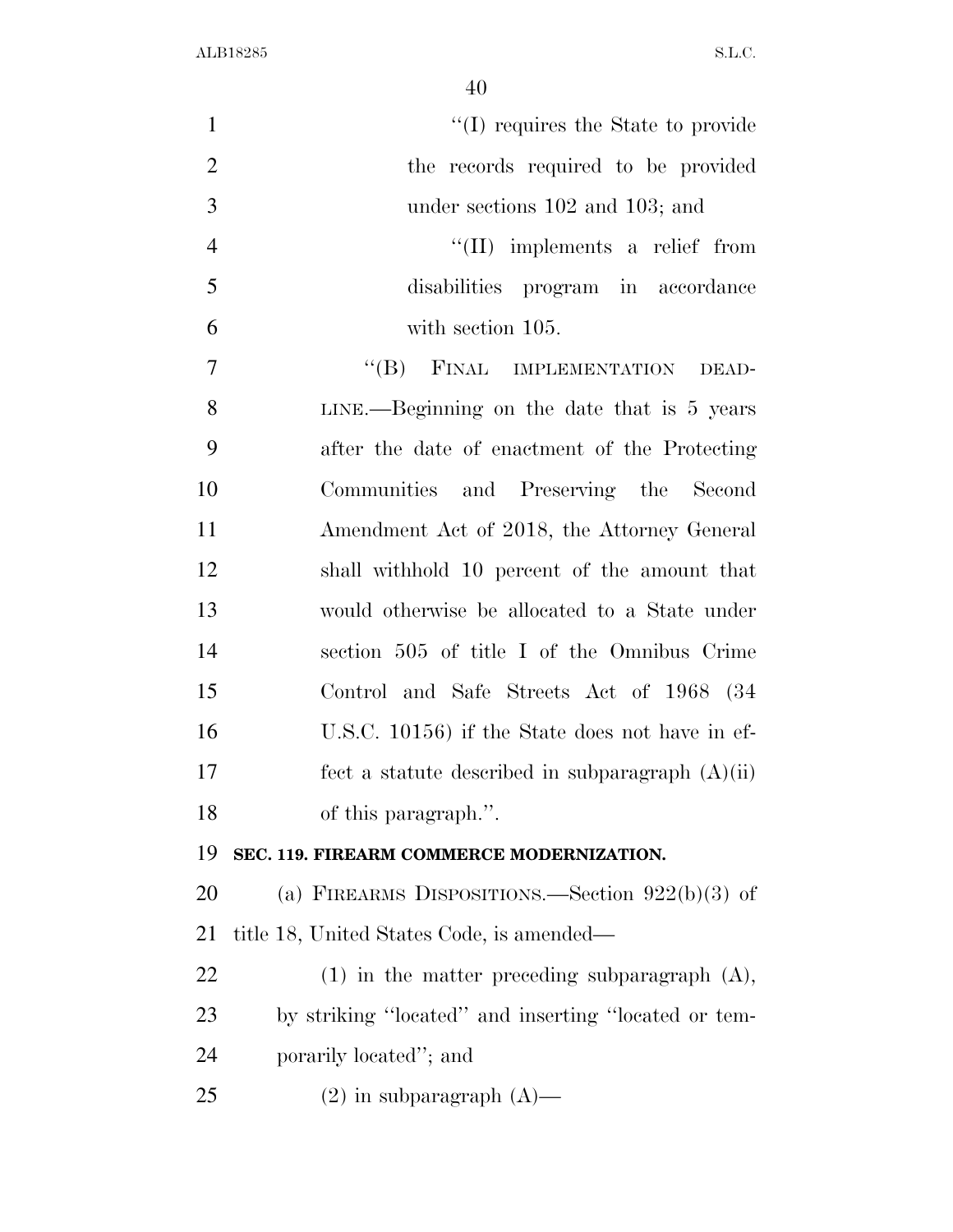| $\mathbf{1}$   | $\lq\lq$ (I) requires the State to provide           |
|----------------|------------------------------------------------------|
| $\overline{2}$ | the records required to be provided                  |
| 3              | under sections 102 and 103; and                      |
| $\overline{4}$ | $\lq\lq$ (II) implements a relief from               |
| 5              | disabilities program in accordance                   |
| 6              | with section 105.                                    |
| $\overline{7}$ | "(B) FINAL IMPLEMENTATION DEAD-                      |
| 8              | $LINE. - Beginning on the date that is 5 years$      |
| 9              | after the date of enactment of the Protecting        |
| 10             | Communities and Preserving the Second                |
| 11             | Amendment Act of 2018, the Attorney General          |
| 12             | shall withhold 10 percent of the amount that         |
| 13             | would otherwise be allocated to a State under        |
| 14             | section 505 of title I of the Omnibus Crime          |
| 15             | Control and Safe Streets Act of 1968 (34             |
| 16             | U.S.C. 10156) if the State does not have in ef-      |
| 17             | fect a statute described in subparagraph $(A)(ii)$   |
| 18             | of this paragraph.".                                 |
| 19             | SEC. 119. FIREARM COMMERCE MODERNIZATION.            |
| 20             | (a) FIREARMS DISPOSITIONS.—Section $922(b)(3)$ of    |
| 21             | title 18, United States Code, is amended—            |
| 22             | $(1)$ in the matter preceding subparagraph $(A)$ ,   |
| 23             | by striking "located" and inserting "located or tem- |
| 24             | porarily located"; and                               |
| 25             | $(2)$ in subparagraph $(A)$ —                        |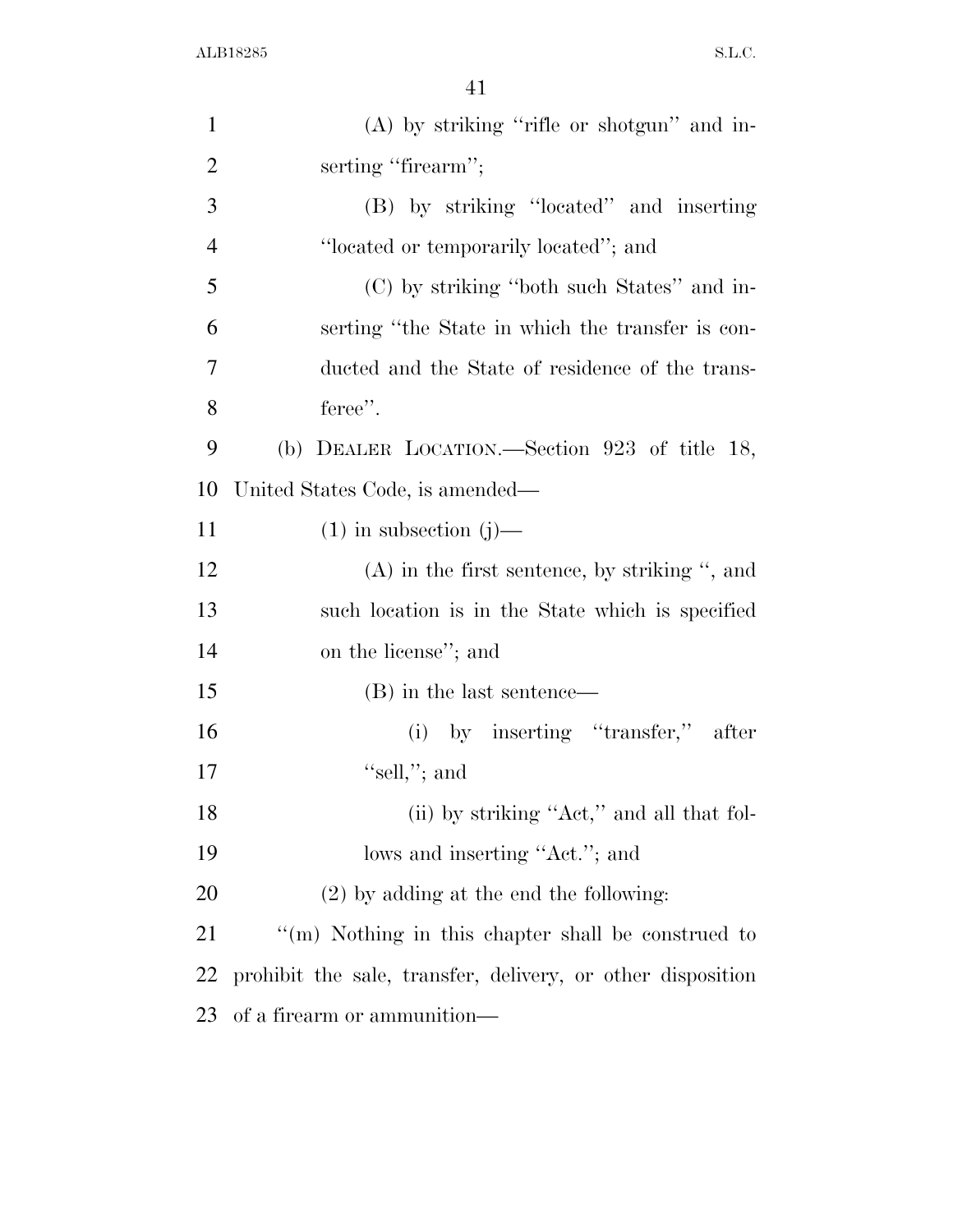| $\mathbf{1}$   | $(A)$ by striking "rifle or shotgun" and in-                |
|----------------|-------------------------------------------------------------|
| $\overline{2}$ | serting "firearm";                                          |
| 3              | (B) by striking "located" and inserting                     |
| $\overline{4}$ | "located or temporarily located"; and                       |
| 5              | (C) by striking "both such States" and in-                  |
| 6              | serting "the State in which the transfer is con-            |
| 7              | ducted and the State of residence of the trans-             |
| 8              | feree".                                                     |
| 9              | (b) DEALER LOCATION.—Section 923 of title 18,               |
| 10             | United States Code, is amended—                             |
| 11             | $(1)$ in subsection $(j)$ —                                 |
| 12             | $(A)$ in the first sentence, by striking ", and             |
| 13             | such location is in the State which is specified            |
| 14             | on the license"; and                                        |
| 15             | (B) in the last sentence—                                   |
| 16             | (i) by inserting "transfer," after                          |
| 17             | "sell,"; and                                                |
| 18             | (ii) by striking "Act," and all that fol-                   |
| 19             | lows and inserting "Act."; and                              |
| 20             | $(2)$ by adding at the end the following:                   |
| 21             | "(m) Nothing in this chapter shall be construed to          |
| 22             | prohibit the sale, transfer, delivery, or other disposition |
| 23             | of a firearm or ammunition—                                 |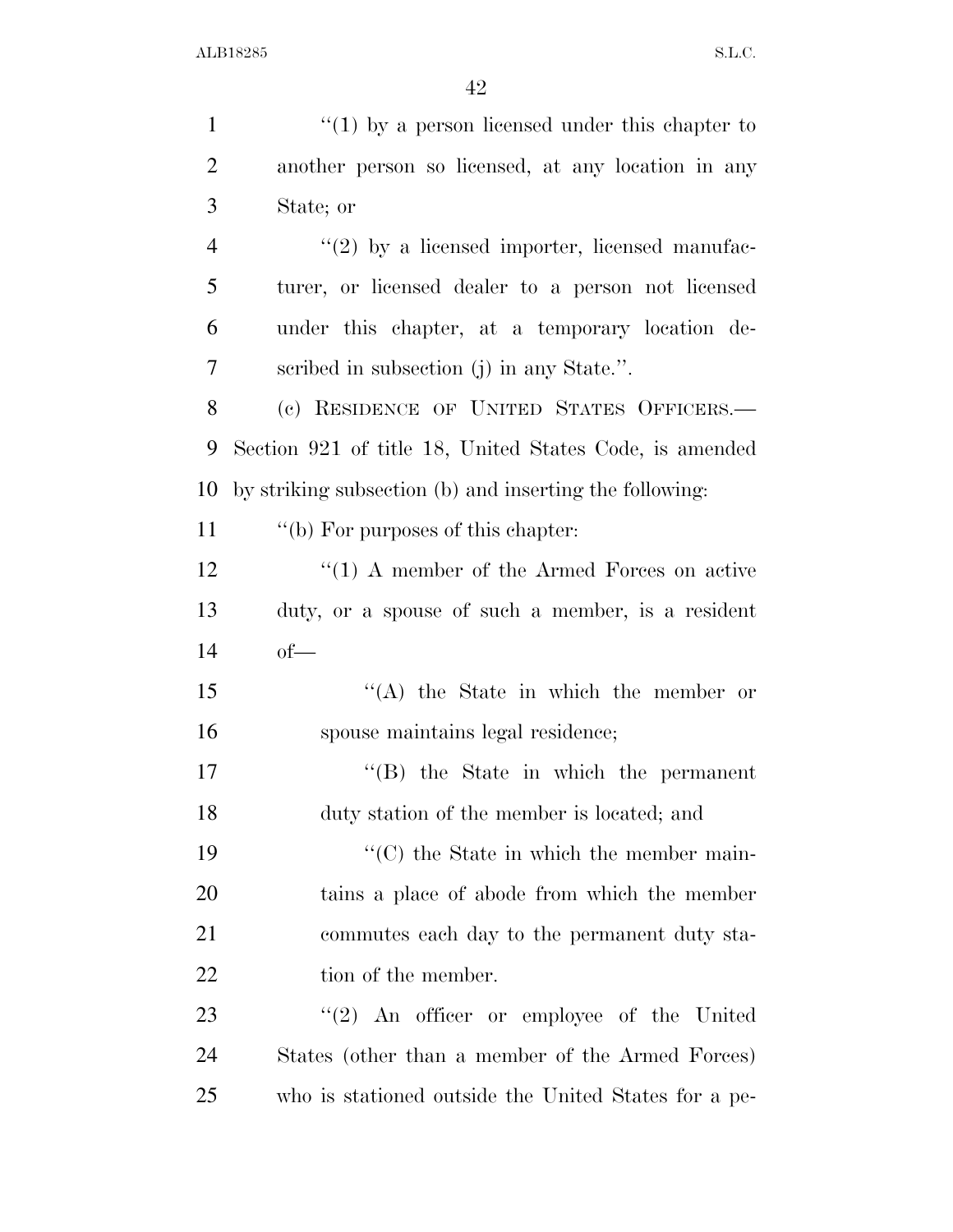| $\mathbf{1}$   | " $(1)$ by a person licensed under this chapter to      |
|----------------|---------------------------------------------------------|
| $\overline{2}$ | another person so licensed, at any location in any      |
| 3              | State; or                                               |
| $\overline{4}$ | $\lq(2)$ by a licensed importer, licensed manufac-      |
| 5              | turer, or licensed dealer to a person not licensed      |
| 6              | under this chapter, at a temporary location de-         |
| 7              | scribed in subsection (j) in any State.".               |
| 8              | (c) RESIDENCE OF UNITED STATES OFFICERS.-               |
| 9              | Section 921 of title 18, United States Code, is amended |
| 10             | by striking subsection (b) and inserting the following: |
| 11             | "(b) For purposes of this chapter:                      |
| 12             | $\lq(1)$ A member of the Armed Forces on active         |
| 13             | duty, or a spouse of such a member, is a resident       |
| 14             | $of$ —                                                  |
| 15             | $\lq\lq$ the State in which the member or               |
| 16             | spouse maintains legal residence;                       |
| 17             | $\lq\lq$ the State in which the permanent               |
| 18             | duty station of the member is located; and              |
| 19             | $\lq\lq$ (C) the State in which the member main-        |
| 20             | tains a place of abode from which the member            |
| 21             | commutes each day to the permanent duty sta-            |
| <u>22</u>      | tion of the member.                                     |
| 23             | $\lq(2)$ An officer or employee of the United           |
| 24             | States (other than a member of the Armed Forces)        |
| 25             | who is stationed outside the United States for a pe-    |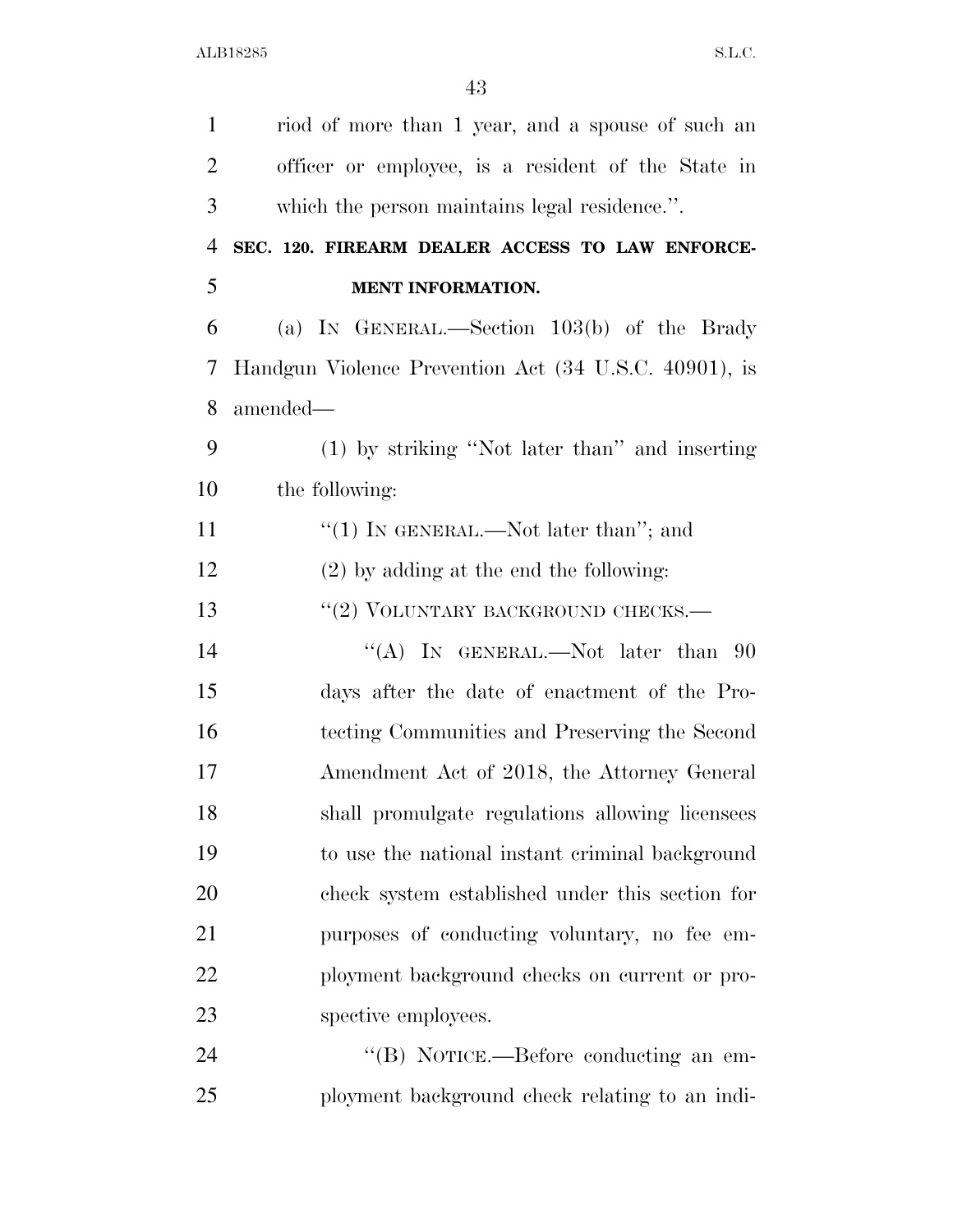| $\mathbf{1}$   | riod of more than 1 year, and a spouse of such an     |
|----------------|-------------------------------------------------------|
| $\overline{2}$ | officer or employee, is a resident of the State in    |
| 3              | which the person maintains legal residence.".         |
| $\overline{4}$ | SEC. 120. FIREARM DEALER ACCESS TO LAW ENFORCE-       |
| 5              | MENT INFORMATION.                                     |
| 6              | (a) IN GENERAL.—Section $103(b)$ of the Brady         |
| 7              | Handgun Violence Prevention Act (34 U.S.C. 40901), is |
| 8              | amended—                                              |
| 9              | (1) by striking "Not later than" and inserting        |
| 10             | the following:                                        |
| 11             | "(1) IN GENERAL.—Not later than"; and                 |
| 12             | $(2)$ by adding at the end the following:             |
| 13             | "(2) VOLUNTARY BACKGROUND CHECKS.-                    |
| 14             | "(A) IN GENERAL.—Not later than $90$                  |
| 15             | days after the date of enactment of the Pro-          |
| 16             | tecting Communities and Preserving the Second         |
| 17             | Amendment Act of 2018, the Attorney General           |
| 18             | shall promulgate regulations allowing licensees       |
| 19             | to use the national instant criminal background       |
| 20             | check system established under this section for       |
| 21             | purposes of conducting voluntary, no fee em-          |
| 22             | ployment background checks on current or pro-         |
| 23             | spective employees.                                   |
| 24             | "(B) NOTICE.—Before conducting an em-                 |
| 25             | ployment background check relating to an indi-        |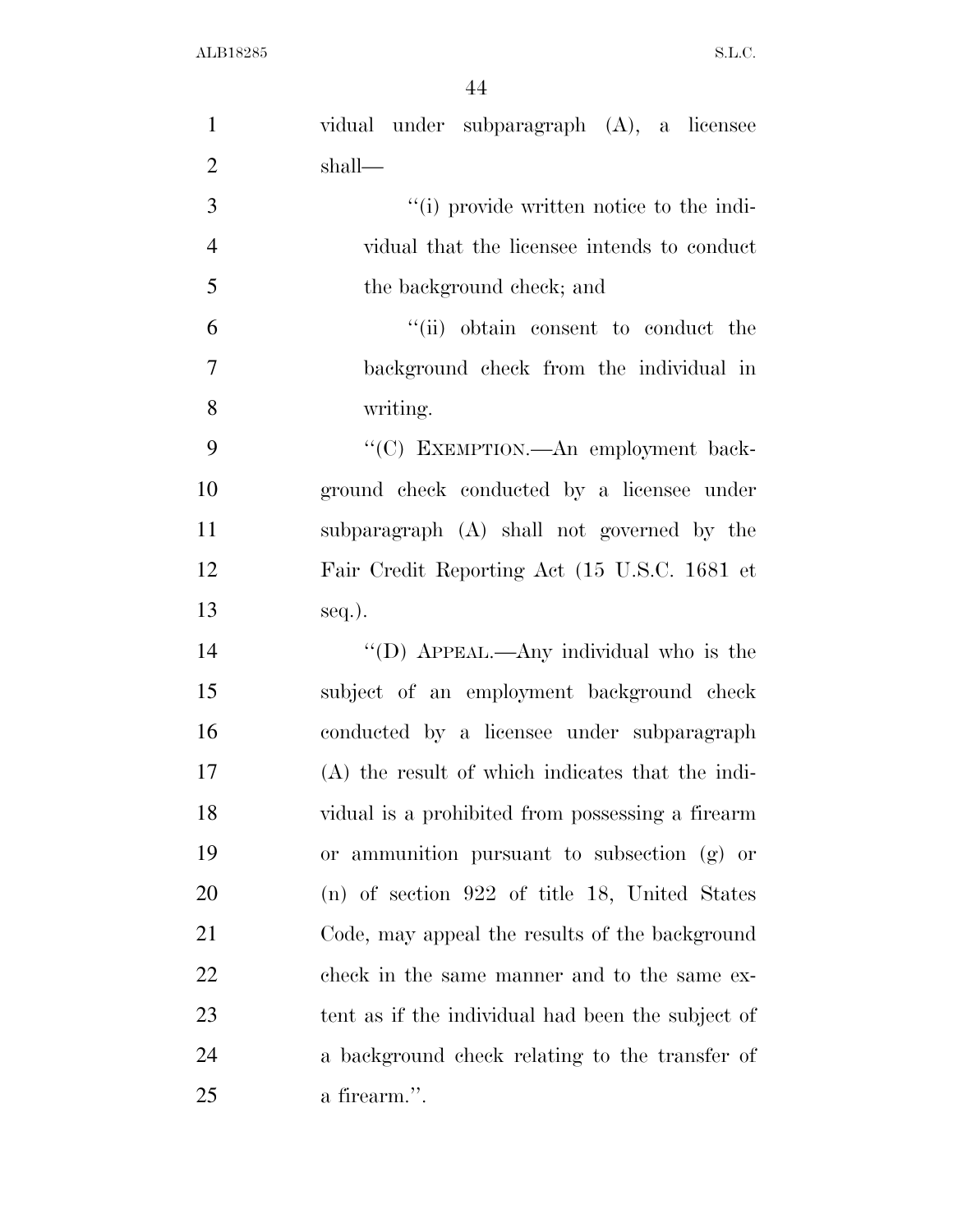| $\mathbf{1}$   | vidual under subparagraph (A), a licensee         |
|----------------|---------------------------------------------------|
| $\overline{2}$ | shall—                                            |
| 3              | "(i) provide written notice to the indi-          |
| $\overline{4}$ | vidual that the licensee intends to conduct       |
| 5              | the background check; and                         |
| 6              | "(ii) obtain consent to conduct the               |
| $\tau$         | background check from the individual in           |
| 8              | writing.                                          |
| 9              | "(C) EXEMPTION.—An employment back-               |
| 10             | ground check conducted by a licensee under        |
| 11             | subparagraph (A) shall not governed by the        |
| 12             | Fair Credit Reporting Act (15 U.S.C. 1681 et      |
| 13             | seq.).                                            |
| 14             | "(D) APPEAL.—Any individual who is the            |
| 15             | subject of an employment background check         |
| 16             | conducted by a licensee under subparagraph        |
| 17             | (A) the result of which indicates that the indi-  |
| 18             | vidual is a prohibited from possessing a firearm  |
| 19             | or ammunition pursuant to subsection (g) or       |
| <b>20</b>      | (n) of section 922 of title 18, United States     |
| 21             | Code, may appeal the results of the background    |
| 22             | check in the same manner and to the same ex-      |
| 23             | tent as if the individual had been the subject of |
| 24             | a background check relating to the transfer of    |
| 25             | a firearm.".                                      |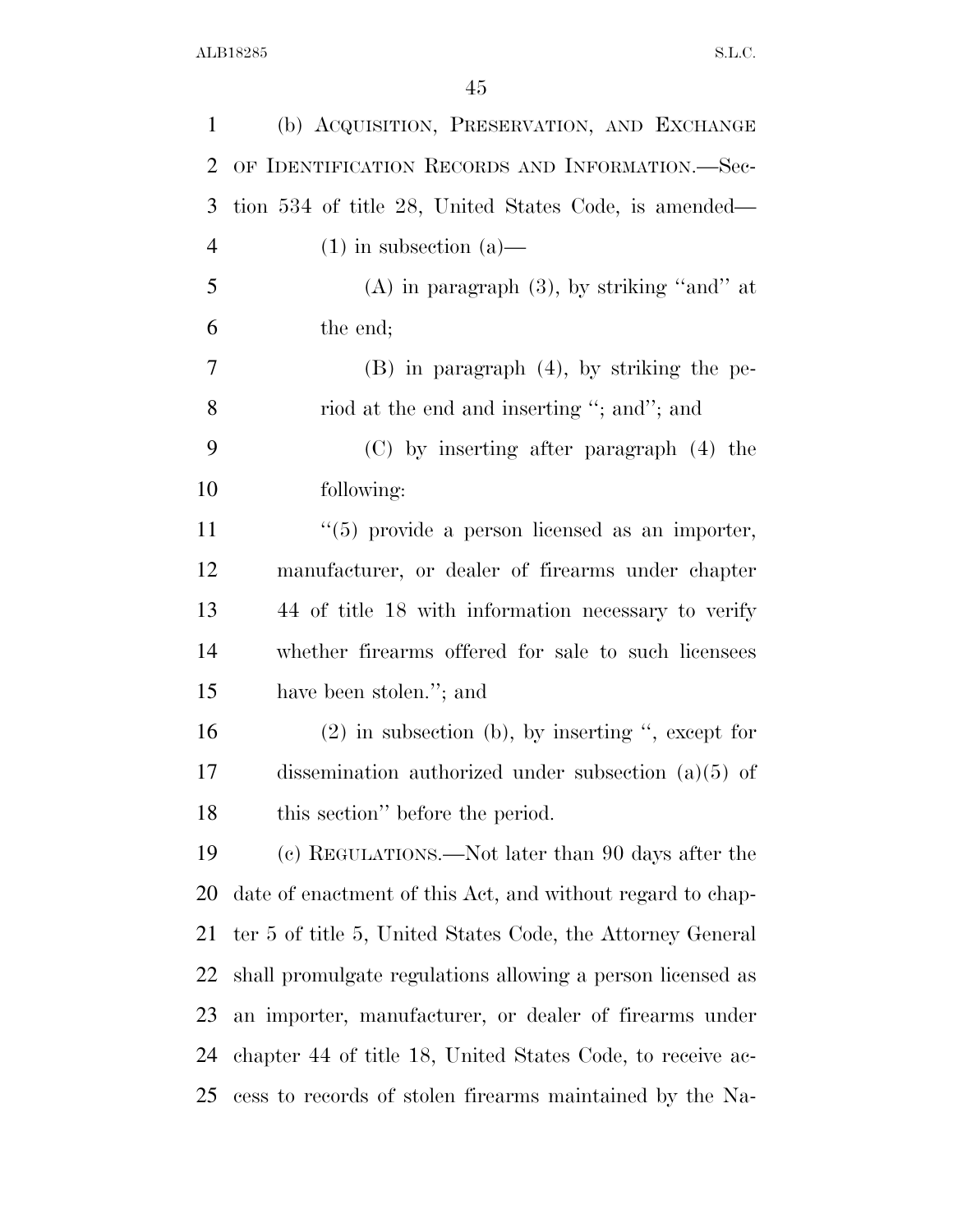| $\mathbf{1}$   | (b) ACQUISITION, PRESERVATION, AND EXCHANGE                |
|----------------|------------------------------------------------------------|
| $\overline{2}$ | OF IDENTIFICATION RECORDS AND INFORMATION.-Sec-            |
| 3              | tion 534 of title 28, United States Code, is amended—      |
| $\overline{4}$ | $(1)$ in subsection $(a)$ —                                |
| 5              | $(A)$ in paragraph $(3)$ , by striking "and" at            |
| 6              | the end;                                                   |
| 7              | $(B)$ in paragraph $(4)$ , by striking the pe-             |
| 8              | riod at the end and inserting "; and"; and                 |
| 9              | (C) by inserting after paragraph (4) the                   |
| 10             | following:                                                 |
| 11             | $\lq(5)$ provide a person licensed as an importer,         |
| 12             | manufacturer, or dealer of firearms under chapter          |
| 13             | 44 of title 18 with information necessary to verify        |
| 14             | whether firearms offered for sale to such licensees        |
| 15             | have been stolen."; and                                    |
| 16             | $(2)$ in subsection (b), by inserting ", except for        |
| 17             | dissemination authorized under subsection $(a)(5)$ of      |
| 18             | this section" before the period.                           |
| 19             | (c) REGULATIONS.—Not later than 90 days after the          |
| 20             | date of enactment of this Act, and without regard to chap- |
| 21             | ter 5 of title 5, United States Code, the Attorney General |
| 22             | shall promulgate regulations allowing a person licensed as |
| 23             | an importer, manufacturer, or dealer of firearms under     |
| 24             | chapter 44 of title 18, United States Code, to receive ac- |
| 25             | cess to records of stolen firearms maintained by the Na-   |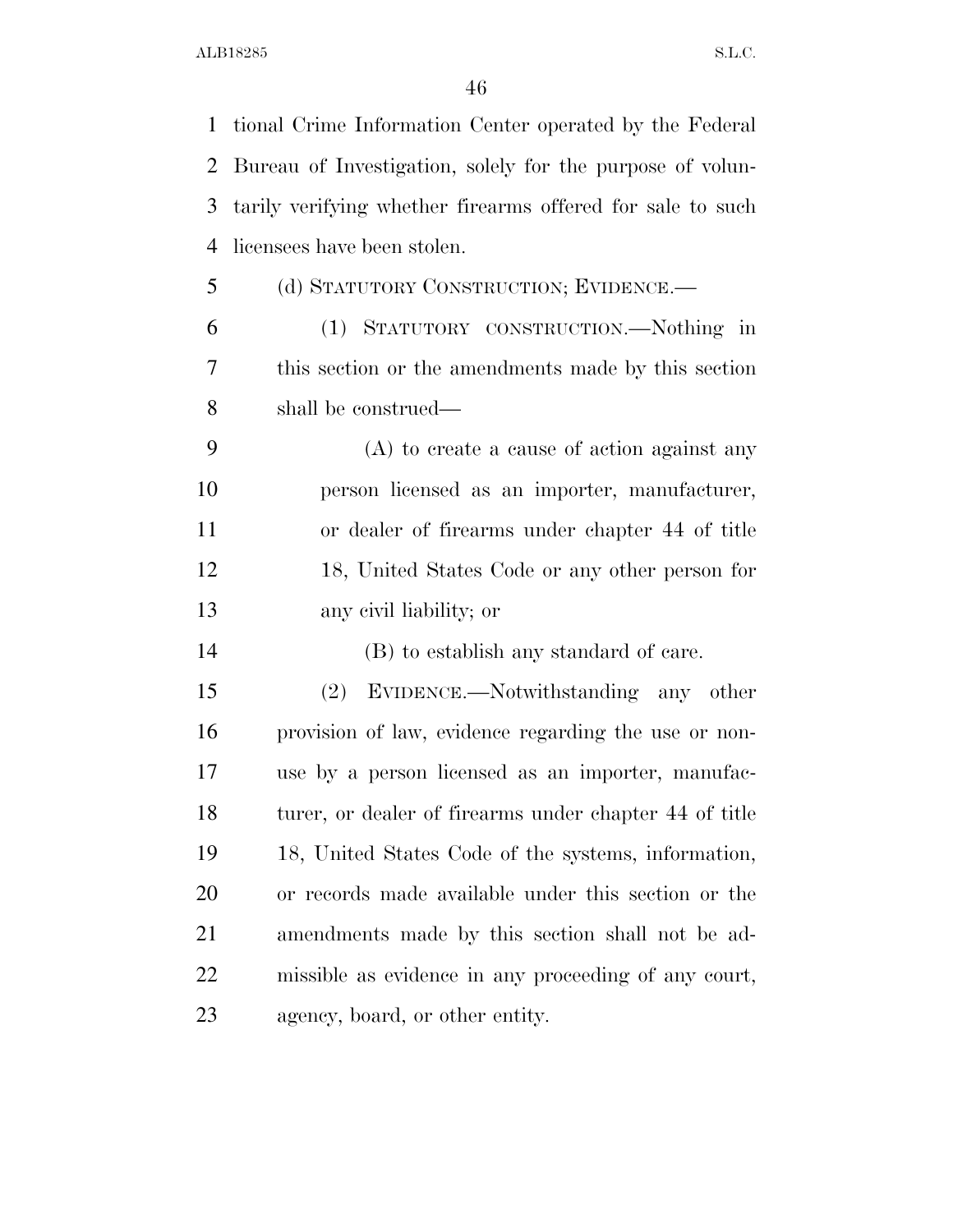tional Crime Information Center operated by the Federal Bureau of Investigation, solely for the purpose of volun- tarily verifying whether firearms offered for sale to such licensees have been stolen. (d) STATUTORY CONSTRUCTION; EVIDENCE.— (1) STATUTORY CONSTRUCTION.—Nothing in this section or the amendments made by this section shall be construed— (A) to create a cause of action against any person licensed as an importer, manufacturer, or dealer of firearms under chapter 44 of title 18, United States Code or any other person for any civil liability; or (B) to establish any standard of care. (2) EVIDENCE.—Notwithstanding any other provision of law, evidence regarding the use or non- use by a person licensed as an importer, manufac- turer, or dealer of firearms under chapter 44 of title 18, United States Code of the systems, information, or records made available under this section or the amendments made by this section shall not be ad- missible as evidence in any proceeding of any court, agency, board, or other entity.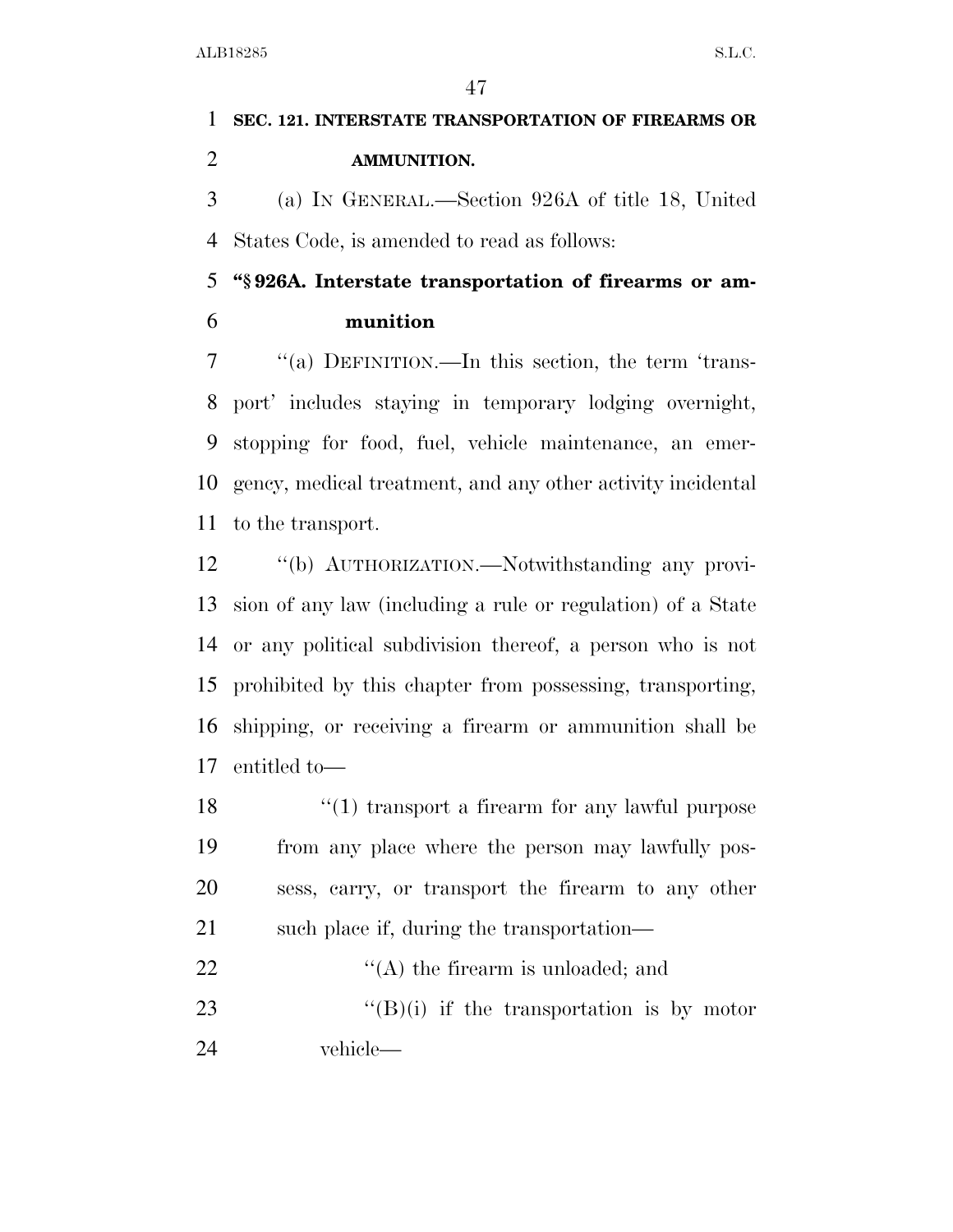## **SEC. 121. INTERSTATE TRANSPORTATION OF FIREARMS OR AMMUNITION.**  (a) IN GENERAL.—Section 926A of title 18, United

States Code, is amended to read as follows:

 **''§ 926A. Interstate transportation of firearms or am-munition** 

 ''(a) DEFINITION.—In this section, the term 'trans- port' includes staying in temporary lodging overnight, stopping for food, fuel, vehicle maintenance, an emer- gency, medical treatment, and any other activity incidental to the transport.

 ''(b) AUTHORIZATION.—Notwithstanding any provi- sion of any law (including a rule or regulation) of a State or any political subdivision thereof, a person who is not prohibited by this chapter from possessing, transporting, shipping, or receiving a firearm or ammunition shall be entitled to—

18 ''(1) transport a firearm for any lawful purpose from any place where the person may lawfully pos- sess, carry, or transport the firearm to any other such place if, during the transportation—

22  $\langle (A)$  the firearm is unloaded; and 23  $"({\rm B})$ (i) if the transportation is by motor vehicle—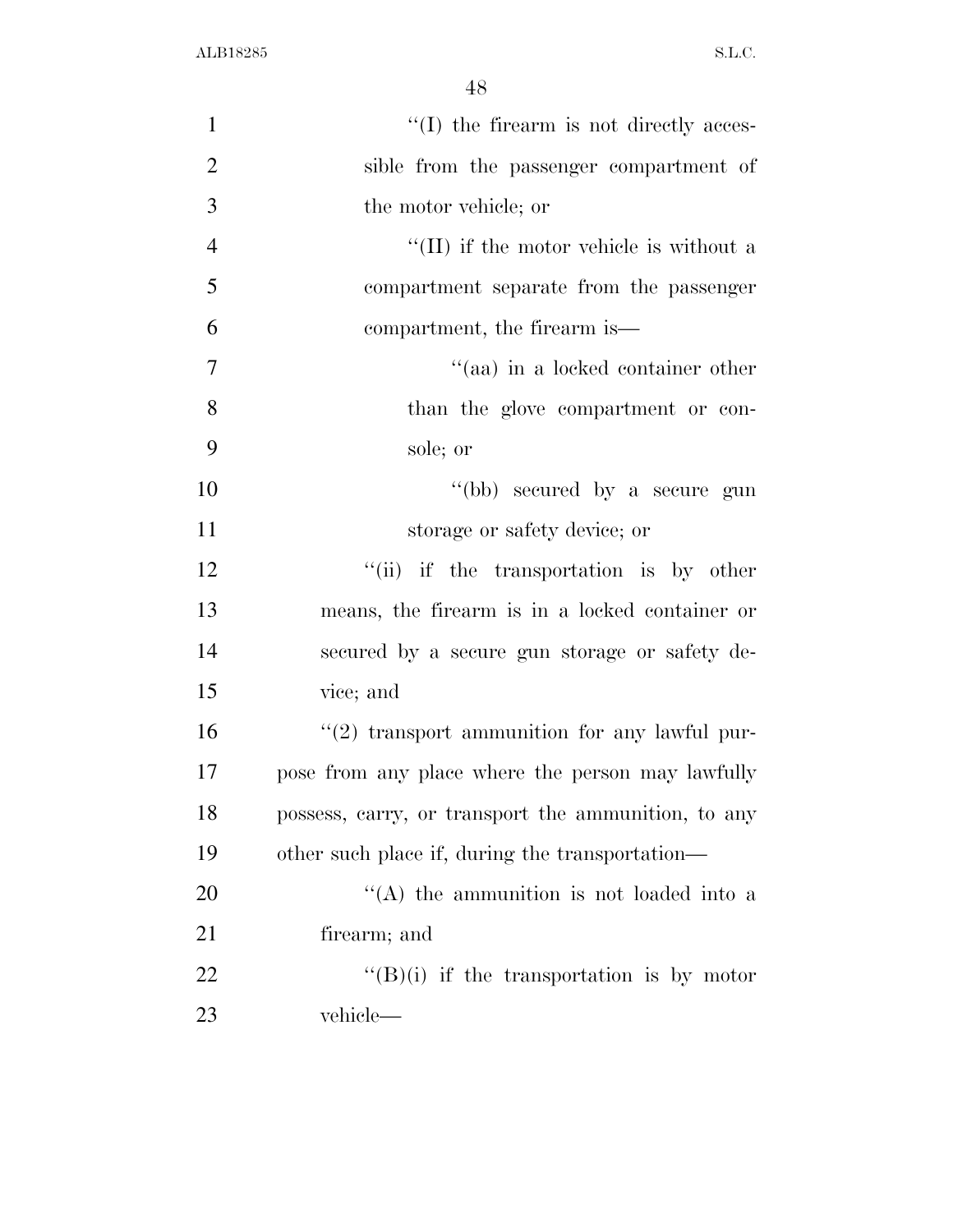| $\mathbf{1}$   | $\lq\lq$ the firearm is not directly acces-         |
|----------------|-----------------------------------------------------|
| $\overline{2}$ | sible from the passenger compartment of             |
| 3              | the motor vehicle; or                               |
| $\overline{4}$ | $\lq\lq$ (II) if the motor vehicle is without a     |
| 5              | compartment separate from the passenger             |
| 6              | compartment, the firearm is—                        |
| 7              | "(aa) in a locked container other                   |
| 8              | than the glove compartment or con-                  |
| 9              | sole; or                                            |
| 10             | "(bb) secured by a secure gun                       |
| 11             | storage or safety device; or                        |
| 12             | "(ii) if the transportation is by other             |
| 13             | means, the firearm is in a locked container or      |
| 14             | secured by a secure gun storage or safety de-       |
| 15             | vice; and                                           |
| 16             | $\lq(2)$ transport ammunition for any lawful pur-   |
| 17             | pose from any place where the person may lawfully   |
| 18             | possess, carry, or transport the ammunition, to any |
| 19             | other such place if, during the transportation—     |
| 20             | "(A) the ammunition is not loaded into a            |
| 21             | firearm; and                                        |
| 22             | $\lq\lq(B)(i)$ if the transportation is by motor    |
| 23             | vehicle—                                            |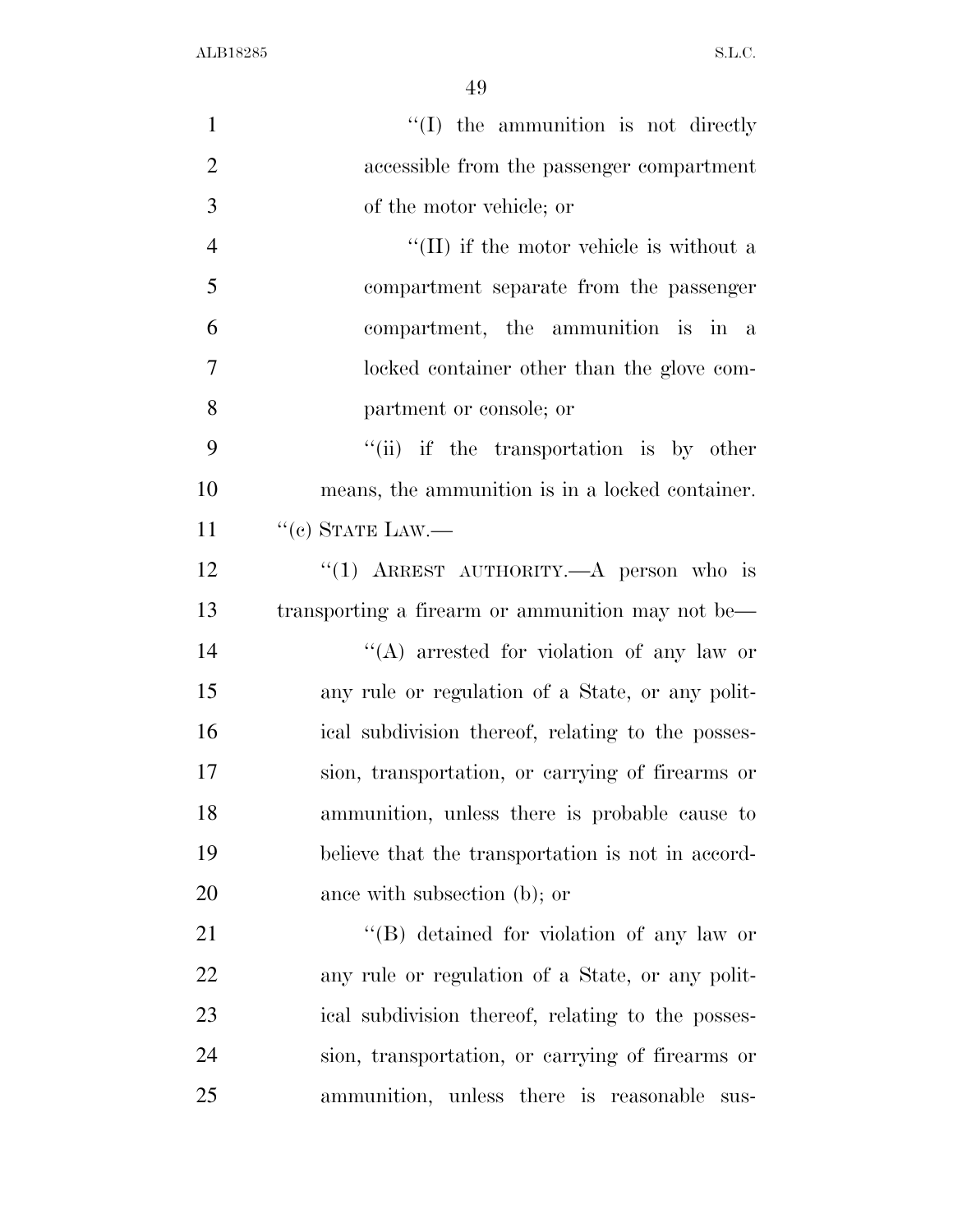| $\mathbf{1}$   | "(I) the ammunition is not directly               |
|----------------|---------------------------------------------------|
| $\overline{2}$ | accessible from the passenger compartment         |
| 3              | of the motor vehicle; or                          |
| $\overline{4}$ | $\lq\lq$ (II) if the motor vehicle is without a   |
| 5              | compartment separate from the passenger           |
| 6              | compartment, the ammunition is in a               |
| $\tau$         | locked container other than the glove com-        |
| 8              | partment or console; or                           |
| 9              | "(ii) if the transportation is by other           |
| 10             | means, the ammunition is in a locked container.   |
| 11             | $``(c)$ STATE LAW.—                               |
| 12             | "(1) ARREST AUTHORITY. $-A$ person who is         |
| 13             | transporting a firearm or ammunition may not be—  |
| 14             | "(A) arrested for violation of any law or         |
| 15             | any rule or regulation of a State, or any polit-  |
| 16             | ical subdivision thereof, relating to the posses- |
| 17             | sion, transportation, or carrying of firearms or  |
| 18             | ammunition, unless there is probable cause to     |
| 19             | believe that the transportation is not in accord- |
| 20             | ance with subsection (b); or                      |
| 21             | $\lq\lq (B)$ detained for violation of any law or |
| 22             | any rule or regulation of a State, or any polit-  |
| 23             | ical subdivision thereof, relating to the posses- |
| 24             | sion, transportation, or carrying of firearms or  |
| 25             | ammunition, unless there is reasonable<br>sus-    |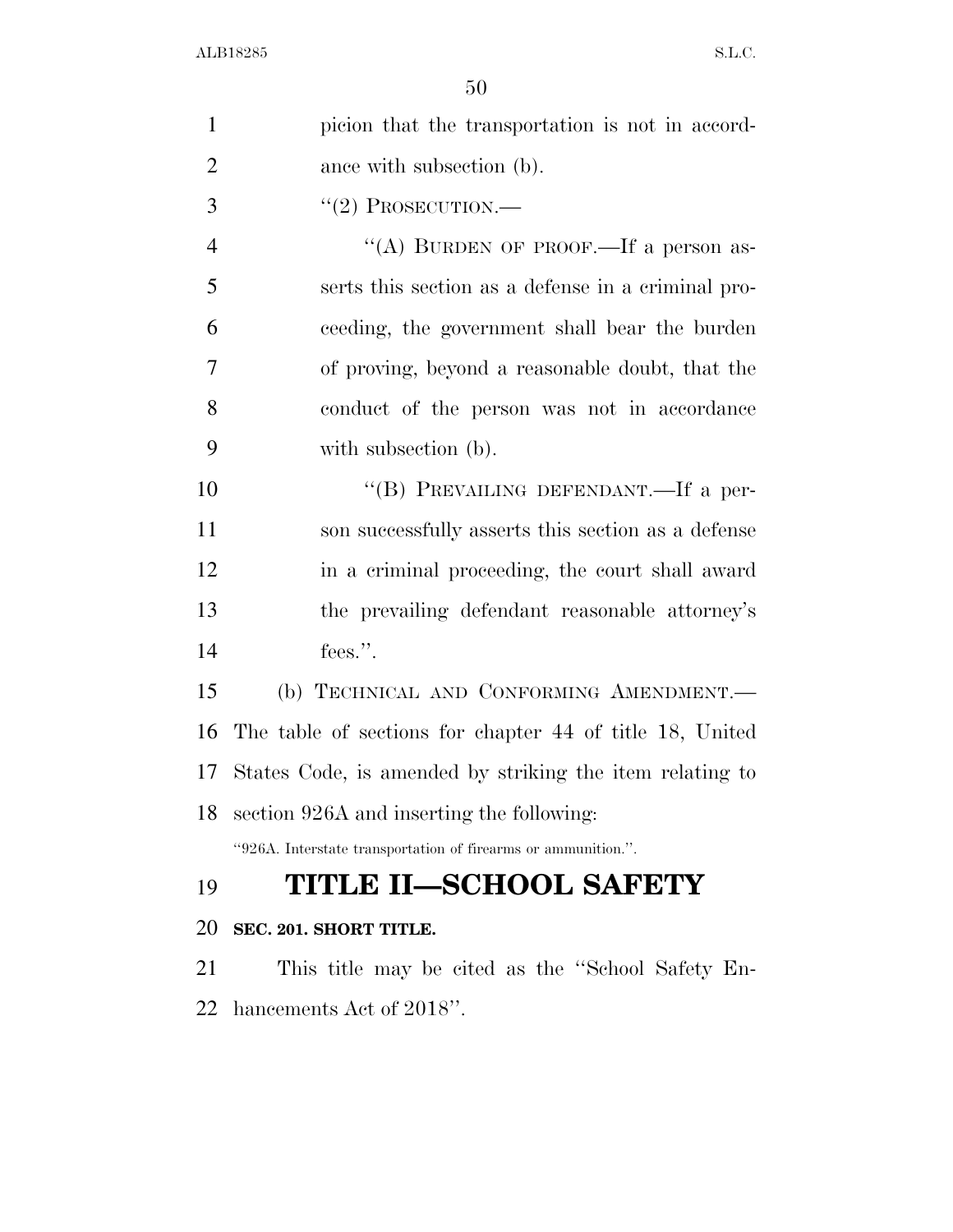| $\mathbf{1}$   | picion that the transportation is not in accord-              |
|----------------|---------------------------------------------------------------|
| $\overline{2}$ | ance with subsection (b).                                     |
| 3              | $``(2)$ PROSECUTION.—                                         |
| $\overline{4}$ | "(A) BURDEN OF PROOF.—If a person as-                         |
| 5              | serts this section as a defense in a criminal pro-            |
| 6              | ceeding, the government shall bear the burden                 |
| 7              | of proving, beyond a reasonable doubt, that the               |
| 8              | conduct of the person was not in accordance                   |
| 9              | with subsection (b).                                          |
| 10             | "(B) PREVAILING DEFENDANT.—If a per-                          |
| 11             | son successfully asserts this section as a defense            |
| 12             | in a criminal proceeding, the court shall award               |
| 13             | the prevailing defendant reasonable attorney's                |
| 14             | fees.".                                                       |
| 15             | (b) TECHNICAL AND CONFORMING AMENDMENT.                       |
| 16             | The table of sections for chapter 44 of title 18, United      |
| 17             | States Code, is amended by striking the item relating to      |
| 18             | section 926A and inserting the following:                     |
|                | "926A. Interstate transportation of firearms or ammunition.". |
| 19             | <b>TITLE II-SCHOOL SAFETY</b>                                 |
| 20             | SEC. 201. SHORT TITLE.                                        |
| 21             | This title may be cited as the "School Safety En-             |
| 22             | hancements Act of 2018".                                      |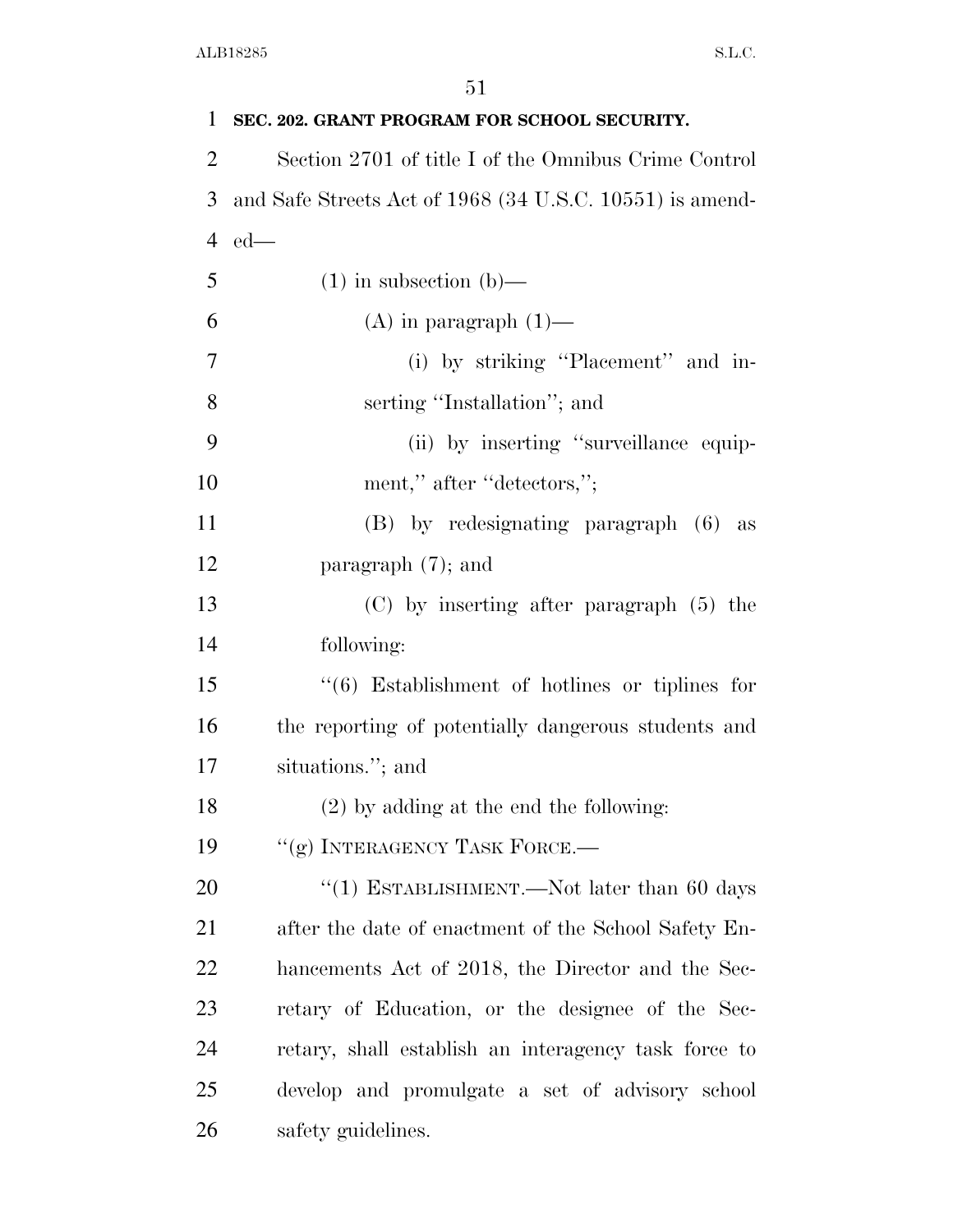| 1              | SEC. 202. GRANT PROGRAM FOR SCHOOL SECURITY.                   |
|----------------|----------------------------------------------------------------|
| $\overline{2}$ | Section 2701 of title I of the Omnibus Crime Control           |
| 3              | and Safe Streets Act of 1968 (34 U.S.C. 10551) is amend-       |
| 4              | $ed$ —                                                         |
| 5              | $(1)$ in subsection $(b)$ —                                    |
| 6              | $(A)$ in paragraph $(1)$ —                                     |
| 7              | (i) by striking "Placement" and in-                            |
| 8              | serting "Installation"; and                                    |
| 9              | (ii) by inserting "surveillance equip-                         |
| 10             | ment," after "detectors,";                                     |
| 11             | (B) by redesignating paragraph (6)<br>as                       |
| 12             | paragraph $(7)$ ; and                                          |
| 13             | $(C)$ by inserting after paragraph $(5)$ the                   |
| 14             | following:                                                     |
| 15             | $\cdot\cdot\cdot(6)$ Establishment of hotlines or tiplines for |
| 16             | the reporting of potentially dangerous students and            |
| 17             | situations."; and                                              |
| 18             | $(2)$ by adding at the end the following:                      |
| 19             | "(g) INTERAGENCY TASK FORCE.-                                  |
| 20             | "(1) ESTABLISHMENT.—Not later than 60 days                     |
| 21             | after the date of enactment of the School Safety En-           |
| 22             | hancements Act of 2018, the Director and the Sec-              |
| 23             | retary of Education, or the designee of the Sec-               |
| 24             | retary, shall establish an interagency task force to           |
| 25             | develop and promulgate a set of advisory school                |
| 26             | safety guidelines.                                             |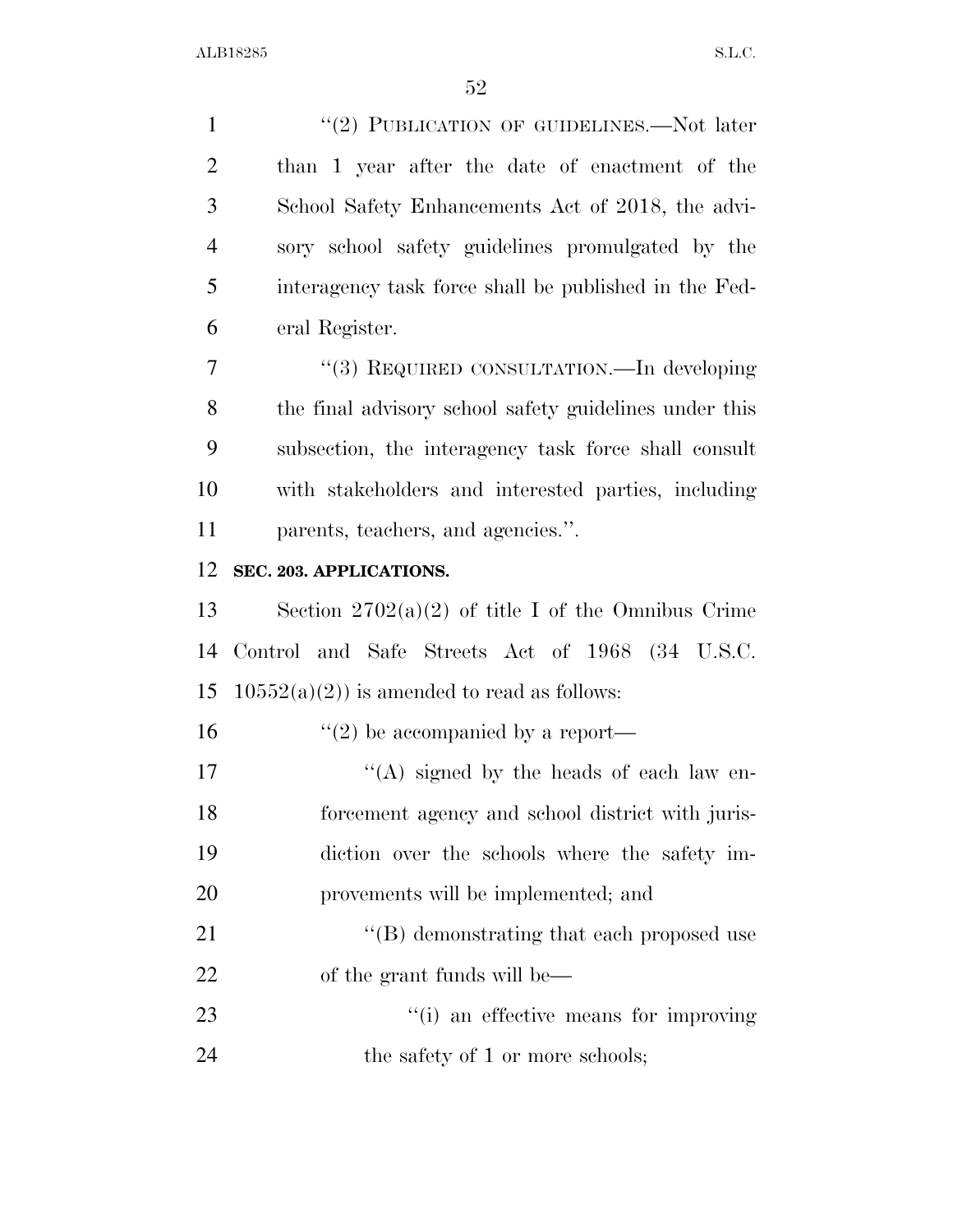1 "(2) PUBLICATION OF GUIDELINES.—Not later than 1 year after the date of enactment of the School Safety Enhancements Act of 2018, the advi- sory school safety guidelines promulgated by the interagency task force shall be published in the Fed-eral Register.

 ''(3) REQUIRED CONSULTATION.—In developing the final advisory school safety guidelines under this subsection, the interagency task force shall consult with stakeholders and interested parties, including parents, teachers, and agencies.''.

#### **SEC. 203. APPLICATIONS.**

 Section 2702(a)(2) of title I of the Omnibus Crime Control and Safe Streets Act of 1968 (34 U.S.C. 15 10552(a)(2)) is amended to read as follows:

16  $\frac{16}{2}$  be accompanied by a report—

- 17 ''(A) signed by the heads of each law en- forcement agency and school district with juris- diction over the schools where the safety im-provements will be implemented; and
- 21 ''(B) demonstrating that each proposed use of the grant funds will be—
- 23  $\frac{1}{2}$  (i) an effective means for improving 24 the safety of 1 or more schools;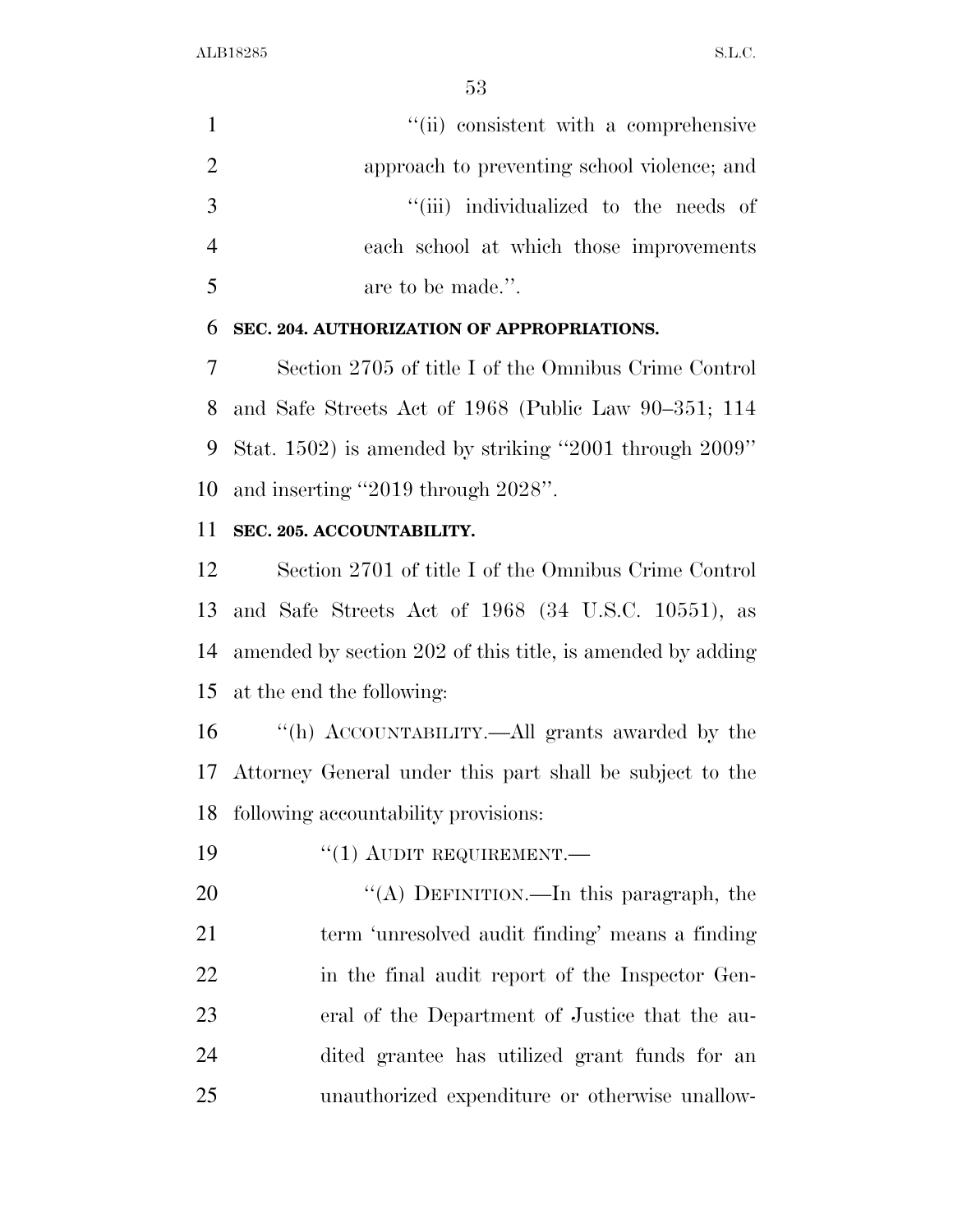1 ''(ii) consistent with a comprehensive approach to preventing school violence; and  $\frac{1}{1}$  individualized to the needs of each school at which those improvements are to be made.''.

#### **SEC. 204. AUTHORIZATION OF APPROPRIATIONS.**

 Section 2705 of title I of the Omnibus Crime Control and Safe Streets Act of 1968 (Public Law 90–351; 114 Stat. 1502) is amended by striking ''2001 through 2009'' and inserting ''2019 through 2028''.

### **SEC. 205. ACCOUNTABILITY.**

 Section 2701 of title I of the Omnibus Crime Control and Safe Streets Act of 1968 (34 U.S.C. 10551), as amended by section 202 of this title, is amended by adding at the end the following:

 ''(h) ACCOUNTABILITY.—All grants awarded by the Attorney General under this part shall be subject to the following accountability provisions:

19 <sup>"</sup>(1) AUDIT REQUIREMENT.

20 "(A) DEFINITION.—In this paragraph, the term 'unresolved audit finding' means a finding in the final audit report of the Inspector Gen- eral of the Department of Justice that the au- dited grantee has utilized grant funds for an unauthorized expenditure or otherwise unallow-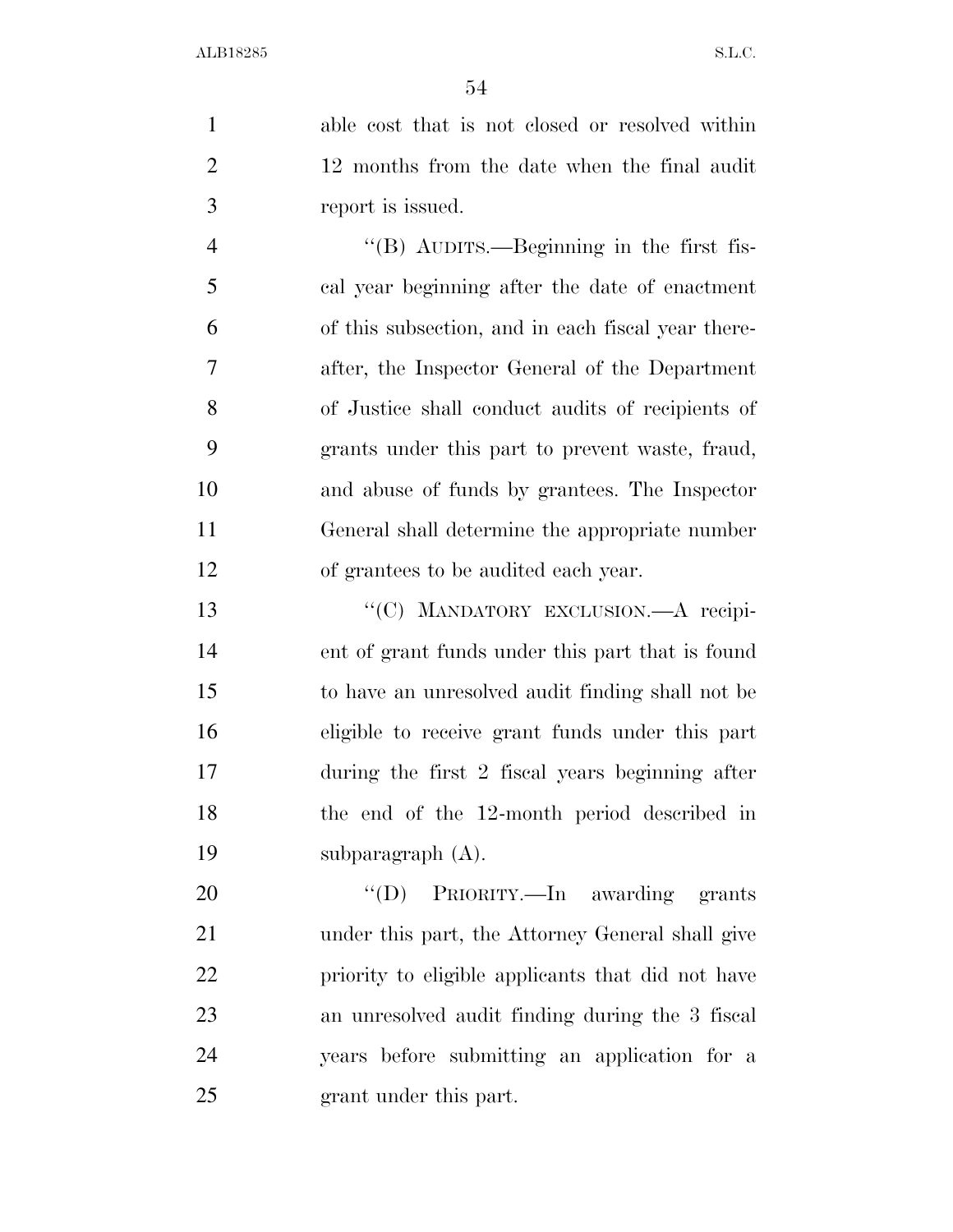able cost that is not closed or resolved within 12 months from the date when the final audit report is issued.

 ''(B) AUDITS.—Beginning in the first fis- cal year beginning after the date of enactment of this subsection, and in each fiscal year there- after, the Inspector General of the Department of Justice shall conduct audits of recipients of grants under this part to prevent waste, fraud, and abuse of funds by grantees. The Inspector General shall determine the appropriate number of grantees to be audited each year.

13 "'(C) MANDATORY EXCLUSION.—A recipi- ent of grant funds under this part that is found to have an unresolved audit finding shall not be eligible to receive grant funds under this part during the first 2 fiscal years beginning after the end of the 12-month period described in subparagraph (A).

20 "'(D) PRIORITY.—In awarding grants under this part, the Attorney General shall give priority to eligible applicants that did not have an unresolved audit finding during the 3 fiscal years before submitting an application for a grant under this part.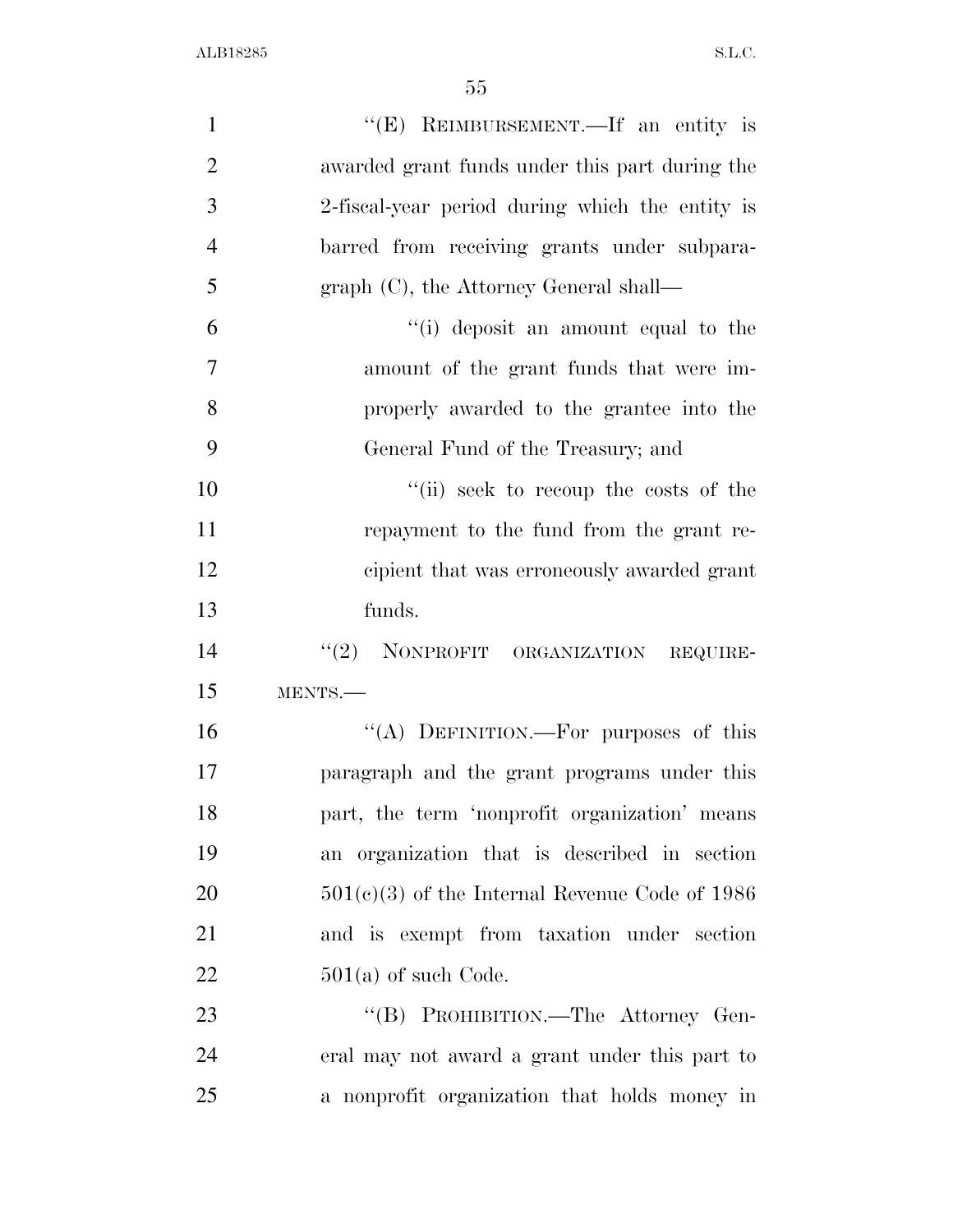| 1              | "(E) REIMBURSEMENT.—If an entity is              |
|----------------|--------------------------------------------------|
| $\overline{2}$ | awarded grant funds under this part during the   |
| 3              | 2-fiscal-year period during which the entity is  |
| $\overline{4}$ | barred from receiving grants under subpara-      |
| 5              | $graph (C)$ , the Attorney General shall—        |
| 6              | "(i) deposit an amount equal to the              |
| 7              | amount of the grant funds that were im-          |
| 8              | properly awarded to the grantee into the         |
| 9              | General Fund of the Treasury; and                |
| 10             | "(ii) seek to recoup the costs of the            |
| 11             | repayment to the fund from the grant re-         |
| 12             | cipient that was erroneously awarded grant       |
| 13             | funds.                                           |
| 14             | "(2) NONPROFIT ORGANIZATION REQUIRE-             |
| 15             | MENTS.-                                          |
| 16             | "(A) DEFINITION.—For purposes of this            |
| 17             | paragraph and the grant programs under this      |
| 18             | part, the term 'nonprofit organization' means    |
| 19             | an organization that is described in section     |
| 20             | $501(c)(3)$ of the Internal Revenue Code of 1986 |
| 21             | and is exempt from taxation under section        |
| 22             | $501(a)$ of such Code.                           |
| 23             | "(B) PROHIBITION.—The Attorney Gen-              |
| 24             | eral may not award a grant under this part to    |
| 25             | a nonprofit organization that holds money in     |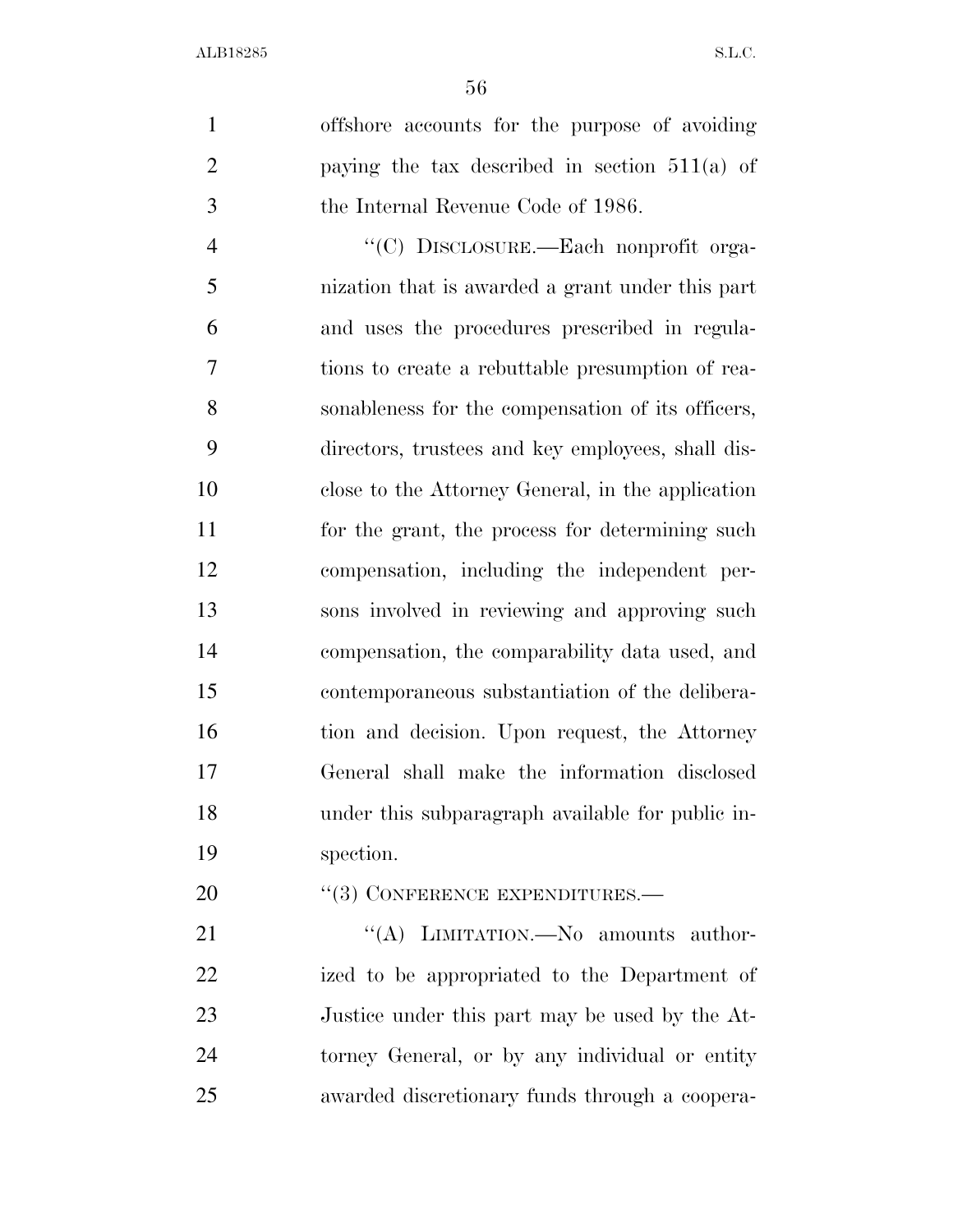offshore accounts for the purpose of avoiding paying the tax described in section 511(a) of the Internal Revenue Code of 1986.

 ''(C) DISCLOSURE.—Each nonprofit orga- nization that is awarded a grant under this part and uses the procedures prescribed in regula- tions to create a rebuttable presumption of rea- sonableness for the compensation of its officers, directors, trustees and key employees, shall dis- close to the Attorney General, in the application 11 for the grant, the process for determining such compensation, including the independent per- sons involved in reviewing and approving such compensation, the comparability data used, and contemporaneous substantiation of the delibera-16 tion and decision. Upon request, the Attorney General shall make the information disclosed under this subparagraph available for public in-spection.

20 "(3) CONFERENCE EXPENDITURES.—

21 "(A) LIMITATION.—No amounts author- ized to be appropriated to the Department of Justice under this part may be used by the At- torney General, or by any individual or entity awarded discretionary funds through a coopera-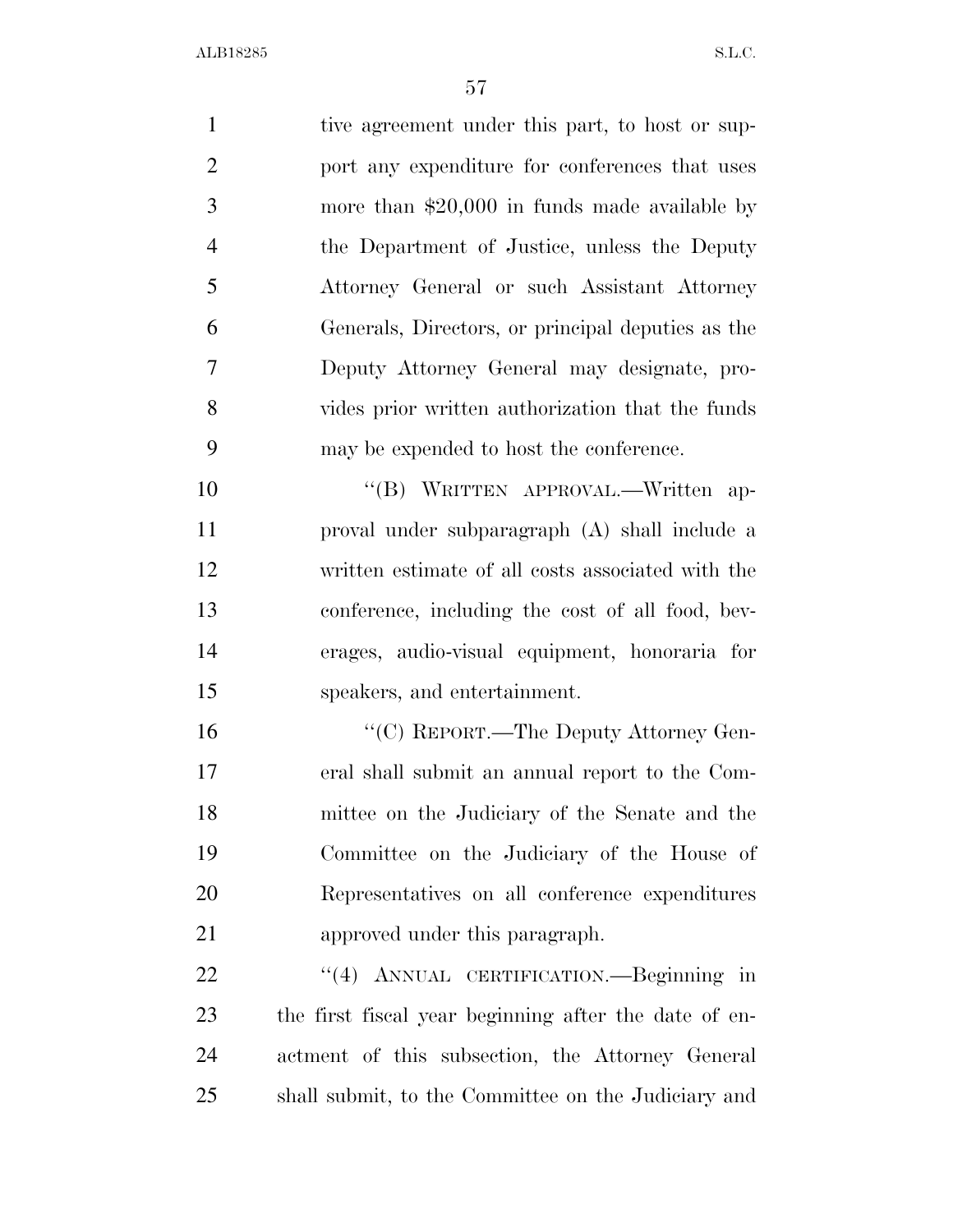1 tive agreement under this part, to host or sup- port any expenditure for conferences that uses more than \$20,000 in funds made available by the Department of Justice, unless the Deputy Attorney General or such Assistant Attorney Generals, Directors, or principal deputies as the Deputy Attorney General may designate, pro- vides prior written authorization that the funds may be expended to host the conference. 10 "(B) WRITTEN APPROVAL.—Written ap-

 proval under subparagraph (A) shall include a written estimate of all costs associated with the conference, including the cost of all food, bev- erages, audio-visual equipment, honoraria for speakers, and entertainment.

 $C$  (C) REPORT.—The Deputy Attorney Gen- eral shall submit an annual report to the Com- mittee on the Judiciary of the Senate and the Committee on the Judiciary of the House of Representatives on all conference expenditures approved under this paragraph.

 ''(4) ANNUAL CERTIFICATION.—Beginning in the first fiscal year beginning after the date of en- actment of this subsection, the Attorney General shall submit, to the Committee on the Judiciary and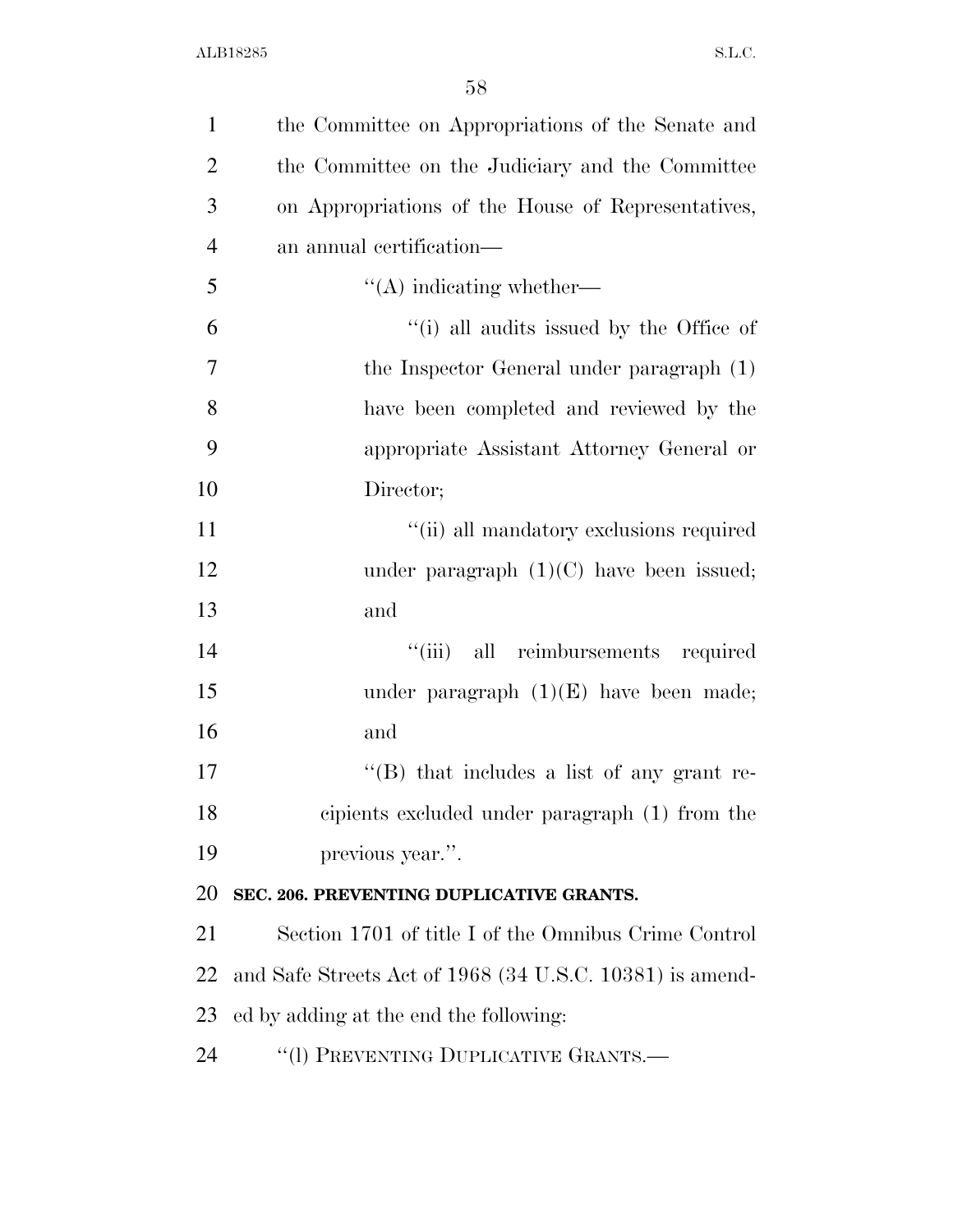| $\mathbf{1}$   | the Committee on Appropriations of the Senate and        |
|----------------|----------------------------------------------------------|
| $\overline{2}$ | the Committee on the Judiciary and the Committee         |
| 3              | on Appropriations of the House of Representatives,       |
| $\overline{4}$ | an annual certification—                                 |
| 5              | $\lq\lq$ indicating whether—                             |
| 6              | "(i) all audits issued by the Office of                  |
| 7              | the Inspector General under paragraph (1)                |
| 8              | have been completed and reviewed by the                  |
| 9              | appropriate Assistant Attorney General or                |
| 10             | Director;                                                |
| 11             | "(ii) all mandatory exclusions required                  |
| 12             | under paragraph $(1)(C)$ have been issued;               |
| 13             | and                                                      |
| 14             | "(iii) all reimbursements required                       |
| 15             | under paragraph $(1)(E)$ have been made;                 |
| 16             | and                                                      |
| 17             | $\lq\lq (B)$ that includes a list of any grant re-       |
| 18             | cipients excluded under paragraph (1) from the           |
| 19             | previous year.".                                         |
| 20             | SEC. 206. PREVENTING DUPLICATIVE GRANTS.                 |
| 21             | Section 1701 of title I of the Omnibus Crime Control     |
| 22             | and Safe Streets Act of 1968 (34 U.S.C. 10381) is amend- |
| 23             | ed by adding at the end the following:                   |
| 24             | "(1) PREVENTING DUPLICATIVE GRANTS.-                     |